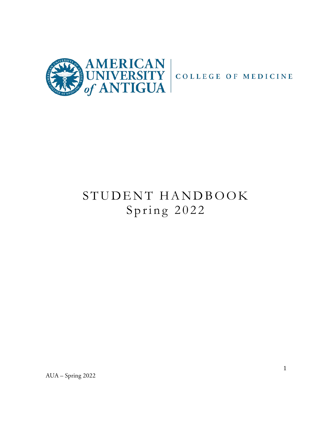

# STUDENT HANDBOOK Spring 2022

AUA – Spring 2022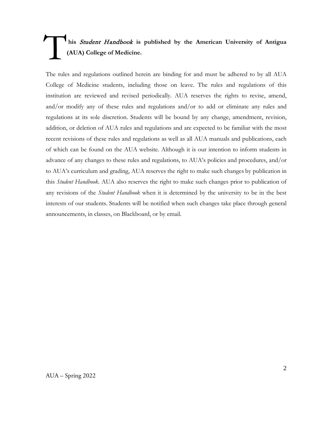# **his** Student Handbook **is published by the American University of Antigua (AUA) College of Medicine.**  T

The rules and regulations outlined herein are binding for and must be adhered to by all AUA College of Medicine students, including those on leave. The rules and regulations of this institution are reviewed and revised periodically. AUA reserves the rights to revise, amend, and/or modify any of these rules and regulations and/or to add or eliminate any rules and regulations at its sole discretion. Students will be bound by any change, amendment, revision, addition, or deletion of AUA rules and regulations and are expected to be familiar with the most recent revisions of these rules and regulations as well as all AUA manuals and publications, each of which can be found on the AUA website. Although it is our intention to inform students in advance of any changes to these rules and regulations, to AUA's policies and procedures, and/or to AUA's curriculum and grading, AUA reserves the right to make such changes by publication in this *Student Handbook*. AUA also reserves the right to make such changes prior to publication of any revisions of the *Student Handbook* when it is determined by the university to be in the best interests of our students. Students will be notified when such changes take place through general announcements, in classes, on Blackboard, or by email.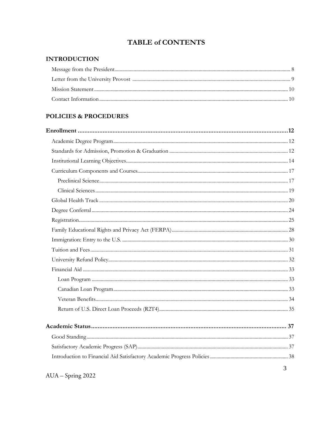# **TABLE of CONTENTS**

## **INTRODUCTION**

# POLICIES & PROCEDURES

| 3 |
|---|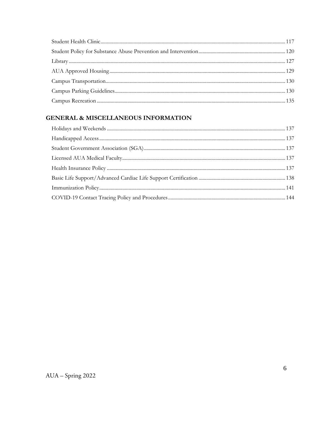# **GENERAL & MISCELLANEOUS INFORMATION**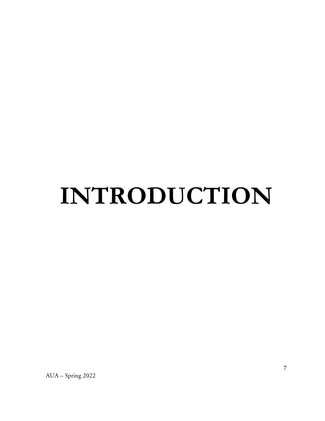# INTRODUCTION

AUA - Spring 2022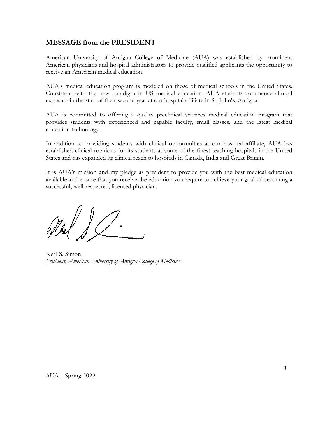# **MESSAGE from the PRESIDENT**

American University of Antigua College of Medicine (AUA) was established by prominent American physicians and hospital administrators to provide qualified applicants the opportunity to receive an American medical education.

AUA's medical education program is modeled on those of medical schools in the United States. Consistent with the new paradigm in US medical education, AUA students commence clinical exposure in the start of their second year at our hospital affiliate in St. John's, Antigua.

AUA is committed to offering a quality preclinical sciences medical education program that provides students with experienced and capable faculty, small classes, and the latest medical education technology.

In addition to providing students with clinical opportunities at our hospital affiliate, AUA has established clinical rotations for its students at some of the finest teaching hospitals in the United States and has expanded its clinical reach to hospitals in Canada, India and Great Britain.

It is AUA's mission and my pledge as president to provide you with the best medical education available and ensure that you receive the education you require to achieve your goal of becoming a successful, well-respected, licensed physician.

Neal S. Simon *President, American University of Antigua College of Medicine*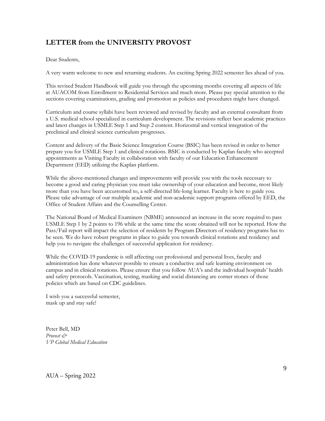# **LETTER from the UNIVERSITY PROVOST**

Dear Students,

A very warm welcome to new and returning students. An exciting Spring 2022 semester lies ahead of you.

This revised Student Handbook will guide you through the upcoming months covering all aspects of life at AUACOM from Enrollment to Residential Services and much more. Please pay special attention to the sections covering examinations, grading and promotion as policies and procedures might have changed.

Curriculum and course syllabi have been reviewed and revised by faculty and an external consultant from a U.S. medical school specialized in curriculum development. The revisions reflect best academic practices and latest changes in USMLE Step 1 and Step 2 content. Horizontal and vertical integration of the preclinical and clinical science curriculum progresses.

Content and delivery of the Basic Science Integration Course (BSIC) has been revised in order to better prepare you for USMLE Step 1 and clinical rotations. BSIC is conducted by Kaplan faculty who accepted appointments as Visiting Faculty in collaboration with faculty of our Education Enhancement Department (EED) utilizing the Kaplan platform.

While the above-mentioned changes and improvements will provide you with the tools necessary to become a good and caring physician you must take ownership of your education and become, most likely more than you have been accustomed to, a self-directed life-long learner. Faculty is here to guide you. Please take advantage of our multiple academic and non-academic support programs offered by EED, the Office of Student Affairs and the Counselling Center.

The National Board of Medical Examiners (NBME) announced an increase in the score required to pass USMLE Step 1 by 2 points to 196 while at the same time the score obtained will not be reported. How the Pass/Fail report will impact the selection of residents by Program Directors of residency programs has to be seen. We do have robust programs in place to guide you towards clinical rotations and residency and help you to navigate the challenges of successful application for residency.

While the COVID-19 pandemic is still affecting our professional and personal lives, faculty and administration has done whatever possible to ensure a conductive and safe learning environment on campus and in clinical rotations. Please ensure that you follow AUA's and the individual hospitals' health and safety protocols. Vaccination, testing, masking and social distancing are corner stones of those policies which are based on CDC guidelines.

I wish you a successful semester, mask up and stay safe!

Peter Bell, MD *Provost & VP Global Medical Education*

AUA – Spring 2022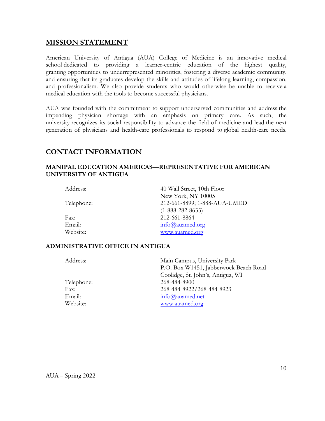### **MISSION STATEMENT**

American University of Antigua (AUA) College of Medicine is an innovative medical school dedicated to providing a learner-centric education of the highest quality, granting opportunities to underrepresented minorities, fostering a diverse academic community, and ensuring that its graduates develop the skills and attitudes of lifelong learning, compassion, and professionalism. We also provide students who would otherwise be unable to receive a medical education with the tools to become successful physicians.

AUA was founded with the commitment to support underserved communities and address the impending physician shortage with an emphasis on primary care. As such, the university recognizes its social responsibility to advance the field of medicine and lead the next generation of physicians and health-care professionals to respond to global health-care needs.

# **CONTACT INFORMATION**

#### **MANIPAL EDUCATION AMERICAS—REPRESENTATIVE FOR AMERICAN UNIVERSITY OF ANTIGUA**

| Address:   | 40 Wall Street, 10th Floor      |
|------------|---------------------------------|
|            | New York, NY 10005              |
| Telephone: | 212-661-8899; 1-888-AUA-UMED    |
|            | $(1-888-282-8633)$              |
| Fax:       | 212-661-8864                    |
| Email:     | $info(\hat{\omega})$ auamed.org |
| Website:   | www.auamed.org                  |

#### **ADMINISTRATIVE OFFICE IN ANTIGUA**

| Address:   | Main Campus, University Park          |
|------------|---------------------------------------|
|            | P.O. Box W1451, Jabberwock Beach Road |
|            | Coolidge, St. John's, Antigua, WI     |
| Telephone: | 268-484-8900                          |
| Fax:       | 268-484-8922/268-484-8923             |
| Email:     | info@auamed.net                       |
| Website:   | www.auamed.org                        |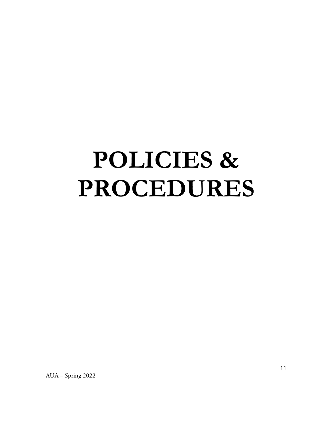# **POLICIES & PROCEDURES**

AUA - Spring 2022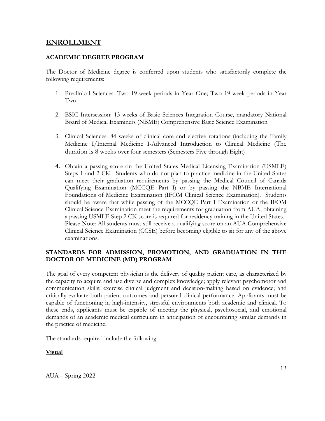#### **ENROLLMENT**

#### **ACADEMIC DEGREE PROGRAM**

The Doctor of Medicine degree is conferred upon students who satisfactorily complete the following requirements:

- 1. Preclinical Sciences: Two 19-week periods in Year One; Two 19-week periods in Year Two
- 2. BSIC Intersession: 13 weeks of Basic Sciences Integration Course, mandatory National Board of Medical Examiners (NBME) Comprehensive Basic Science Examination
- 3. Clinical Sciences: 84 weeks of clinical core and elective rotations (including the Family Medicine I/Internal Medicine I-Advanced Introduction to Clinical Medicine (The duration is 8 weeks over four semesters (Semesters Five through Eight)
- **4.** Obtain a passing score on the United States Medical Licensing Examination (USMLE) Steps 1 and 2 CK. Students who do not plan to practice medicine in the United States can meet their graduation requirements by passing the Medical Council of Canada Qualifying Examination (MCCQE Part I) or by passing the NBME International Foundations of Medicine Examination (IFOM Clinical Science Examination). Students should be aware that while passing of the MCCQE Part I Examination or the IFOM Clinical Science Examination meet the requirements for graduation from AUA, obtaining a passing USMLE Step 2 CK score is required for residency training in the United States. Please Note: All students must still receive a qualifying score on an AUA Comprehensive Clinical Science Examination (CCSE) before becoming eligible to sit for any of the above examinations.

#### **STANDARDS FOR ADMISSION, PROMOTION, AND GRADUATION IN THE DOCTOR OF MEDICINE (MD) PROGRAM**

The goal of every competent physician is the delivery of quality patient care, as characterized by the capacity to acquire and use diverse and complex knowledge; apply relevant psychomotor and communication skills; exercise clinical judgment and decision-making based on evidence; and critically evaluate both patient outcomes and personal clinical performance. Applicants must be capable of functioning in high-intensity, stressful environments both academic and clinical. To these ends, applicants must be capable of meeting the physical, psychosocial, and emotional demands of an academic medical curriculum in anticipation of encountering similar demands in the practice of medicine.

The standards required include the following:

#### **Visual**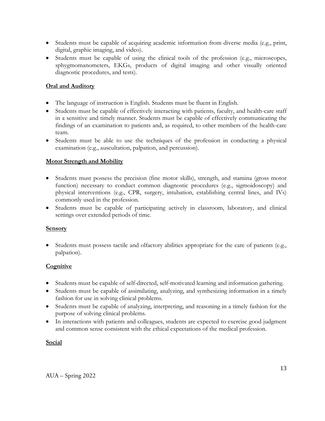- Students must be capable of acquiring academic information from diverse media (e.g., print, digital, graphic imaging, and video).
- Students must be capable of using the clinical tools of the profession (e.g., microscopes, sphygmomanometers, EKGs, products of digital imaging and other visually oriented diagnostic procedures, and tests).

#### **Oral and Auditory**

- The language of instruction is English. Students must be fluent in English.
- Students must be capable of effectively interacting with patients, faculty, and health-care staff in a sensitive and timely manner. Students must be capable of effectively communicating the findings of an examination to patients and, as required, to other members of the health-care team.
- Students must be able to use the techniques of the profession in conducting a physical examination (e.g., auscultation, palpation, and percussion).

## **Motor Strength and Mobility**

- Students must possess the precision (fine motor skills), strength, and stamina (gross motor function) necessary to conduct common diagnostic procedures (e.g., sigmoidoscopy) and physical interventions (e.g., CPR, surgery, intubation, establishing central lines, and IVs) commonly used in the profession.
- Students must be capable of participating actively in classroom, laboratory, and clinical settings over extended periods of time.

#### **Sensory**

• Students must possess tactile and olfactory abilities appropriate for the care of patients (e.g., palpation).

# **Cognitive**

- Students must be capable of self-directed, self-motivated learning and information gathering.
- Students must be capable of assimilating, analyzing, and synthesizing information in a timely fashion for use in solving clinical problems.
- Students must be capable of analyzing, interpreting, and reasoning in a timely fashion for the purpose of solving clinical problems.
- In interactions with patients and colleagues, students are expected to exercise good judgment and common sense consistent with the ethical expectations of the medical profession.

#### **Social**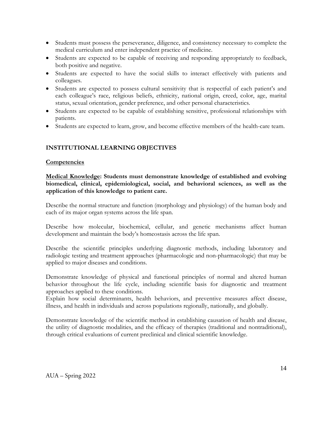- Students must possess the perseverance, diligence, and consistency necessary to complete the medical curriculum and enter independent practice of medicine.
- Students are expected to be capable of receiving and responding appropriately to feedback, both positive and negative.
- Students are expected to have the social skills to interact effectively with patients and colleagues.
- Students are expected to possess cultural sensitivity that is respectful of each patient's and each colleague's race, religious beliefs, ethnicity, national origin, creed, color, age, marital status, sexual orientation, gender preference, and other personal characteristics.
- Students are expected to be capable of establishing sensitive, professional relationships with patients.
- Students are expected to learn, grow, and become effective members of the health-care team.

#### **INSTITUTIONAL LEARNING OBJECTIVES**

#### **Competencies**

**Medical Knowledge: Students must demonstrate knowledge of established and evolving biomedical, clinical, epidemiological, social, and behavioral sciences, as well as the application of this knowledge to patient care.**

Describe the normal structure and function (morphology and physiology) of the human body and each of its major organ systems across the life span.

Describe how molecular, biochemical, cellular, and genetic mechanisms affect human development and maintain the body's homeostasis across the life span.

Describe the scientific principles underlying diagnostic methods, including laboratory and radiologic testing and treatment approaches (pharmacologic and non-pharmacologic) that may be applied to major diseases and conditions.

Demonstrate knowledge of physical and functional principles of normal and altered human behavior throughout the life cycle, including scientific basis for diagnostic and treatment approaches applied to these conditions.

Explain how social determinants, health behaviors, and preventive measures affect disease, illness, and health in individuals and across populations regionally, nationally, and globally.

Demonstrate knowledge of the scientific method in establishing causation of health and disease, the utility of diagnostic modalities, and the efficacy of therapies (traditional and nontraditional), through critical evaluations of current preclinical and clinical scientific knowledge.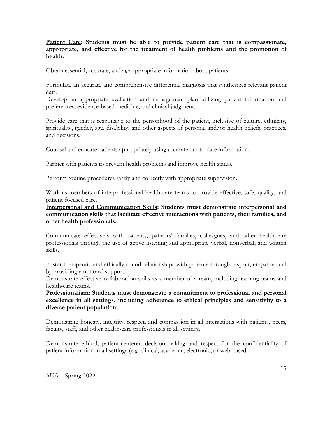**Patient Care: Students must be able to provide patient care that is compassionate, appropriate, and effective for the treatment of health problems and the promotion of health.**

Obtain essential, accurate, and age-appropriate information about patients.

Formulate an accurate and comprehensive differential diagnosis that synthesizes relevant patient data.

Develop an appropriate evaluation and management plan utilizing patient information and preferences, evidence-based medicine, and clinical judgment.

Provide care that is responsive to the personhood of the patient, inclusive of culture, ethnicity, spirituality, gender, age, disability, and other aspects of personal and/or health beliefs, practices, and decisions.

Counsel and educate patients appropriately using accurate, up-to-date information.

Partner with patients to prevent health problems and improve health status.

Perform routine procedures safely and correctly with appropriate supervision.

Work as members of interprofessional health-care teams to provide effective, safe, quality, and patient-focused care.

**Interpersonal and Communication Skills: Students must demonstrate interpersonal and communication skills that facilitate effective interactions with patients, their families, and other health professionals.**

Communicate effectively with patients, patients' families, colleagues, and other health-care professionals through the use of active listening and appropriate verbal, nonverbal, and written skills.

Foster therapeutic and ethically sound relationships with patients through respect, empathy, and by providing emotional support.

Demonstrate effective collaboration skills as a member of a team, including learning teams and health-care teams.

**Professionalism: Students must demonstrate a commitment to professional and personal excellence in all settings, including adherence to ethical principles and sensitivity to a diverse patient population.**

Demonstrate honesty, integrity, respect, and compassion in all interactions with patients, peers, faculty, staff, and other health-care professionals in all settings.

Demonstrate ethical, patient-centered decision-making and respect for the confidentiality of patient information in all settings (e.g. clinical, academic, electronic, or web-based.)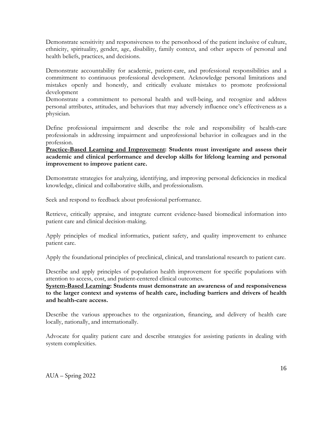Demonstrate sensitivity and responsiveness to the personhood of the patient inclusive of culture, ethnicity, spirituality, gender, age, disability, family context, and other aspects of personal and health beliefs, practices, and decisions.

Demonstrate accountability for academic, patient-care, and professional responsibilities and a commitment to continuous professional development. Acknowledge personal limitations and mistakes openly and honestly, and critically evaluate mistakes to promote professional development

Demonstrate a commitment to personal health and well-being, and recognize and address personal attributes, attitudes, and behaviors that may adversely influence one's effectiveness as a physician.

Define professional impairment and describe the role and responsibility of health-care professionals in addressing impairment and unprofessional behavior in colleagues and in the profession.

**Practice-Based Learning and Improvement: Students must investigate and assess their academic and clinical performance and develop skills for lifelong learning and personal improvement to improve patient care.**

Demonstrate strategies for analyzing, identifying, and improving personal deficiencies in medical knowledge, clinical and collaborative skills, and professionalism.

Seek and respond to feedback about professional performance.

Retrieve, critically appraise, and integrate current evidence-based biomedical information into patient care and clinical decision-making.

Apply principles of medical informatics, patient safety, and quality improvement to enhance patient care.

Apply the foundational principles of preclinical, clinical, and translational research to patient care.

Describe and apply principles of population health improvement for specific populations with attention to access, cost, and patient-centered clinical outcomes.

**System-Based Learning: Students must demonstrate an awareness of and responsiveness to the larger context and systems of health care, including barriers and drivers of health and health-care access.**

Describe the various approaches to the organization, financing, and delivery of health care locally, nationally, and internationally.

Advocate for quality patient care and describe strategies for assisting patients in dealing with system complexities.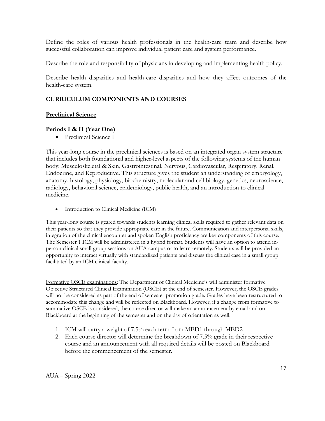Define the roles of various health professionals in the health-care team and describe how successful collaboration can improve individual patient care and system performance.

Describe the role and responsibility of physicians in developing and implementing health policy.

Describe health disparities and health-care disparities and how they affect outcomes of the health-care system.

## **CURRICULUM COMPONENTS AND COURSES**

#### **Preclinical Science**

#### **Periods I & II (Year One)**

• Preclinical Science I

This year-long course in the preclinical sciences is based on an integrated organ system structure that includes both foundational and higher-level aspects of the following systems of the human body: Musculoskeletal & Skin, Gastrointestinal, Nervous, Cardiovascular, Respiratory, Renal, Endocrine, and Reproductive. This structure gives the student an understanding of embryology, anatomy, histology, physiology, biochemistry, molecular and cell biology, genetics, neuroscience, radiology, behavioral science, epidemiology, public health, and an introduction to clinical medicine.

• Introduction to Clinical Medicine (ICM)

This year-long course is geared towards students learning clinical skills required to gather relevant data on their patients so that they provide appropriate care in the future. Communication and interpersonal skills, integration of the clinical encounter and spoken English proficiency are key components of this course. The Semester 1 ICM will be administered in a hybrid format. Students will have an option to attend inperson clinical small group sessions on AUA campus or to learn remotely. Students will be provided an opportunity to interact virtually with standardized patients and discuss the clinical case in a small group facilitated by an ICM clinical faculty.

Formative OSCE examinations: The Department of Clinical Medicine's will administer formative Objective Structured Clinical Examination (OSCE) at the end of semester. However, the OSCE grades will not be considered as part of the end of semester promotion grade. Grades have been restructured to accommodate this change and will be reflected on Blackboard. However, if a change from formative to summative OSCE is considered, the course director will make an announcement by email and on Blackboard at the beginning of the semester and on the day of orientation as well.

- 1. ICM will carry a weight of 7.5% each term from MED1 through MED2
- 2. Each course director will determine the breakdown of 7.5% grade in their respective course and an announcement with all required details will be posted on Blackboard before the commencement of the semester.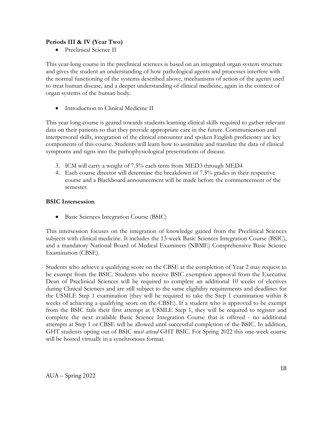#### **Periods III & IV (Year Two)**

Preclinical Science II

This year-long course in the preclinical sciences is based on an integrated organ system structure and gives the student an understanding of how pathological agents and processes interfere with the normal functioning of the systems described above, mechanisms of action of the agents used to treat human disease, and a deeper understanding of clinical medicine, again in the context of organ systems of the human body.

Introduction to Clinical Medicine II

This year long course is geared towards students learning clinical skills required to gather relevant data on their patients so that they provide appropriate care in the future. Communication and interpersonal skills, integration of the clinical encounter and spoken English proficiency are key components of this course. Students will learn how to assimilate and translate the data of clinical symptoms and signs into the pathophysiological presentations of disease.

- 3. ICM will carry a weight of 7.5% each term from MED3 through MED4
- 4. Each course director will determine the breakdown of 7.5% grades in their respective course and a Blackboard announcement will be made before the commencement of the semester.

#### **BSIC Intersession**

• Basic Sciences Integration Course (BSIC)

This intersession focuses on the integration of knowledge gained from the Preclinical Sciences subjects with clinical medicine. It includes the 13-week Basic Sciences Integration Course (BSIC), and a mandatory National Board of Medical Examiners (NBME) Comprehensive Basic Science Examination (CBSE).

Students who achieve a qualifying score on the CBSE at the completion of Year 2 may request to be exempt from the BSIC. Students who receive BSIC exemption approval from the Executive Dean of Preclinical Sciences will be required to complete an additional 10 weeks of electives during Clinical Sciences and are still subject to the same eligibility requirements and deadlines for the USMLE Step 1 examination (they will be required to take the Step 1 examination within 8 weeks of achieving a qualifying score on the CBSE). If a student who is approved to be exempt from the BSIC fails their first attempt at USMLE Step 1, they will be required to register and complete the next available Basic Science Integration Course that is offered - no additional attempts at Step 1 or CBSE will be allowed until successful completion of the BSIC. In addition, GHT students opting out of BSIC *must attend* GHT BSIC. For Spring 2022 this one-week course will be hosted virtually in a synchronous format.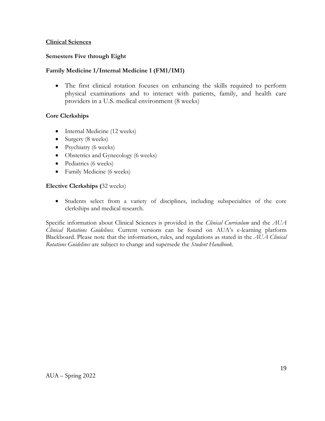#### **Clinical Sciences**

#### **Semesters Five through Eight**

#### **Family Medicine 1/Internal Medicine 1 (FM1/IM1)**

• The first clinical rotation focuses on enhancing the skills required to perform physical examinations and to interact with patients, family, and health care providers in a U.S. medical environment (8 weeks)

#### **Core Clerkships**

- Internal Medicine (12 weeks)
- Surgery (8 weeks)
- Psychiatry (6 weeks)
- Obstetrics and Gynecology (6 weeks)
- Pediatrics (6 weeks)
- Family Medicine (6 weeks)

#### **Elective Clerkships (**32 weeks)

• Students select from a variety of disciplines, including subspecialties of the core clerkships and medical research.

Specific information about Clinical Sciences is provided in the *Clinical Curriculum* and the *AUA Clinical Rotations Guidelines*. Current versions can be found on AUA's e-learning platform Blackboard. Please note that the information, rules, and regulations as stated in the *AUA Clinical Rotations Guidelines* are subject to change and supersede the *Student Handbook*.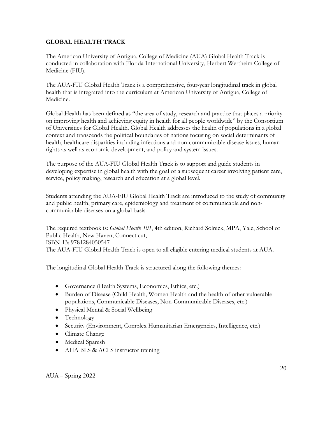#### **GLOBAL HEALTH TRACK**

The American University of Antigua, College of Medicine (AUA) Global Health Track is conducted in collaboration with Florida International University, Herbert Wertheim College of Medicine (FIU).

The AUA-FIU Global Health Track is a comprehensive, four-year longitudinal track in global health that is integrated into the curriculum at American University of Antigua, College of Medicine.

Global Health has been defined as "the area of study, research and practice that places a priority on improving health and achieving equity in health for all people worldwide" by the Consortium of Universities for Global Health. Global Health addresses the health of populations in a global context and transcends the political boundaries of nations focusing on social determinants of health, healthcare disparities including infectious and non-communicable disease issues, human rights as well as economic development, and policy and system issues.

The purpose of the AUA-FIU Global Health Track is to support and guide students in developing expertise in global health with the goal of a subsequent career involving patient care, service, policy making, research and education at a global level.

Students attending the AUA-FIU Global Health Track are introduced to the study of community and public health, primary care, epidemiology and treatment of communicable and noncommunicable diseases on a global basis.

The required textbook is: *Global Health 101*, 4th edition, Richard Solnick, MPA, Yale, School of Public Health, New Haven, Connecticut, ISBN-13: 9781284050547 The AUA-FIU Global Health Track is open to all eligible entering medical students at AUA.

The longitudinal Global Health Track is structured along the following themes:

- Governance (Health Systems, Economics, Ethics, etc.)
- Burden of Disease (Child Health, Women Health and the health of other vulnerable populations, Communicable Diseases, Non-Communicable Diseases, etc.)
- Physical Mental & Social Wellbeing
- Technology
- Security (Environment, Complex Humanitarian Emergencies, Intelligence, etc.)
- Climate Change
- Medical Spanish
- AHA BLS & ACLS instructor training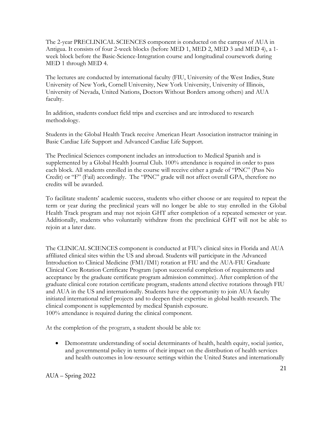The 2-year PRECLINICAL SCIENCES component is conducted on the campus of AUA in Antigua. It consists of four 2-week blocks (before MED 1, MED 2, MED 3 and MED 4), a 1 week block before the Basic-Science-Integration course and longitudinal coursework during MED 1 through MED 4.

The lectures are conducted by international faculty (FIU, University of the West Indies, State University of New York, Cornell University, New York University, University of Illinois, University of Nevada, United Nations, Doctors Without Borders among others) and AUA faculty.

In addition, students conduct field trips and exercises and are introduced to research methodology.

Students in the Global Health Track receive American Heart Association instructor training in Basic Cardiac Life Support and Advanced Cardiac Life Support.

The Preclinical Sciences component includes an introduction to Medical Spanish and is supplemented by a Global Health Journal Club. 100% attendance is required in order to pass each block. All students enrolled in the course will receive either a grade of "PNC" (Pass No Credit) or "F" (Fail) accordingly. The "PNC" grade will not affect overall GPA, therefore no credits will be awarded.

To facilitate students' academic success, students who either choose or are required to repeat the term or year during the preclinical years will no longer be able to stay enrolled in the Global Health Track program and may not rejoin GHT after completion of a repeated semester or year. Additionally, students who voluntarily withdraw from the preclinical GHT will not be able to rejoin at a later date.

The CLINICAL SCIENCES component is conducted at FIU's clinical sites in Florida and AUA affiliated clinical sites within the US and abroad. Students will participate in the Advanced Introduction to Clinical Medicine (FM1/IM1) rotation at FIU and the AUA-FIU Graduate Clinical Core Rotation Certificate Program (upon successful completion of requirements and acceptance by the graduate certificate program admission committee). After completion of the graduate clinical core rotation certificate program, students attend elective rotations through FIU and AUA in the US and internationally. Students have the opportunity to join AUA faculty initiated international relief projects and to deepen their expertise in global health research. The clinical component is supplemented by medical Spanish exposure. 100% attendance is required during the clinical component.

At the completion of the program, a student should be able to:

• Demonstrate understanding of social determinants of health, health equity, social justice, and governmental policy in terms of their impact on the distribution of health services and health outcomes in low-resource settings within the United States and internationally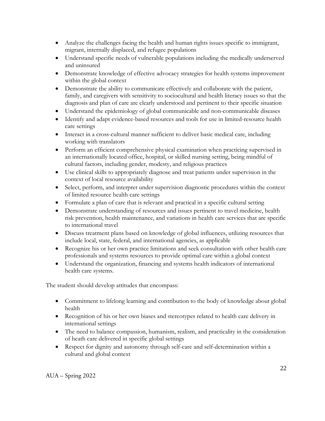- Analyze the challenges facing the health and human rights issues specific to immigrant, migrant, internally displaced, and refugee populations
- Understand specific needs of vulnerable populations including the medically underserved and uninsured
- Demonstrate knowledge of effective advocacy strategies for health systems improvement within the global context
- Demonstrate the ability to communicate effectively and collaborate with the patient, family, and caregivers with sensitivity to sociocultural and health literacy issues so that the diagnosis and plan of care are clearly understood and pertinent to their specific situation
- Understand the epidemiology of global communicable and non-communicable diseases
- Identify and adapt evidence-based resources and tools for use in limited-resource health care settings
- Interact in a cross-cultural manner sufficient to deliver basic medical care, including working with translators
- Perform an efficient comprehensive physical examination when practicing supervised in an internationally located office, hospital, or skilled nursing setting, being mindful of cultural factors, including gender, modesty, and religious practices
- Use clinical skills to appropriately diagnose and treat patients under supervision in the context of local resource availability
- Select, perform, and interpret under supervision diagnostic procedures within the context of limited resource health care settings
- Formulate a plan of care that is relevant and practical in a specific cultural setting
- Demonstrate understanding of resources and issues pertinent to travel medicine, health risk prevention, health maintenance, and variations in health care services that are specific to international travel
- Discuss treatment plans based on knowledge of global influences, utilizing resources that include local, state, federal, and international agencies, as applicable
- Recognize his or her own practice limitations and seek consultation with other health care professionals and systems resources to provide optimal care within a global context
- Understand the organization, financing and systems health indicators of international health care systems.

The student should develop attitudes that encompass:

- Commitment to lifelong learning and contribution to the body of knowledge about global health
- Recognition of his or her own biases and stereotypes related to health care delivery in international settings
- The need to balance compassion, humanism, realism, and practicality in the consideration of heath care delivered in specific global settings
- Respect for dignity and autonomy through self-care and self-determination within a cultural and global context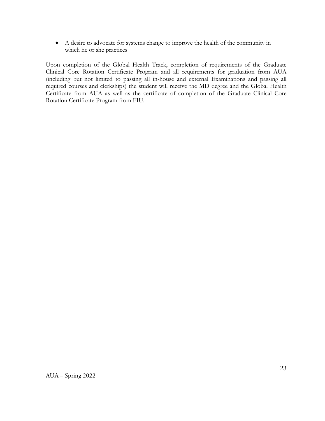• A desire to advocate for systems change to improve the health of the community in which he or she practices

Upon completion of the Global Health Track, completion of requirements of the Graduate Clinical Core Rotation Certificate Program and all requirements for graduation from AUA (including but not limited to passing all in-house and external Examinations and passing all required courses and clerkships) the student will receive the MD degree and the Global Health Certificate from AUA as well as the certificate of completion of the Graduate Clinical Core Rotation Certificate Program from FIU.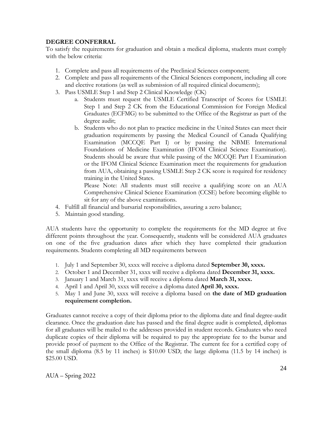#### **DEGREE CONFERRAL**

To satisfy the requirements for graduation and obtain a medical diploma, students must comply with the below criteria:

- 1. Complete and pass all requirements of the Preclinical Sciences component;
- 2. Complete and pass all requirements of the Clinical Sciences component, including all core and elective rotations (as well as submission of all required clinical documents);
- 3. Pass USMLE Step 1 and Step 2 Clinical Knowledge (CK)
	- a. Students must request the USMLE Certified Transcript of Scores for USMLE Step 1 and Step 2 CK from the Educational Commission for Foreign Medical Graduates (ECFMG) to be submitted to the Office of the Registrar as part of the degree audit;
	- b. Students who do not plan to practice medicine in the United States can meet their graduation requirements by passing the Medical Council of Canada Qualifying Examination (MCCQE Part I) or by passing the NBME International Foundations of Medicine Examination (IFOM Clinical Science Examination). Students should be aware that while passing of the MCCQE Part I Examination or the IFOM Clinical Science Examination meet the requirements for graduation from AUA, obtaining a passing USMLE Step 2 CK score is required for residency training in the United States.

Please Note: All students must still receive a qualifying score on an AUA Comprehensive Clinical Science Examination (CCSE) before becoming eligible to sit for any of the above examinations.

- 4. Fulfill all financial and bursarial responsibilities, assuring a zero balance;
- 5. Maintain good standing.

AUA students have the opportunity to complete the requirements for the MD degree at five different points throughout the year. Consequently, students will be considered AUA graduates on one of the five graduation dates after which they have completed their graduation requirements. Students completing all MD requirements between

- 1. July 1 and September 30, xxxx will receive a diploma dated **September 30, xxxx.**
- 2. October 1 and December 31, xxxx will receive a diploma dated **December 31, xxxx.**
- 3. January 1 and March 31, xxxx will receive a diploma dated **March 31, xxxx.**
- 4. April 1 and April 30, xxxx will receive a diploma dated **April 30, xxxx.**
- 5. May 1 and June 30, xxxx will receive a diploma based on **the date of MD graduation requirement completion.**

Graduates cannot receive a copy of their diploma prior to the diploma date and final degree-audit clearance. Once the graduation date has passed and the final degree audit is completed, diplomas for all graduates will be mailed to the addresses provided in student records. Graduates who need duplicate copies of their diploma will be required to pay the appropriate fee to the bursar and provide proof of payment to the Office of the Registrar. The current fee for a certified copy of the small diploma (8.5 by 11 inches) is \$10.00 USD; the large diploma (11.5 by 14 inches) is \$25.00 USD.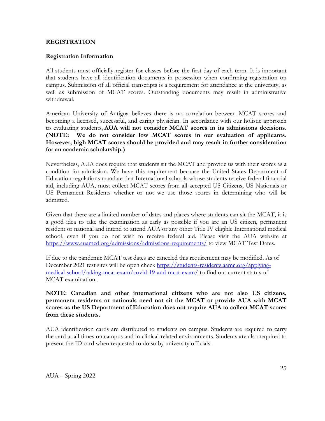#### **REGISTRATION**

#### **Registration Information**

All students must officially register for classes before the first day of each term. It is important that students have all identification documents in possession when confirming registration on campus. Submission of all official transcripts is a requirement for attendance at the university, as well as submission of MCAT scores. Outstanding documents may result in administrative withdrawal.

American University of Antigua believes there is no correlation between MCAT scores and becoming a licensed, successful, and caring physician. In accordance with our holistic approach to evaluating students, **AUA will not consider MCAT scores in its admissions decisions. (NOTE: We do not consider low MCAT scores in our evaluation of applicants. However, high MCAT scores should be provided and may result in further consideration for an academic scholarship.)**

Nevertheless, AUA does require that students sit the MCAT and provide us with their scores as a condition for admission. We have this requirement because the United States Department of Education regulations mandate that International schools whose students receive federal financial aid, including AUA, must collect MCAT scores from all accepted US Citizens, US Nationals or US Permanent Residents whether or not we use those scores in determining who will be admitted.

Given that there are a limited number of dates and places where students can sit the MCAT, it is a good idea to take the examination as early as possible if you are an US citizen, permanent resident or national and intend to attend AUA or any other Title IV eligible International medical school, even if you do not wish to receive federal aid. Please visit the AUA website at <https://www.auamed.org/admissions/admissions-requirements/> to view [MCAT Test Dates.](https://students-residents.aamc.org/applying-medical-school/article/mcat-testing-calendar-score-release-dates/)

If due to the pandemic MCAT test dates are canceled this requirement may be modified. As of December 2021 test sites will be open check [https://students-residents.aamc.org/applying](https://students-residents.aamc.org/applying-medical-school/taking-mcat-exam/covid-19-and-mcat-exam/)[medical-school/taking-mcat-exam/covid-19-and-mcat-exam/](https://students-residents.aamc.org/applying-medical-school/taking-mcat-exam/covid-19-and-mcat-exam/) to find out current status of MCAT examination .

**NOTE: Canadian and other international citizens who are not also US citizens, permanent residents or nationals need not sit the MCAT or provide AUA with MCAT scores as the US Department of Education does not require AUA to collect MCAT scores from these students.**

AUA identification cards are distributed to students on campus. Students are required to carry the card at all times on campus and in clinical-related environments. Students are also required to present the ID card when requested to do so by university officials.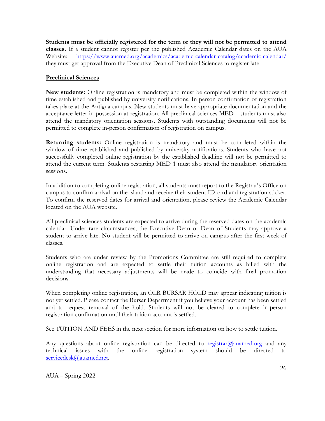**Students must be officially registered for the term or they will not be permitted to attend classes.** If a student cannot register per the published Academic Calendar dates on the AUA Website: <https://www.auamed.org/academics/academic-calendar-catalog/academic-calendar/> they must get approval from the Executive Dean of Preclinical Sciences to register late

#### **Preclinical Sciences**

**New students:** Online registration is mandatory and must be completed within the window of time established and published by university notifications. In-person confirmation of registration takes place at the Antigua campus. New students must have appropriate documentation and the acceptance letter in possession at registration. All preclinical sciences MED 1 students must also attend the mandatory orientation sessions. Students with outstanding documents will not be permitted to complete in-person confirmation of registration on campus.

**Returning students:** Online registration is mandatory and must be completed within the window of time established and published by university notifications. Students who have not successfully completed online registration by the established deadline will not be permitted to attend the current term. Students restarting MED 1 must also attend the mandatory orientation sessions.

In addition to completing online registration, all students must report to the Registrar's Office on campus to confirm arrival on the island and receive their student ID card and registration sticker. To confirm the reserved dates for arrival and orientation, please review the Academic Calendar located on the AUA website.

All preclinical sciences students are expected to arrive during the reserved dates on the academic calendar. Under rare circumstances, the Executive Dean or Dean of Students may approve a student to arrive late. No student will be permitted to arrive on campus after the first week of classes.

Students who are under review by the Promotions Committee are still required to complete online registration and are expected to settle their tuition accounts as billed with the understanding that necessary adjustments will be made to coincide with final promotion decisions.

When completing online registration, an OLR BURSAR HOLD may appear indicating tuition is not yet settled. Please contact [the](mailto:bursar@auamed.org) Bursar Department if you believe your account has been settled and to request removal of the hold. Students will not be cleared to complete in-person registration confirmation until their tuition account is settled.

See TUITION AND FEES in the next section for more information on how to settle tuition.

Any questions about online registration can be directed to [registrar@auamed.org](mailto:registrar@auamed.org) and any technical issues with the online registration system should be directed to [servicedesk@auamed.net.](mailto:helpdesk@auamed.net)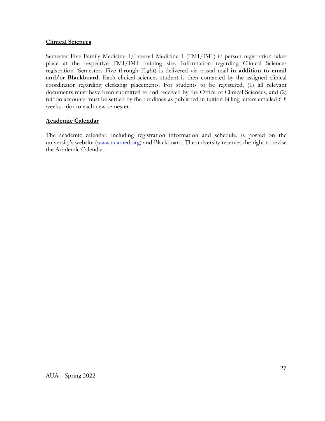#### **Clinical Sciences**

Semester Five Family Medicine 1/Internal Medicine 1 (FM1/IM1) in-person registration takes place at the respective FM1/IM1 training site. Information regarding Clinical Sciences registration (Semesters Five through Eight) is delivered via postal mail **in addition to email**  and/or Blackboard. Each clinical sciences student is then contacted by the assigned clinical coordinator regarding clerkship placements. For students to be registered, (1) all relevant documents must have been submitted to and received by the Office of Clinical Sciences, and (2) tuition accounts must be settled by the deadlines as published in tuition billing letters emailed 6-8 weeks prior to each new semester.

#### **Academic Calendar**

The academic calendar, including registration information and schedule, is posted on the university's website [\(www.auamed.org\)](http://www.auamed.org/) and Blackboard. The university reserves the right to revise the Academic Calendar.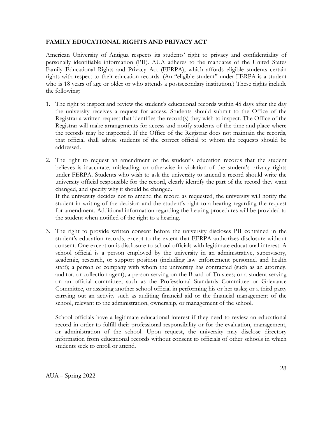#### **FAMILY EDUCATIONAL RIGHTS AND PRIVACY ACT**

American University of Antigua respects its students' right to privacy and confidentiality of personally identifiable information (PII). AUA adheres to the mandates of the United States Family Educational Rights and Privacy Act (FERPA), which affords eligible students certain rights with respect to their education records. (An "eligible student" under FERPA is a student who is 18 years of age or older or who attends a postsecondary institution.) These rights include the following:

- 1. The right to inspect and review the student's educational records within 45 days after the day the university receives a request for access. Students should submit to the Office of the Registrar a written request that identifies the record(s) they wish to inspect. The Office of the Registrar will make arrangements for access and notify students of the time and place where the records may be inspected. If the Office of the Registrar does not maintain the records, that official shall advise students of the correct official to whom the requests should be addressed.
- 2. The right to request an amendment of the student's education records that the student believes is inaccurate, misleading, or otherwise in violation of the student's privacy rights under FERPA. Students who wish to ask the university to amend a record should write the university official responsible for the record, clearly identify the part of the record they want changed, and specify why it should be changed.

If the university decides not to amend the record as requested, the university will notify the student in writing of the decision and the student's right to a hearing regarding the request for amendment. Additional information regarding the hearing procedures will be provided to the student when notified of the right to a hearing.

3. The right to provide written consent before the university discloses PII contained in the student's education records, except to the extent that FERPA authorizes disclosure without consent. One exception is disclosure to school officials with legitimate educational interest. A school official is a person employed by the university in an administrative, supervisory, academic, research, or support position (including law enforcement personnel and health staff); a person or company with whom the university has contracted (such as an attorney, auditor, or collection agent); a person serving on the Board of Trustees; or a student serving on an official committee, such as the Professional Standards Committee or Grievance Committee, or assisting another school official in performing his or her tasks; or a third party carrying out an activity such as auditing financial aid or the financial management of the school, relevant to the administration, ownership, or management of the school.

School officials have a legitimate educational interest if they need to review an educational record in order to fulfill their professional responsibility or for the evaluation, management, or administration of the school. Upon request, the university may disclose directory information from educational records without consent to officials of other schools in which students seek to enroll or attend.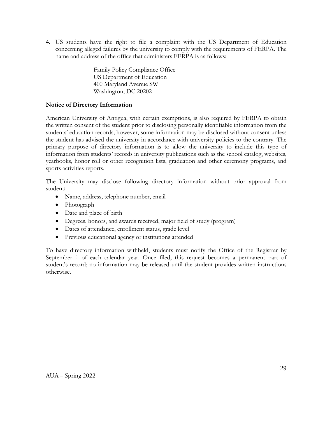4. US students have the right to file a complaint with the US Department of Education concerning alleged failures by the university to comply with the requirements of FERPA. The name and address of the office that administers FERPA is as follows:

> Family Policy Compliance Office US Department of Education 400 Maryland Avenue SW Washington, DC 20202

#### **Notice of Directory Information**

American University of Antigua, with certain exemptions, is also required by FERPA to obtain the written consent of the student prior to disclosing personally identifiable information from the students' education records; however, some information may be disclosed without consent unless the student has advised the university in accordance with university policies to the contrary. The primary purpose of directory information is to allow the university to include this type of information from students' records in university publications such as the school catalog, websites, yearbooks, honor roll or other recognition lists, graduation and other ceremony programs, and sports activities reports.

The University may disclose following directory information without prior approval from student**:**

- Name, address, telephone number, email
- Photograph
- Date and place of birth
- Degrees, honors, and awards received, major field of study (program)
- Dates of attendance, enrollment status, grade level
- Previous educational agency or institutions attended

To have directory information withheld, students must notify the Office of the Registrar by September 1 of each calendar year. Once filed, this request becomes a permanent part of student's record; no information may be released until the student provides written instructions otherwise.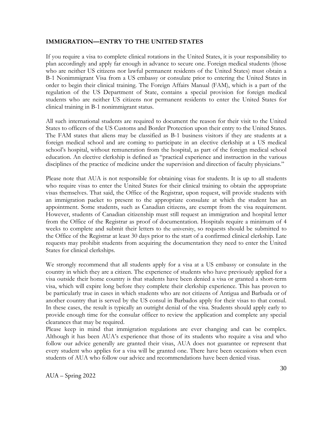#### **IMMIGRATION—ENTRY TO THE UNITED STATES**

If you require a visa to complete clinical rotations in the United States, it is your responsibility to plan accordingly and apply far enough in advance to secure one. Foreign medical students (those who are neither US citizens nor lawful permanent residents of the United States) must obtain a B-1 Nonimmigrant Visa from a US embassy or consulate prior to entering the United States in order to begin their clinical training. The Foreign Affairs Manual (FAM), which is a part of the regulation of the US Department of State, contains a special provision for foreign medical students who are neither US citizens nor permanent residents to enter the United States for clinical training in B-1 nonimmigrant status.

All such international students are required to document the reason for their visit to the United States to officers of the US Customs and Border Protection upon their entry to the United States. The FAM states that aliens may be classified as B-1 business visitors if they are students at a foreign medical school and are coming to participate in an elective clerkship at a US medical school's hospital, without remuneration from the hospital, as part of the foreign medical school education. An elective clerkship is defined as "practical experience and instruction in the various disciplines of the practice of medicine under the supervision and direction of faculty physicians."

Please note that AUA is not responsible for obtaining visas for students. It is up to all students who require visas to enter the United States for their clinical training to obtain the appropriate visas themselves. That said, the Office of the Registrar, upon request, will provide students with an immigration packet to present to the appropriate consulate at which the student has an appointment. Some students, such as Canadian citizens, are exempt from the visa requirement. However, students of Canadian citizenship must still request an immigration and hospital letter from the Office of the Registrar as proof of documentation. Hospitals require a minimum of 4 weeks to complete and submit their letters to the university, so requests should be submitted to the Office of the Registrar at least 30 days prior to the start of a confirmed clinical clerkship. Late requests may prohibit students from acquiring the documentation they need to enter the United States for clinical clerkships.

We strongly recommend that all students apply for a visa at a US embassy or consulate in the country in which they are a citizen. The experience of students who have previously applied for a visa outside their home country is that students have been denied a visa or granted a short-term visa, which will expire long before they complete their clerkship experience. This has proven to be particularly true in cases in which students who are not citizens of Antigua and Barbuda or of another country that is served by the US consul in Barbados apply for their visas to that consul. In these cases, the result is typically an outright denial of the visa. Students should apply early to provide enough time for the consular officer to review the application and complete any special clearances that may be required.

Please keep in mind that immigration regulations are ever changing and can be complex. Although it has been AUA's experience that those of its students who require a visa and who follow our advice generally are granted their visas, AUA does not guarantee or represent that every student who applies for a visa will be granted one. There have been occasions when even students of AUA who follow our advice and recommendations have been denied visas.

AUA – Spring 2022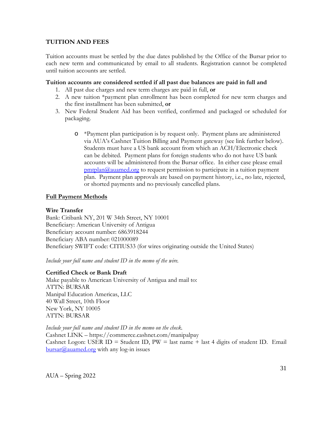#### **TUITION AND FEES**

Tuition accounts must be settled by the due dates published by the Office of the Bursar prior to each new term and communicated by email to all students. Registration cannot be completed until tuition accounts are settled.

#### **Tuition accounts are considered settled if all past due balances are paid in full and**

- 1. All past due charges and new term charges are paid in full, **or**
- 2. A new tuition \*payment plan enrollment has been completed for new term charges and the first installment has been submitted, **or**
- 3. New Federal Student Aid has been verified, confirmed and packaged or scheduled for packaging.
	- o \*Payment plan participation is by request only. Payment plans are administered via AUA's Cashnet Tuition Billing and Payment gateway (see link further below). Students must have a US bank account from which an ACH/Electronic check can be debited. Payment plans for foreign students who do not have US bank accounts will be administered from the Bursar office. In either case please email  $pmtplan@auamed.org$  to request permission to participate in a tuition payment plan. Payment plan approvals are based on payment history, i.e., no late, rejected, or shorted payments and no previously cancelled plans.

#### **Full Payment Methods**

#### **Wire Transfer**

Bank: Citibank NY, 201 W 34th Street, NY 10001 Beneficiary: American University of Antigua Beneficiary account number: 6863918244 Beneficiary ABA number: 021000089 Beneficiary SWIFT code: CITIUS33 (for wires originating outside the United States)

*Include your full name and student ID in the memo of the wire.*

#### **Certified Check or Bank Draft**

Make payable to American University of Antigua and mail to: ATTN: BURSAR Manipal Education Americas, LLC 40 Wall Street, 10th Floor New York, NY 10005 ATTN: BURSAR

*Include your full name and student ID in the memo on the check.*  Cashnet LINK – https://commerce.cashnet.com/manipalpay Cashnet Logon: USER ID = Student ID,  $PW =$  last name + last 4 digits of student ID. Email  $bursar@auumed.org$  with any log-in issues

AUA – Spring 2022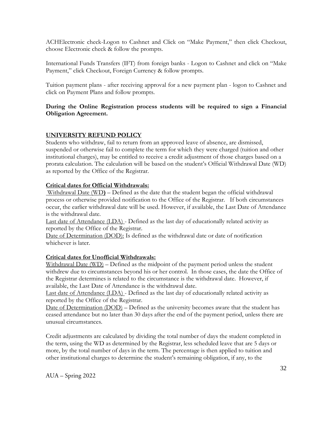ACHElectronic check-Logon to Cashnet and Click on "Make Payment," then click Checkout, choose Electronic check & follow the prompts.

International Funds Transfers (IFT) from foreign banks - Logon to Cashnet and click on "Make Payment," click Checkout, Foreign Currency & follow prompts.

Tuition payment plans - after receiving approval for a new payment plan - logon to Cashnet and click on Payment Plans and follow prompts.

#### **During the Online Registration process students will be required to sign a Financial Obligation Agreement.**

#### **UNIVERSITY REFUND POLICY**

Students who withdraw, fail to return from an approved leave of absence, are dismissed, suspended or otherwise fail to complete the term for which they were charged (tuition and other institutional charges), may be entitled to receive a credit adjustment of those charges based on a prorata calculation. The calculation will be based on the student's Official Withdrawal Date (WD) as reported by the Office of the Registrar.

#### **Critical dates for Official Withdrawals:**

Withdrawal Date (WD**)** – Defined as the date that the student began the official withdrawal process or otherwise provided notification to the Office of the Registrar. If both circumstances occur, the earlier withdrawal date will be used. However, if available, the Last Date of Attendance is the withdrawal date.

Last date of Attendance (LDA) - Defined as the last day of educationally related activity as reported by the Office of the Registrar.

Date of Determination (DOD): Is defined as the withdrawal date or date of notification whichever is later.

# **Critical dates for Unofficial Withdrawals:**

Withdrawal Date (WD) – Defined as the midpoint of the payment period unless the student withdrew due to circumstances beyond his or her control. In those cases, the date the Office of the Registrar determines is related to the circumstance is the withdrawal date. However, if available, the Last Date of Attendance is the withdrawal date.

Last date of Attendance (LDA) - Defined as the last day of educationally related activity as reported by the Office of the Registrar.

Date of Determination (DOD) – Defined as the university becomes aware that the student has ceased attendance but no later than 30 days after the end of the payment period, unless there are unusual circumstances.

Credit adjustments are calculated by dividing the total number of days the student completed in the term, using the WD as determined by the Registrar, less scheduled leave that are 5 days or more, by the total number of days in the term. The percentage is then applied to tuition and other institutional charges to determine the student's remaining obligation, if any, to the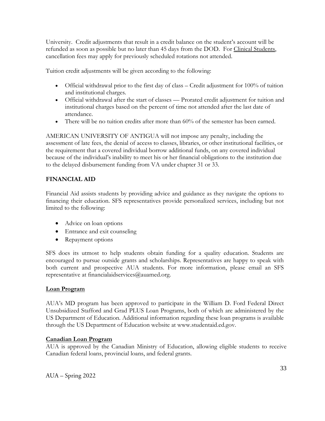University. Credit adjustments that result in a credit balance on the student's account will be refunded as soon as possible but no later than 45 days from the DOD. For Clinical Students, cancellation fees may apply for previously scheduled rotations not attended.

Tuition credit adjustments will be given according to the following:

- Official withdrawal prior to the first day of class Credit adjustment for  $100\%$  of tuition and institutional charges.
- Official withdrawal after the start of classes Prorated credit adjustment for tuition and institutional charges based on the percent of time not attended after the last date of attendance.
- There will be no tuition credits after more than 60% of the semester has been earned.

AMERICAN UNIVERSITY OF ANTIGUA will not impose any penalty, including the assessment of late fees, the denial of access to classes, libraries, or other institutional facilities, or the requirement that a covered individual borrow additional funds, on any covered individual because of the individual's inability to meet his or her financial obligations to the institution due to the delayed disbursement funding from VA under chapter 31 or 33.

## **FINANCIAL AID**

Financial Aid assists students by providing advice and guidance as they navigate the options to financing their education. SFS representatives provide personalized services, including but not limited to the following:

- Advice on loan options
- Entrance and exit counseling
- Repayment options

SFS does its utmost to help students obtain funding for a quality education. Students are encouraged to pursue outside grants and scholarships. Representatives are happy to speak with both current and prospective AUA students. For more information, please email an SFS representative at financialaidservices $@$ auamed.org.

#### **Loan Program**

AUA's MD program has been approved to participate in the William D. Ford Federal Direct Unsubsidized Stafford and Grad PLUS Loan Programs, both of which are administered by the US Department of Education. Additional information regarding these loan programs is available through the US Department of Education website at [www.studentaid.ed.gov.](http://www.studentaid.ed.gov/)

#### **Canadian Loan Program**

AUA is approved by the Canadian Ministry of Education, allowing eligible students to receive Canadian federal loans, provincial loans, and federal grants.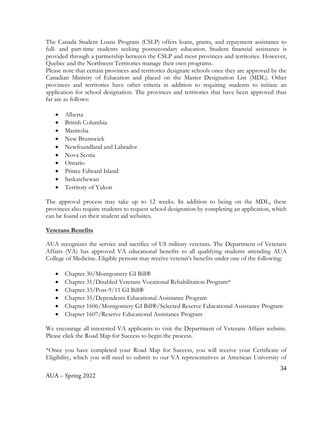The Canada Student Loans Program (CSLP) offers loans, grants, and repayment assistance to full- and part-time students seeking postsecondary education. Student financial assistance is provided through a partnership between the CSLP and most provinces and territories. However, Quebec and the Northwest Territories manage their own programs.

Please note that certain provinces and territories designate schools once they are approved by the Canadian Ministry of Education and placed on the Master Designation List (MDL). Other provinces and territories have other criteria in addition to requiring students to initiate an application for school designation. The provinces and territories that have been approved thus far are as follows:

- Alberta
- British Columbia
- Manitoba
- New Brunswick
- Newfoundland and Labrador
- Nova Scotia
- Ontario
- Prince Edward Island
- Saskatchewan
- Territory of Yukon

The approval process may take up to 12 weeks. In addition to being on the MDL, these provinces also require students to request school designation by completing an application, which can be found on their student aid websites.

#### **Veterans Benefits**

AUA recognizes the service and sacrifice of US military veterans. The Department of Veterans Affairs (VA) has approved VA educational benefits to all qualifying students attending AUA College of Medicine. Eligible persons may receive veteran's benefits under one of the following:

- Chapter 30/Montgomery GI Bill®
- Chapter 31/Disabled Veterans Vocational Rehabilitation Program\*
- Chapter 33/Post-9/11 GI Bill®
- Chapter 35/Dependents Educational Assistance Program
- Chapter 1606/Montgomery GI Bill®/Selected Reserve Educational Assistance Program
- Chapter 1607/Reserve Educational Assistance Program

We encourage all interested VA applicants to visit the Department of Veterans Affairs website. Please click the Road Map for Success to begin the process.

\*Once you have completed your Road Map for Success, you will receive your Certificate of Eligibility, which you will need to submit to our VA representatives at American University of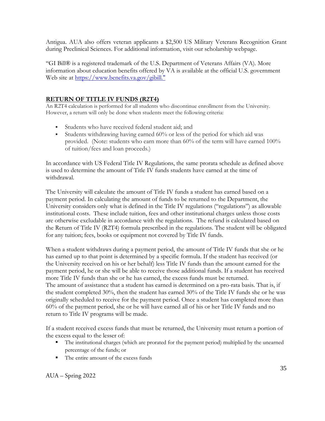Antigua. AUA also offers veteran applicants a \$2,500 US Military Veterans Recognition Grant during Preclinical Sciences. For additional information, visit our scholarship webpage.

''GI Bill® is a registered trademark of the U.S. Department of Veterans Affairs (VA). More information about education benefits offered by VA is available at the official U.S. government Web site at [https://www.benefits.va.gov/gibill."](https://benefits.va.gov/gibill/index.asp)

### **RETURN OF TITLE IV FUNDS (R2T4)**

An R2T4 calculation is performed for all students who discontinue enrollment from the University. However, a return will only be done when students meet the following criteria:

- Students who have received federal student aid; and
- Students withdrawing having earned 60% or less of the period for which aid was provided. (Note: students who earn more than 60% of the term will have earned 100% of tuition/fees and loan proceeds.)

In accordance with US Federal Title IV Regulations, the same prorata schedule as defined above is used to determine the amount of Title IV funds students have earned at the time of withdrawal.

The University will calculate the amount of Title IV funds a student has earned based on a payment period. In calculating the amount of funds to be returned to the Department, the University considers only what is defined in the Title IV regulations ("regulations") as allowable institutional costs. These include tuition, fees and other institutional charges unless those costs are otherwise excludable in accordance with the regulations. The refund is calculated based on the Return of Title IV (R2T4) formula prescribed in the regulations. The student will be obligated for any tuition; fees, books or equipment not covered by Title IV funds.

When a student withdraws during a payment period, the amount of Title IV funds that she or he has earned up to that point is determined by a specific formula. If the student has received (or the University received on his or her behalf) less Title IV funds than the amount earned for the payment period, he or she will be able to receive those additional funds. If a student has received more Title IV funds than she or he has earned, the excess funds must be returned. The amount of assistance that a student has earned is determined on a pro-rata basis. That is, if the student completed 30%, then the student has earned 30% of the Title IV funds she or he was originally scheduled to receive for the payment period. Once a student has completed more than 60% of the payment period, she or he will have earned all of his or her Title IV funds and no return to Title IV programs will be made.

If a student received excess funds that must be returned, the University must return a portion of the excess equal to the lesser of:

- The institutional charges (which are prorated for the payment period) multiplied by the unearned percentage of the funds; or
- The entire amount of the excess funds

AUA – Spring 2022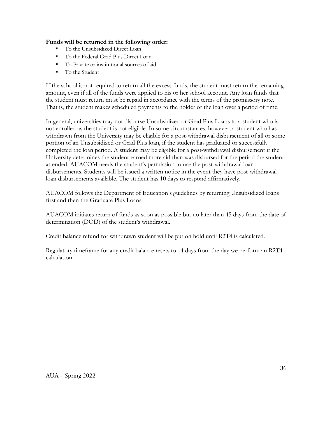#### **Funds will be returned in the following order:**

- To the Unsubsidized Direct Loan
- To the Federal Grad Plus Direct Loan
- To Private or institutional sources of aid
- To the Student

If the school is not required to return all the excess funds, the student must return the remaining amount, even if all of the funds were applied to his or her school account. Any loan funds that the student must return must be repaid in accordance with the terms of the promissory note. That is, the student makes scheduled payments to the holder of the loan over a period of time.

In general, universities may not disburse Unsubsidized or Grad Plus Loans to a student who is not enrolled as the student is not eligible. In some circumstances, however, a student who has withdrawn from the University may be eligible for a post-withdrawal disbursement of all or some portion of an Unsubsidized or Grad Plus loan, if the student has graduated or successfully completed the loan period. A student may be eligible for a post-withdrawal disbursement if the University determines the student earned more aid than was disbursed for the period the student attended. AUACOM needs the student's permission to use the post-withdrawal loan disbursements. Students will be issued a written notice in the event they have post-withdrawal loan disbursements available. The student has 10 days to respond affirmatively.

AUACOM follows the Department of Education's guidelines by returning Unsubsidized loans first and then the Graduate Plus Loans.

AUACOM initiates return of funds as soon as possible but no later than 45 days from the date of determination (DOD) of the student's withdrawal.

Credit balance refund for withdrawn student will be put on hold until R2T4 is calculated.

Regulatory timeframe for any credit balance resets to 14 days from the day we perform an R2T4 calculation.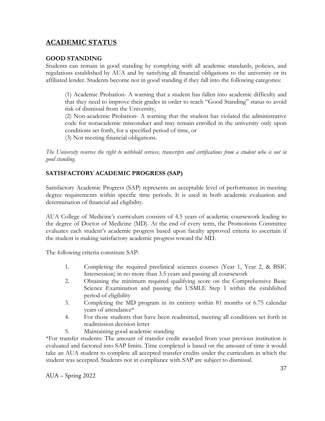# **ACADEMIC STATUS**

## **GOOD STANDING**

Students can remain in good standing by complying with all academic standards, policies, and regulations established by AUA and by satisfying all financial obligations to the university or its affiliated lender. Students become not in good standing if they fall into the following categories:

(1) Academic Probation- A warning that a student has fallen into academic difficulty and that they need to improve their grades in order to reach "Good Standing" status to avoid risk of dismissal from the University,

(2) Non-academic Probation- A warning that the student has violated the administrative code for nonacademic misconduct and may remain enrolled in the university only upon conditions set forth, for a specified period of time, or

(3) Not meeting financial obligations.

*The University reserves the right to withhold services, transcripts and certifications from a student who is not in good standing.*

# **SATISFACTORY ACADEMIC PROGRESS (SAP)**

Satisfactory Academic Progress (SAP) represents an acceptable level of performance in meeting degree requirements within specific time periods. It is used in both academic evaluation and determination of financial aid eligibility.

AUA College of Medicine's curriculum consists of 4.5 years of academic coursework leading to the degree of Doctor of Medicine (MD). At the end of every term, the Promotions Committee evaluates each student's academic progress based upon faculty approved criteria to ascertain if the student is making satisfactory academic progress toward the MD.

The following criteria constitute SAP:

- 1. Completing the required preclinical sciences courses (Year 1, Year 2, & BSIC Intersession) in no more than 3.5 years and passing all coursework
- 2. Obtaining the minimum required qualifying score on the Comprehensive Basic Science Examination and passing the USMLE Step 1 within the established period of eligibility
- 3. Completing the MD program in its entirety within 81 months or 6.75 calendar years of attendance\*
- 4. For those students that have been readmitted, meeting all conditions set forth in readmission decision letter
- 5. Maintaining good academic standing

\*For transfer students: The amount of transfer credit awarded from your previous institution is evaluated and factored into SAP limits. Time completed is based on the amount of time it would take an AUA student to complete all accepted transfer credits under the curriculum in which the student was accepted. Students not in compliance with SAP are subject to dismissal.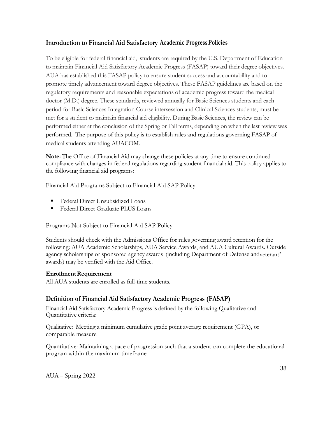# **Introduction to Financial Aid Satisfactory Academic ProgressPolicies**

To be eligible for federal financial aid, students are required by the U.S. Department of Education to maintain Financial Aid Satisfactory Academic Progress (FASAP) toward their degree objectives. AUA has established this FASAP policy to ensure student success and accountability and to promote timely advancement toward degree objectives. These FASAP guidelines are based on the regulatory requirements and reasonable expectations of academic progress toward the medical doctor (M.D.) degree. These standards, reviewed annually for Basic Sciences students and each period for Basic Sciences Integration Course intersession and Clinical Sciences students, must be met for a student to maintain financial aid eligibility. During Basic Sciences, the review can be performed either at the conclusion of the Spring or Fall terms, depending on when the last review was performed. The purpose of this policy is to establish rules and regulations governing FASAP of medical students attending AUACOM.

**Note:** The Office of Financial Aid may change these policies at any time to ensure continued compliance with changes in federal regulations regarding student financial aid. This policy applies to the following financial aid programs:

Financial Aid Programs Subject to Financial Aid SAP Policy

- Federal Direct Unsubsidized Loans
- Federal Direct Graduate PLUS Loans

Programs Not Subject to Financial Aid SAP Policy

Students should check with the Admissions Office for rules governing award retention for the following: AUA Academic Scholarships, AUA Service Awards, and AUA Cultural Awards. Outside agency scholarships or sponsored agency awards (including Department of Defense andveterans' awards) may be verified with the Aid Office.

## **Enrollment Requirement**

All AUA students are enrolled as full-time students.

# **Definition of Financial Aid Satisfactory Academic Progress (FASAP)**

Financial Aid Satisfactory Academic Progress is defined by the following Qualitative and Quantitative criteria:

Qualitative: Meeting a minimum cumulative grade point average requirement (GPA), or comparable measure

Quantitative: Maintaining a pace of progression such that a student can complete the educational program within the maximum timeframe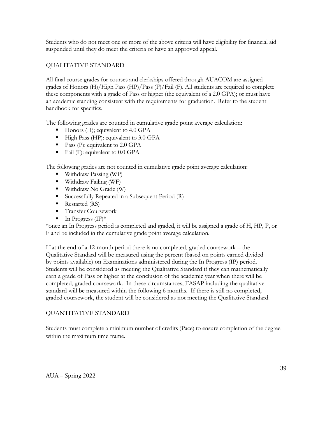Students who do not meet one or more of the above criteria will have eligibility for financial aid suspended until they do meet the criteria or have an approved appeal.

## QUALITATIVE STANDARD

All final course grades for courses and clerkships offered through AUACOM are assigned grades of Honors (H)/High Pass (HP)/Pass (P)/Fail (F). All students are required to complete these components with a grade of Pass or higher (the equivalent of a 2.0 GPA); or must have an academic standing consistent with the requirements for graduation. Refer to the student handbook for specifics.

The following grades are counted in cumulative grade point average calculation:

- $\blacksquare$  Honors (H); equivalent to 4.0 GPA
- High Pass (HP): equivalent to 3.0 GPA
- **Pass (P): equivalent to 2.0 GPA**
- Fail (F): equivalent to  $0.0$  GPA

The following grades are not counted in cumulative grade point average calculation:

- Withdraw Passing (WP)
- Withdraw Failing (WF)
- Withdraw No Grade (W)
- Successfully Repeated in a Subsequent Period (R)
- Restarted (RS)
- Transfer Coursework
- $\blacksquare$  In Progress (IP)\*

\*once an In Progress period is completed and graded, it will be assigned a grade of H, HP, P, or F and be included in the cumulative grade point average calculation.

If at the end of a 12-month period there is no completed, graded coursework – the Qualitative Standard will be measured using the percent (based on points earned divided by points available) on Examinations administered during the In Progress (IP) period. Students will be considered as meeting the Qualitative Standard if they can mathematically earn a grade of Pass or higher at the conclusion of the academic year when there will be completed, graded coursework. In these circumstances, FASAP including the qualitative standard will be measured within the following 6 months. If there is still no completed, graded coursework, the student will be considered as not meeting the Qualitative Standard.

## QUANTITATIVE STANDARD

Students must complete a minimum number of credits (Pace) to ensure completion of the degree within the maximum time frame.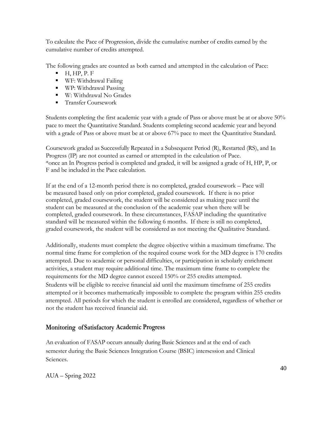To calculate the Pace of Progression, divide the cumulative number of credits earned by the cumulative number of credits attempted.

The following grades are counted as both earned and attempted in the calculation of Pace:

- $H, HP, P. F$
- WF: Withdrawal Failing
- WP: Withdrawal Passing
- W: Withdrawal No Grades
- Transfer Coursework

Students completing the first academic year with a grade of Pass or above must be at or above 50% pace to meet the Quantitative Standard. Students completing second academic year and beyond with a grade of Pass or above must be at or above 67% pace to meet the Quantitative Standard.

Coursework graded as Successfully Repeated in a Subsequent Period (R), Restarted (RS), and In Progress (IP) are not counted as earned or attempted in the calculation of Pace. \*once an In Progress period is completed and graded, it will be assigned a grade of H, HP, P, or F and be included in the Pace calculation.

If at the end of a 12-month period there is no completed, graded coursework – Pace will be measured based only on prior completed, graded coursework. If there is no prior completed, graded coursework, the student will be considered as making pace until the student can be measured at the conclusion of the academic year when there will be completed, graded coursework. In these circumstances, FASAP including the quantitative standard will be measured within the following 6 months. If there is still no completed, graded coursework, the student will be considered as not meeting the Qualitative Standard.

Additionally, students must complete the degree objective within a maximum timeframe. The normal time frame for completion of the required course work for the MD degree is 170 credits attempted. Due to academic or personal difficulties, or participation in scholarly enrichment activities, a student may require additional time. The maximum time frame to complete the requirements for the MD degree cannot exceed 150% or 255 credits attempted. Students will be eligible to receive financial aid until the maximum timeframe of 255 credits attempted or it becomes mathematically impossible to complete the program within 255 credits attempted. All periods for which the student is enrolled are considered, regardless of whether or not the student has received financial aid.

# **Monitoring of Satisfactory Academic Progress**

An evaluation of FASAP occurs annually during Basic Sciences and at the end of each semester during the Basic Sciences Integration Course (BSIC) intersession and Clinical Sciences.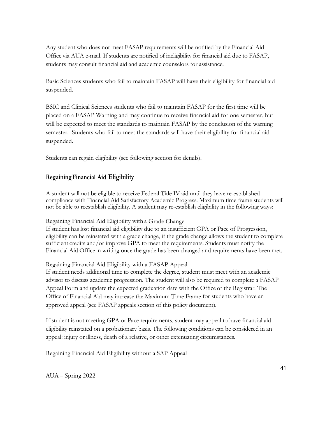Any student who does not meet FASAP requirements will be notified by the Financial Aid Office via AUA e-mail. If students are notified of ineligibility for financial aid due to FASAP, students may consult financial aid and academic counselors for assistance.

Basic Sciences students who fail to maintain FASAP will have their eligibility for financial aid suspended.

BSIC and Clinical Sciences students who fail to maintain FASAP for the first time will be placed on a FASAP Warning and may continue to receive financial aid for one semester, but will be expected to meet the standards to maintain FASAP by the conclusion of the warning semester. Students who fail to meet the standards will have their eligibility for financial aid suspended.

Students can regain eligibility (see following section for details).

## **RegainingFinancial Aid Eligibility**

A student will not be eligible to receive Federal Title IV aid until they have re-established compliance with Financial Aid Satisfactory Academic Progress. Maximum time frame students will not be able to reestablish eligibility. A student may re-establish eligibility in the following ways:

Regaining Financial Aid Eligibility with a Grade Change

If student has lost financial aid eligibility due to an insufficient GPA or Pace of Progression, eligibility can be reinstated with a grade change, if the grade change allows the student to complete sufficient credits and/or improve GPA to meet the requirements. Students must notify the Financial Aid Office in writing once the grade has been changed and requirements have been met.

### Regaining Financial Aid Eligibility with a FASAP Appeal

If student needs additional time to complete the degree, student must meet with an academic advisor to discuss academic progression. The student will also be required to complete a FASAP Appeal Form and update the expected graduation date with the Office of the Registrar. The Office of Financial Aid may increase the Maximum Time Frame for students who have an approved appeal (see FASAP appeals section of this policy document).

If student is not meeting GPA or Pace requirements, student may appeal to have financial aid eligibility reinstated on a probationary basis. The following conditions can be considered in an appeal: injury or illness, death of a relative, or other extenuating circumstances.

Regaining Financial Aid Eligibility without a SAP Appeal

AUA – Spring 2022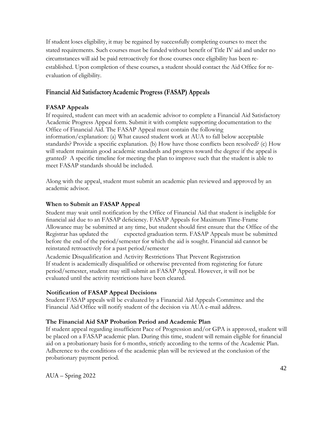If student loses eligibility, it may be regained by successfully completing courses to meet the stated requirements. Such courses must be funded without benefit of Title IV aid and under no circumstances will aid be paid retroactively for those courses once eligibility has been reestablished. Upon completion of these courses, a student should contact the Aid Office for reevaluation of eligibility.

## **Financial Aid SatisfactoryAcademic Progress (FASAP) Appeals**

## **FASAP Appeals**

If required, student can meet with an academic advisor to complete a Financial Aid Satisfactory Academic Progress Appeal form. Submit it with complete supporting documentation to the Office of Financial Aid. The FASAP Appeal must contain the following information/explanation: (a) What caused student work at AUA to fall below acceptable standards? Provide a specific explanation. (b) How have those conflicts been resolved? (c) How will student maintain good academic standards and progress toward the degree if the appeal is granted? A specific timeline for meeting the plan to improve such that the student is able to meet FASAP standards should be included.

Along with the appeal, student must submit an academic plan reviewed and approved by an academic advisor.

### **When to Submit an FASAP Appeal**

Student may wait until notification by the Office of Financial Aid that student is ineligible for financial aid due to an FASAP deficiency. FASAP Appeals for Maximum Time-Frame Allowance may be submitted at any time, but student should first ensure that the Office of the Registrar has updated the expected graduation term. FASAP Appeals must be submitted before the end of the period/semester for which the aid is sought. Financial aid cannot be reinstated retroactively for a past period/semester

Academic Disqualification and Activity Restrictions That Prevent Registration If student is academically disqualified or otherwise prevented from registering for future period/semester, student may still submit an FASAP Appeal. However, it will not be evaluated until the activity restrictions have been cleared.

### **Notification of FASAP Appeal Decisions**

Student FASAP appeals will be evaluated by a Financial Aid Appeals Committee and the Financial Aid Office will notify student of the decision via AUA e-mail address.

## **The Financial Aid SAP Probation Period and Academic Plan**

If student appeal regarding insufficient Pace of Progression and/or GPA is approved, student will be placed on a FASAP academic plan. During this time, student will remain eligible for financial aid on a probationary basis for 6 months, strictly according to the terms of the Academic Plan. Adherence to the conditions of the academic plan will be reviewed at the conclusion of the probationary payment period.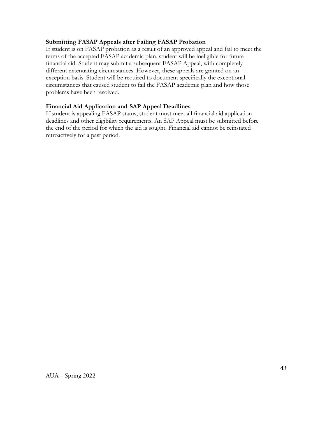### **Submitting FASAP Appeals after Failing FASAP Probation**

If student is on FASAP probation as a result of an approved appeal and fail to meet the terms of the accepted FASAP academic plan, student will be ineligible for future financial aid. Student may submit a subsequent FASAP Appeal, with completely different extenuating circumstances. However, these appeals are granted on an exception basis. Student will be required to document specifically the exceptional circumstances that caused student to fail the FASAP academic plan and how those problems have been resolved.

### **Financial Aid Application and SAP Appeal Deadlines**

If student is appealing FASAP status, student must meet all financial aid application deadlines and other eligibility requirements. An SAP Appeal must be submitted before the end of the period for which the aid is sought. Financial aid cannot be reinstated retroactively for a past period.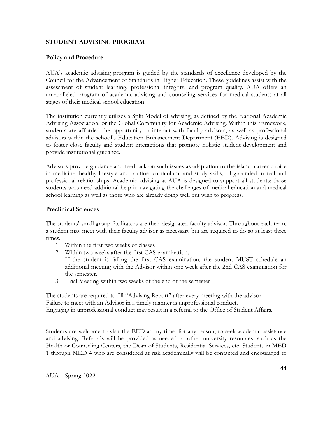### **STUDENT ADVISING PROGRAM**

#### **Policy and Procedure**

AUA's academic advising program is guided by the standards of excellence developed by the Council for the Advancement of Standards in Higher Education. These guidelines assist with the assessment of student learning, professional integrity, and program quality. AUA offers an unparalleled program of academic advising and counseling services for medical students at all stages of their medical school education.

The institution currently utilizes a Split Model of advising, as defined by the National Academic Advising Association, or the Global Community for Academic Advising. Within this framework, students are afforded the opportunity to interact with faculty advisors, as well as professional advisors within the school's Education Enhancement Department (EED). Advising is designed to foster close faculty and student interactions that promote holistic student development and provide institutional guidance.

Advisors provide guidance and feedback on such issues as adaptation to the island, career choice in medicine, healthy lifestyle and routine, curriculum, and study skills, all grounded in real and professional relationships. Academic advising at AUA is designed to support all students: those students who need additional help in navigating the challenges of medical education and medical school learning as well as those who are already doing well but wish to progress.

#### **Preclinical Sciences**

The students' small group facilitators are their designated faculty advisor. Throughout each term, a student may meet with their faculty advisor as necessary but are required to do so at least three times.

- 1. Within the first two weeks of classes
- 2. Within two weeks after the first CAS examination.
	- If the student is failing the first CAS examination, the student MUST schedule an additional meeting with the Advisor within one week after the 2nd CAS examination for the semester.
- 3. Final Meeting-within two weeks of the end of the semester

The students are required to fill "Advising Report" after every meeting with the advisor. Failure to meet with an Advisor in a timely manner is unprofessional conduct. Engaging in unprofessional conduct may result in a referral to the Office of Student Affairs.

Students are welcome to visit the EED at any time, for any reason, to seek academic assistance and advising. Referrals will be provided as needed to other university resources, such as the Health or Counseling Centers, the Dean of Students, Residential Services, etc. Students in MED 1 through MED 4 who are considered at risk academically will be contacted and encouraged to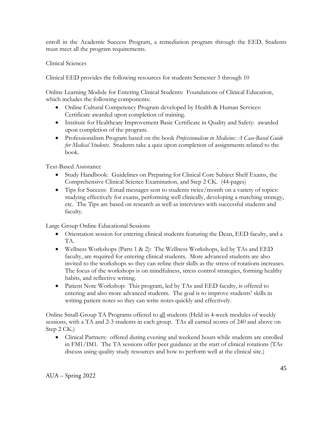enroll in the Academic Success Program, a remediation program through the EED. Students must meet all the program requirements.

### Clinical Sciences

Clinical EED provides the following resources for students Semester 5 through 10

Online Learning Module for Entering Clinical Students: Foundations of Clinical Education, which includes the following components:

- Online Cultural Competency Program developed by Health & Human Services: Certificate awarded upon completion of training.
- Institute for Healthcare Improvement Basic Certificate in Quality and Safety: awarded upon completion of the program.
- Professionalism Program based on the book *Professionalism in Medicine: A Case-Based Guide for Medical Students*. Students take a quiz upon completion of assignments related to the book.

Text-Based Assistance

- Study Handbook: Guidelines on Preparing for Clinical Core Subject Shelf Exams, the Comprehensive Clinical Science Examination, and Step 2 CK. (44-pages)
- Tips for Success: Email messages sent to students twice/month on a variety of topics: studying effectively for exams, performing well clinically, developing a matching strategy, etc. The Tips are based on research as well as interviews with successful students and faculty.

Large Group Online Educational Sessions

- Orientation session for entering clinical students featuring the Dean, EED faculty, and a TA.
- Wellness Workshops (Parts  $1 \& 2$ ): The Wellness Workshops, led by TAs and EED faculty, are required for entering clinical students. More advanced students are also invited to the workshops so they can refine their skills as the stress of rotations increases. The focus of the workshops is on mindfulness, stress control strategies, forming healthy habits, and reflective writing.
- Patient Note Workshop: This program, led by TAs and EED faculty, is offered to entering and also more advanced students. The goal is to improve students' skills in writing patient notes so they can write notes quickly and effectively.

Online Small-Group TA Programs offered to all students (Held in 4-week modules of weekly sessions, with a TA and 2-3 students in each group. TAs all earned scores of 240 and above on Step 2 CK.)

• Clinical Partners: offered during evening and weekend hours while students are enrolled in FM1/IM1. The TA sessions offer peer guidance at the start of clinical rotations (TAs discuss using quality study resources and how to perform well at the clinical site.)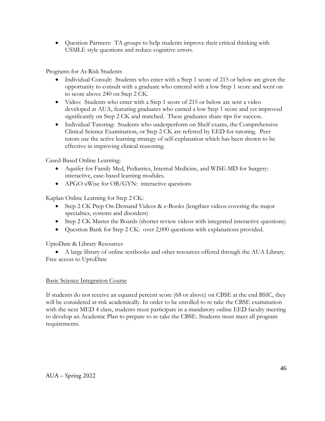• Question Partners: TA groups to help students improve their critical thinking with USMLE style questions and reduce cognitive errors.

Programs for At-Risk Students

- Individual Consult: Students who enter with a Step 1 score of 215 or below are given the opportunity to consult with a graduate who entered with a low Step 1 score and went on to score above 240 on Step 2 CK.
- Video: Students who enter with a Step 1 score of 215 or below are sent a video developed at AUA, featuring graduates who earned a low Step 1 score and yet improved significantly on Step 2 CK and matched. These graduates share tips for success.
- Individual Tutoring: Students who underperform on Shelf exams, the Comprehensive Clinical Science Examination, or Step 2 CK are referred by EED for tutoring. Peer tutors use the active learning strategy of self-explanation which has been shown to be effective in improving clinical reasoning.

Cased-Based Online Learning:

- Aquifer for Family Med, Pediatrics, Internal Medicine, and WISE-MD for Surgery: interactive, case-based learning modules.
- APGO uWise for OB/GYN: interactive questions

Kaplan Online Learning for Step 2 CK:

- Step 2 CK Prep On-Demand Videos & e-Books (lengthier videos covering the major specialties, systems and disorders)
- Step 2 CK Master the Boards (shorter review videos with integrated interactive questions)
- Question Bank for Step 2 CK: over 2,000 questions with explanations provided.

UptoDate & Library Resources

• A large library of online textbooks and other resources offered through the AUA Library. Free access to UptoDate

### Basic Science Integration Course

If students do not receive an equated percent score (68 or above) on CBSE at the end BSIC, they will be considered at-risk academically. In order to be enrolled to re-take the CBSE examination with the next MED 4 class, students must participate in a mandatory online EED faculty meeting to develop an Academic Plan to prepare to re-take the CBSE. Students must meet all program requirements.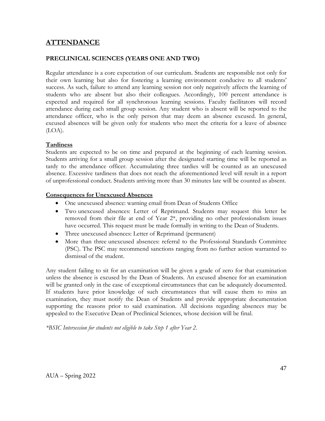# **ATTENDANCE**

## **PRECLINICAL SCIENCES (YEARS ONE AND TWO)**

Regular attendance is a core expectation of our curriculum. Students are responsible not only for their own learning but also for fostering a learning environment conducive to all students' success. As such, failure to attend any learning session not only negatively affects the learning of students who are absent but also their colleagues. Accordingly, 100 percent attendance is expected and required for all synchronous learning sessions. Faculty facilitators will record attendance during each small group session. Any student who is absent will be reported to the attendance officer, who is the only person that may deem an absence excused. In general, excused absences will be given only for students who meet the criteria for a leave of absence (LOA).

### **Tardiness**

Students are expected to be on time and prepared at the beginning of each learning session. Students arriving for a small group session after the designated starting time will be reported as tardy to the attendance officer. Accumulating three tardies will be counted as an unexcused absence. Excessive tardiness that does not reach the aforementioned level will result in a report of unprofessional conduct. Students arriving more than 30 minutes late will be counted as absent.

### **Consequences for Unexcused Absences**

- One unexcused absence: warning email from Dean of Students Office
- Two unexcused absences: Letter of Reprimand. Students may request this letter be removed from their file at end of Year 2\*, providing no other professionalism issues have occurred. This request must be made formally in writing to the Dean of Students.
- Three unexcused absences: Letter of Reprimand (permanent)
- More than three unexcused absences: referral to the Professional Standards Committee (PSC). The PSC may recommend sanctions ranging from no further action warranted to dismissal of the student.

Any student failing to sit for an examination will be given a grade of zero for that examination unless the absence is excused by the Dean of Students. An excused absence for an examination will be granted only in the case of exceptional circumstances that can be adequately documented. If students have prior knowledge of such circumstances that will cause them to miss an examination, they must notify the Dean of Students and provide appropriate documentation supporting the reasons prior to said examination. All decisions regarding absences may be appealed to the Executive Dean of Preclinical Sciences, whose decision will be final.

*\*BSIC Intersession for students not eligible to take Step 1 after Year 2.*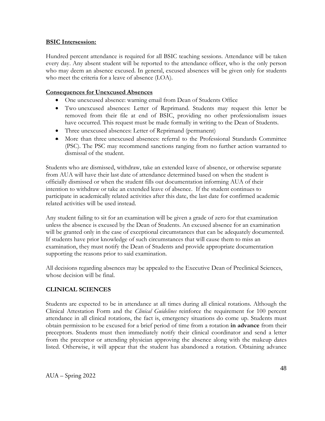#### **BSIC Intersession:**

Hundred percent attendance is required for all BSIC teaching sessions. Attendance will be taken every day. Any absent student will be reported to the attendance officer, who is the only person who may deem an absence excused. In general, excused absences will be given only for students who meet the criteria for a leave of absence (LOA).

### **Consequences for Unexcused Absences**

- One unexcused absence: warning email from Dean of Students Office
- Two unexcused absences: Letter of Reprimand. Students may request this letter be removed from their file at end of BSIC, providing no other professionalism issues have occurred. This request must be made formally in writing to the Dean of Students.
- Three unexcused absences: Letter of Reprimand (permanent)
- More than three unexcused absences: referral to the Professional Standards Committee (PSC). The PSC may recommend sanctions ranging from no further action warranted to dismissal of the student.

Students who are dismissed, withdraw, take an extended leave of absence, or otherwise separate from AUA will have their last date of attendance determined based on when the student is officially dismissed or when the student fills out documentation informing AUA of their intention to withdraw or take an extended leave of absence. If the student continues to participate in academically related activities after this date, the last date for confirmed academic related activities will be used instead.

Any student failing to sit for an examination will be given a grade of zero for that examination unless the absence is excused by the Dean of Students. An excused absence for an examination will be granted only in the case of exceptional circumstances that can be adequately documented. If students have prior knowledge of such circumstances that will cause them to miss an examination, they must notify the Dean of Students and provide appropriate documentation supporting the reasons prior to said examination.

All decisions regarding absences may be appealed to the Executive Dean of Preclinical Sciences, whose decision will be final.

### **CLINICAL SCIENCES**

Students are expected to be in attendance at all times during all clinical rotations. Although the Clinical Attestation Form and the *Clinical Guidelines* reinforce the requirement for 100 percent attendance in all clinical rotations, the fact is, emergency situations do come up. Students must obtain permission to be excused for a brief period of time from a rotation **in advance** from their preceptors. Students must then immediately notify their clinical coordinator and send a letter from the preceptor or attending physician approving the absence along with the makeup dates listed. Otherwise, it will appear that the student has abandoned a rotation. Obtaining advance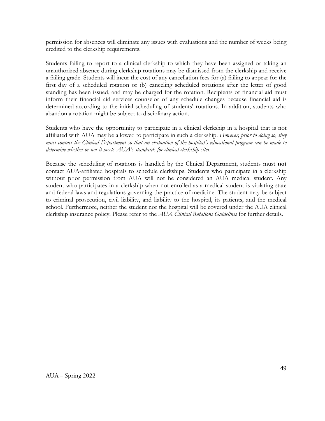permission for absences will eliminate any issues with evaluations and the number of weeks being credited to the clerkship requirements.

Students failing to report to a clinical clerkship to which they have been assigned or taking an unauthorized absence during clerkship rotations may be dismissed from the clerkship and receive a failing grade. Students will incur the cost of any cancellation fees for (a) failing to appear for the first day of a scheduled rotation or (b) canceling scheduled rotations after the letter of good standing has been issued, and may be charged for the rotation. Recipients of financial aid must inform their financial aid services counselor of any schedule changes because financial aid is determined according to the initial scheduling of students' rotations. In addition, students who abandon a rotation might be subject to disciplinary action.

Students who have the opportunity to participate in a clinical clerkship in a hospital that is not affiliated with AUA may be allowed to participate in such a clerkship. *However, prior to doing so, they must contact the Clinical Department so that an evaluation of the hospital's educational program can be made to determine whether or not it meets AUA's standards for clinical clerkship sites.*

Because the scheduling of rotations is handled by the Clinical Department, students must **not** contact AUA-affiliated hospitals to schedule clerkships. Students who participate in a clerkship without prior permission from AUA will not be considered an AUA medical student. Any student who participates in a clerkship when not enrolled as a medical student is violating state and federal laws and regulations governing the practice of medicine. The student may be subject to criminal prosecution, civil liability, and liability to the hospital, its patients, and the medical school. Furthermore, neither the student nor the hospital will be covered under the AUA clinical clerkship insurance policy. Please refer to the *AUA Clinical Rotations Guidelines* for further details.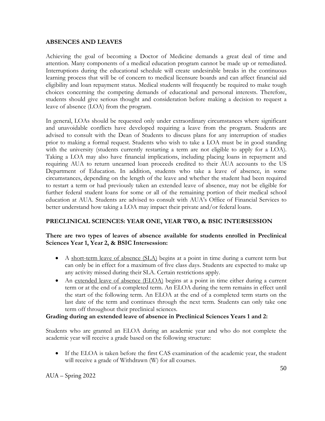#### **ABSENCES AND LEAVES**

Achieving the goal of becoming a Doctor of Medicine demands a great deal of time and attention. Many components of a medical education program cannot be made up or remediated. Interruptions during the educational schedule will create undesirable breaks in the continuous learning process that will be of concern to medical licensure boards and can affect financial aid eligibility and loan repayment status. Medical students will frequently be required to make tough choices concerning the competing demands of educational and personal interests. Therefore, students should give serious thought and consideration before making a decision to request a leave of absence (LOA) from the program.

In general, LOAs should be requested only under extraordinary circumstances where significant and unavoidable conflicts have developed requiring a leave from the program. Students are advised to consult with the Dean of Students to discuss plans for any interruption of studies prior to making a formal request. Students who wish to take a LOA must be in good standing with the university (students currently restarting a term are not eligible to apply for a LOA). Taking a LOA may also have financial implications, including placing loans in repayment and requiring AUA to return unearned loan proceeds credited to their AUA accounts to the US Department of Education. In addition, students who take a leave of absence, in some circumstances, depending on the length of the leave and whether the student had been required to restart a term or had previously taken an extended leave of absence, may not be eligible for further federal student loans for some or all of the remaining portion of their medical school education at AUA. Students are advised to consult with AUA's Office of Financial Services to better understand how taking a LOA may impact their private and/or federal loans.

## **PRECLINICAL SCIENCES: YEAR ONE, YEAR TWO, & BSIC INTERSESSION**

### **There are two types of leaves of absence available for students enrolled in Preclinical Sciences Year 1, Year 2, & BSIC Intersession:**

- A short-term leave of absence (SLA) begins at a point in time during a current term but can only be in effect for a maximum of five class days. Students are expected to make up any activity missed during their SLA. Certain restrictions apply.
- An extended leave of absence (ELOA) begins at a point in time either during a current term or at the end of a completed term. An ELOA during the term remains in effect until the start of the following term. An ELOA at the end of a completed term starts on the last date of the term and continues through the next term. Students can only take one term off throughout their preclinical sciences.

### **Grading during an extended leave of absence in Preclinical Sciences Years 1 and 2:**

Students who are granted an ELOA during an academic year and who do not complete the academic year will receive a grade based on the following structure:

• If the ELOA is taken before the first CAS examination of the academic year, the student will receive a grade of Withdrawn (W) for all courses.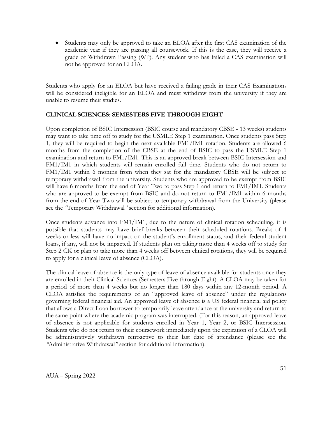• Students may only be approved to take an ELOA after the first CAS examination of the academic year if they are passing all coursework. If this is the case, they will receive a grade of Withdrawn Passing (WP). Any student who has failed a CAS examination will not be approved for an ELOA.

Students who apply for an ELOA but have received a failing grade in their CAS Examinations will be considered ineligible for an ELOA and must withdraw from the university if they are unable to resume their studies.

#### **CLINICAL SCIENCES: SEMESTERS FIVE THROUGH EIGHT**

Upon completion of BSIC Intersession (BSIC course and mandatory CBSE - 13 weeks) students may want to take time off to study for the USMLE Step 1 examination. Once students pass Step 1, they will be required to begin the next available FM1/IM1 rotation. Students are allowed 6 months from the completion of the CBSE at the end of BSIC to pass the USMLE Step 1 examination and return to FM1/IM1. This is an approved break between BSIC Intersession and FM1/IM1 in which students will remain enrolled full time. Students who do not return to FM1/IM1 within 6 months from when they sat for the mandatory CBSE will be subject to temporary withdrawal from the university. Students who are approved to be exempt from BSIC will have 6 months from the end of Year Two to pass Step 1 and return to FM1/IM1. Students who are approved to be exempt from BSIC and do not return to FM1/IM1 within 6 months from the end of Year Two will be subject to temporary withdrawal from the University (please see the *"*Temporary Withdrawal*"* section for additional information).

Once students advance into FM1/IM1, due to the nature of clinical rotation scheduling, it is possible that students may have brief breaks between their scheduled rotations. Breaks of 4 weeks or less will have no impact on the student's enrollment status, and their federal student loans, if any, will not be impacted. If students plan on taking more than 4 weeks off to study for Step 2 CK or plan to take more than 4 weeks off between clinical rotations, they will be required to apply for a clinical leave of absence (CLOA).

The clinical leave of absence is the only type of leave of absence available for students once they are enrolled in their Clinical Sciences (Semesters Five through Eight). A CLOA may be taken for a period of more than 4 weeks but no longer than 180 days within any 12-month period. A CLOA satisfies the requirements of an "approved leave of absence" under the regulations governing federal financial aid. An approved leave of absence is a US federal financial aid policy that allows a Direct Loan borrower to temporarily leave attendance at the university and return to the same point where the academic program was interrupted. (For this reason, an approved leave of absence is not applicable for students enrolled in Year 1, Year 2, or BSIC Intersession. Students who do not return to their coursework immediately upon the expiration of a CLOA will be administratively withdrawn retroactive to their last date of attendance (please see the *"*Administrative Withdrawal*"* section for additional information).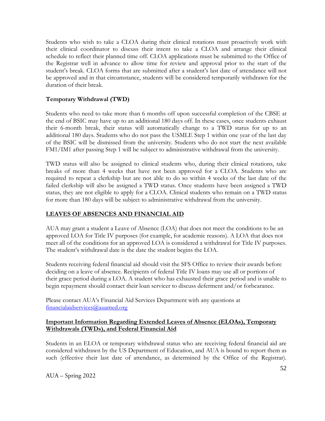Students who wish to take a CLOA during their clinical rotations must proactively work with their clinical coordinator to discuss their intent to take a CLOA and arrange their clinical schedule to reflect their planned time off. CLOA applications must be submitted to the Office of the Registrar well in advance to allow time for review and approval prior to the start of the student's break. CLOA forms that are submitted after a student's last date of attendance will not be approved and in that circumstance, students will be considered temporarily withdrawn for the duration of their break.

### **Temporary Withdrawal (TWD)**

Students who need to take more than 6 months off upon successful completion of the CBSE at the end of BSIC may have up to an additional 180 days off. In these cases, once students exhaust their 6-month break, their status will automatically change to a TWD status for up to an additional 180 days. Students who do not pass the USMLE Step 1 within one year of the last day of the BSIC will be dismissed from the university. Students who do not start the next available FM1/IM1 after passing Step 1 will be subject to administrative withdrawal from the university.

TWD status will also be assigned to clinical students who, during their clinical rotations, take breaks of more than 4 weeks that have not been approved for a CLOA. Students who are required to repeat a clerkship but are not able to do so within 4 weeks of the last date of the failed clerkship will also be assigned a TWD status. Once students have been assigned a TWD status, they are not eligible to apply for a CLOA. Clinical students who remain on a TWD status for more than 180 days will be subject to administrative withdrawal from the university.

### **LEAVES OF ABSENCES AND FINANCIAL AID**

AUA may grant a student a Leave of Absence (LOA) that does not meet the conditions to be an approved LOA for Title IV purposes (for example, for academic reasons). A LOA that does not meet all of the conditions for an approved LOA is considered a withdrawal for Title IV purposes. The student's withdrawal date is the date the student begins the LOA.

Students receiving federal financial aid should visit the SFS Office to review their awards before deciding on a leave of absence. Recipients of federal Title IV loans may use all or portions of their grace period during a LOA. A student who has exhausted their grace period and is unable to begin repayment should contact their loan servicer to discuss deferment and/or forbearance.

Please contact AUA's Financial Aid Services Department with any questions at [financialaidservices@auamed.org](mailto:financialaidservices@auamed.org) 

### **Important Information Regarding Extended Leaves of Absence (ELOAs), Temporary Withdrawals (TWDs), and Federal Financial Aid**

Students in an ELOA or temporary withdrawal status who are receiving federal financial aid are considered withdrawn by the US Department of Education, and AUA is bound to report them as such (effective their last date of attendance, as determined by the Office of the Registrar).

AUA – Spring 2022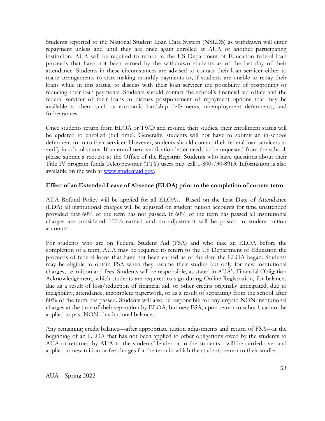Students reported to the National Student Loan Data System (NSLDS) as withdrawn will enter repayment unless and until they are once again enrolled at AUA or another participating institution. AUA will be required to return to the US Department of Education federal loan proceeds that have not been earned by the withdrawn students as of the last day of their attendance. Students in these circumstances are advised to contact their loan servicer either to make arrangements to start making monthly payments or, if students are unable to repay their loans while in this status, to discuss with their loan servicer the possibility of postponing or reducing their loan payments. Students should contact the school's financial aid office and the federal servicer of their loans to discuss postponement of repayment options that may be available to them such as economic hardship deferments, unemployment deferments, and forbearances.

Once students return from ELOA or TWD and resume their studies, their enrollment status will be updated to enrolled (full time). Generally, students will not have to submit an in-school deferment form to their servicer. However, students should contact their federal loan servicers to verify in-school status. If an enrollment verification letter needs to be requested from the school, please submit a request to the Office of the Registrar. Students who have questions about their Title IV program funds Teletypewriter (TTY) users may call 1-800-730-8913. Information is also available on the web at [www.studentaid.gov.](http://www.studentaid.gov/)

#### **Effect of an Extended Leave of Absence (ELOA) prior to the completion of current term**

AUA Refund Policy will be applied for all ELOAs. Based on the Last Date of Attendance (LDA) all institutional charges will be adjusted on student tuition accounts for time unattended provided that 60% of the term has not passed. If 60% of the term has passed all institutional charges are considered 100% earned and no adjustment will be posted to student tuition accounts.

For students who are on Federal Student Aid (FSA) and who take an ELOA before the completion of a term, AUA may be required to return to the US Department of Education the proceeds of federal loans that have not been earned as of the date the ELOA began. Students may be eligible to obtain FSA when they resume their studies but only for new institutional charges, i.e. tuition and fees. Students will be responsible, as stated in AUA's Financial Obligation Acknowledgement, which students are required to sign during Online Registration, for balances due as a result of loss/reduction of financial aid, or other credits originally anticipated, due to ineligibility, attendance, incomplete paperwork, or as a result of separating from the school after 60% of the term has passed. Students will also be responsible for any unpaid NON-institutional charges at the time of their separation by ELOA, but new FSA, upon return to school, cannot be applied to past NON –institutional balances.

Any remaining credit balance—after appropriate tuition adjustments and return of FSA---at the beginning of an ELOA that has not been applied to other obligations owed by the students to AUA or returned by AUA to the students' lender or to the students—will be carried over and applied to new tuition or fee charges for the term in which the students return to their studies.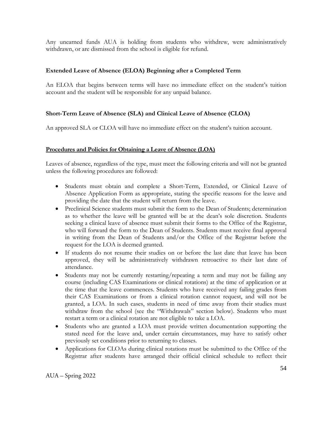Any unearned funds AUA is holding from students who withdrew, were administratively withdrawn, or are dismissed from the school is eligible for refund.

### **Extended Leave of Absence (ELOA) Beginning after a Completed Term**

An ELOA that begins between terms will have no immediate effect on the student's tuition account and the student will be responsible for any unpaid balance.

### **Short-Term Leave of Absence (SLA) and Clinical Leave of Absence (CLOA)**

An approved SLA or CLOA will have no immediate effect on the student's tuition account.

### **Procedures and Policies for Obtaining a Leave of Absence (LOA)**

Leaves of absence, regardless of the type, must meet the following criteria and will not be granted unless the following procedures are followed:

- Students must obtain and complete a Short-Term, Extended, or Clinical Leave of Absence Application Form as appropriate, stating the specific reasons for the leave and providing the date that the student will return from the leave.
- Preclinical Science students must submit the form to the Dean of Students; determination as to whether the leave will be granted will be at the dean's sole discretion. Students seeking a clinical leave of absence must submit their forms to the Office of the Registrar, who will forward the form to the Dean of Students. Students must receive final approval in writing from the Dean of Students and/or the Office of the Registrar before the request for the LOA is deemed granted.
- If students do not resume their studies on or before the last date that leave has been approved, they will be administratively withdrawn retroactive to their last date of attendance.
- Students may not be currently restarting/repeating a term and may not be failing any course (including CAS Examinations or clinical rotations) at the time of application or at the time that the leave commences. Students who have received any failing grades from their CAS Examinations or from a clinical rotation cannot request, and will not be granted, a LOA. In such cases, students in need of time away from their studies must withdraw from the school (see the "Withdrawals" section below). Students who must restart a term or a clinical rotation are not eligible to take a LOA.
- Students who are granted a LOA must provide written documentation supporting the stated need for the leave and, under certain circumstances, may have to satisfy other previously set conditions prior to returning to classes.
- Applications for CLOAs during clinical rotations must be submitted to the Office of the Registrar after students have arranged their official clinical schedule to reflect their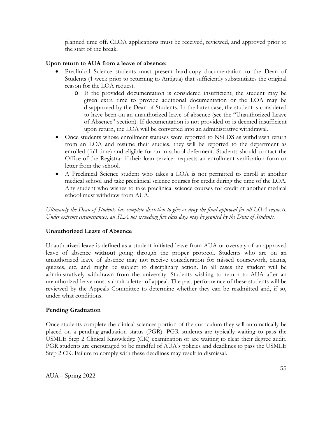planned time off. CLOA applications must be received, reviewed, and approved prior to the start of the break.

### **Upon return to AUA from a leave of absence:**

- Preclinical Science students must present hard-copy documentation to the Dean of Students (1 week prior to returning to Antigua) that sufficiently substantiates the original reason for the LOA request.
	- o If the provided documentation is considered insufficient, the student may be given extra time to provide additional documentation or the LOA may be disapproved by the Dean of Students. In the latter case, the student is considered to have been on an unauthorized leave of absence (see the "Unauthorized Leave of Absence" section). If documentation is not provided or is deemed insufficient upon return, the LOA will be converted into an administrative withdrawal.
- Once students whose enrollment statuses were reported to NSLDS as withdrawn return from an LOA and resume their studies, they will be reported to the department as enrolled (full time) and eligible for an in-school deferment. Students should contact the Office of the Registrar if their loan servicer requests an enrollment verification form or letter from the school.
- A Preclinical Science student who takes a LOA is not permitted to enroll at another medical school and take preclinical science courses for credit during the time of the LOA. Any student who wishes to take preclinical science courses for credit at another medical school must withdraw from AUA.

*Ultimately the Dean of Students has complete discretion to give or deny the final approval for all LOA requests. Under extreme circumstances, an SLA not exceeding five class days may be granted by the Dean of Students.* 

## **Unauthorized Leave of Absence**

Unauthorized leave is defined as a student-initiated leave from AUA or overstay of an approved leave of absence **without** going through the proper protocol. Students who are on an unauthorized leave of absence may not receive consideration for missed coursework, exams, quizzes, etc. and might be subject to disciplinary action. In all cases the student will be administratively withdrawn from the university. Students wishing to return to AUA after an unauthorized leave must submit a letter of appeal. The past performance of these students will be reviewed by the Appeals Committee to determine whether they can be readmitted and, if so, under what conditions.

## **Pending Graduation**

Once students complete the clinical sciences portion of the curriculum they will automatically be placed on a pending-graduation status (PGR). PGR students are typically waiting to pass the USMLE Step 2 Clinical Knowledge (CK) examination or are waiting to clear their degree audit. PGR students are encouraged to be mindful of AUA's policies and deadlines to pass the USMLE Step 2 CK. Failure to comply with these deadlines may result in dismissal.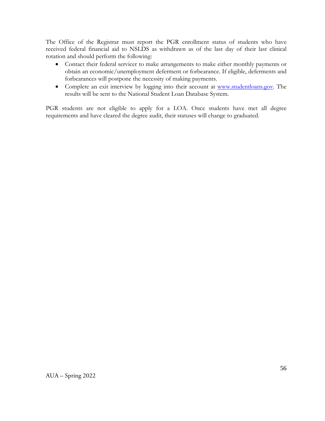The Office of the Registrar must report the PGR enrollment status of students who have received federal financial aid to NSLDS as withdrawn as of the last day of their last clinical rotation and should perform the following:

- Contact their federal servicer to make arrangements to make either monthly payments or obtain an economic/unemployment deferment or forbearance. If eligible, deferments and forbearances will postpone the necessity of making payments.
- Complete an exit interview by logging into their account at [www.studentloans.gov.](http://www.studentloans.gov/) The results will be sent to the National Student Loan Database System.

PGR students are not eligible to apply for a LOA. Once students have met all degree requirements and have cleared the degree audit, their statuses will change to graduated.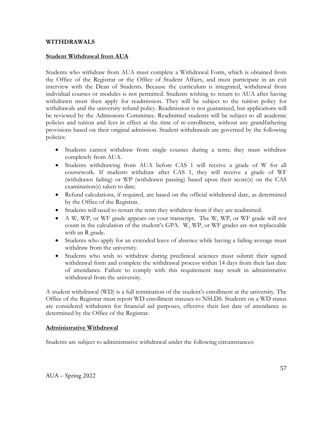#### **WITHDRAWALS**

#### **Student Withdrawal from AUA**

Students who withdraw from AUA must complete a Withdrawal Form, which is obtained from the Office of the Registrar or the Office of Student Affairs, and must participate in an exit interview with the Dean of Students. Because the curriculum is integrated, withdrawal from individual courses or modules is not permitted. Students wishing to return to AUA after having withdrawn must then apply for readmission. They will be subject to the tuition policy for withdrawals and the university refund policy. Readmission is not guaranteed, but applications will be reviewed by the Admissions Committee. Readmitted students will be subject to all academic policies and tuition and fees in effect at the time of re-enrollment, without any grandfathering provisions based on their original admission. Student withdrawals are governed by the following policies:

- Students cannot withdraw from single courses during a term; they must withdraw completely from AUA.
- Students withdrawing from AUA before CAS 1 will receive a grade of W for all coursework. If students withdraw after CAS 1, they will receive a grade of WF (withdrawn failing) or WP (withdrawn passing) based upon their score(s) on the CAS examination(s) taken to date.
- Refund calculations, if required, are based on the official withdrawal date, as determined by the Office of the Registrar.
- Students will need to restart the term they withdrew from if they are readmitted.
- A W, WP, or WF grade appears on your transcript. The W, WP, or WF grade will not count in the calculation of the student's GPA. W, WP, or WF grades are not replaceable with an R grade.
- Students who apply for an extended leave of absence while having a failing average must withdraw from the university.
- Students who wish to withdraw during preclinical sciences must submit their signed withdrawal form and complete the withdrawal process within 14 days from their last date of attendance. Failure to comply with this requirement may result in administrative withdrawal from the university.

A student withdrawal (WD) is a full termination of the student's enrollment at the university. The Office of the Registrar must report WD enrollment statuses to NSLDS. Students on a WD status are considered withdrawn for financial aid purposes, effective their last date of attendance as determined by the Office of the Registrar.

#### **Administrative Withdrawal**

Students are subject to administrative withdrawal under the following circumstances: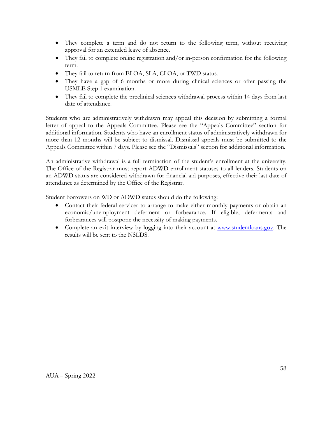- They complete a term and do not return to the following term, without receiving approval for an extended leave of absence.
- They fail to complete online registration and/or in-person confirmation for the following term.
- They fail to return from ELOA, SLA, CLOA, or TWD status.
- They have a gap of 6 months or more during clinical sciences or after passing the USMLE Step 1 examination.
- They fail to complete the preclinical sciences withdrawal process within 14 days from last date of attendance.

Students who are administratively withdrawn may appeal this decision by submitting a formal letter of appeal to the Appeals Committee. Please see the "Appeals Committee" section for additional information. Students who have an enrollment status of administratively withdrawn for more than 12 months will be subject to dismissal. Dismissal appeals must be submitted to the Appeals Committee within 7 days. Please see the "Dismissals" section for additional information.

An administrative withdrawal is a full termination of the student's enrollment at the university. The Office of the Registrar must report ADWD enrollment statuses to all lenders. Students on an ADWD status are considered withdrawn for financial aid purposes, effective their last date of attendance as determined by the Office of the Registrar.

Student borrowers on WD or ADWD status should do the following:

- Contact their federal servicer to arrange to make either monthly payments or obtain an economic/unemployment deferment or forbearance. If eligible, deferments and forbearances will postpone the necessity of making payments.
- Complete an exit interview by logging into their account at [www.studentloans.gov.](http://www.studentloans.gov/) The results will be sent to the NSLDS.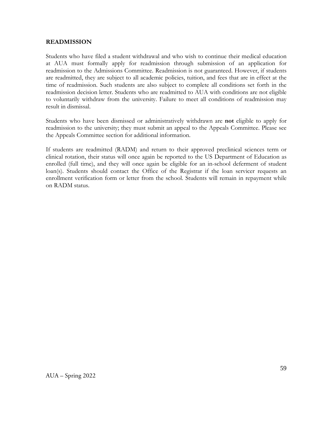#### **READMISSION**

Students who have filed a student withdrawal and who wish to continue their medical education at AUA must formally apply for readmission through submission of an application for readmission to the Admissions Committee. Readmission is not guaranteed. However, if students are readmitted, they are subject to all academic policies, tuition, and fees that are in effect at the time of readmission. Such students are also subject to complete all conditions set forth in the readmission decision letter. Students who are readmitted to AUA with conditions are not eligible to voluntarily withdraw from the university. Failure to meet all conditions of readmission may result in dismissal.

Students who have been dismissed or administratively withdrawn are **not** eligible to apply for readmission to the university; they must submit an appeal to the Appeals Committee. Please see the Appeals Committee section for additional information.

If students are readmitted (RADM) and return to their approved preclinical sciences term or clinical rotation, their status will once again be reported to the US Department of Education as enrolled (full time), and they will once again be eligible for an in-school deferment of student loan(s). Students should contact the Office of the Registrar if the loan servicer requests an enrollment verification form or letter from the school. Students will remain in repayment while on RADM status.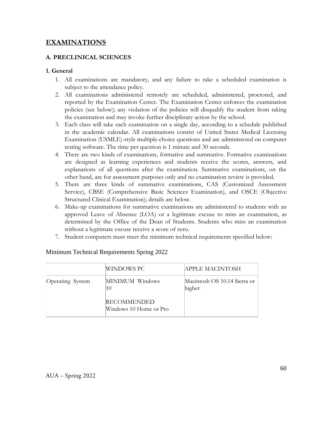# **EXAMINATIONS**

## **A. PRECLINICAL SCIENCES**

## **1. General**

- 1. All examinations are mandatory, and any failure to take a scheduled examination is subject to the attendance policy.
- 2. All examinations administered remotely are scheduled, administered, proctored, and reported by the Examination Center. The Examination Center enforces the examination policies (see below); any violation of the policies will disqualify the student from taking the examination and may invoke further disciplinary action by the school.
- 3. Each class will take each examination on a single day, according to a schedule published in the academic calendar. All examinations consist of United States Medical Licensing Examination (USMLE)-style multiple-choice questions and are administered on computer testing software. The time per question is 1 minute and 30 seconds.
- 4. There are two kinds of examinations, formative and summative. Formative examinations are designed as learning experiences and students receive the scores, answers, and explanations of all questions after the examination. Summative examinations, on the other hand, are for assessment purposes only and no examination review is provided.
- 5. There are three kinds of summative examinations, CAS (Customized Assessment Service), CBSE (Comprehensive Basic Sciences Examination), and OSCE (Objective Structured Clinical Examination); details are below.
- 6. Make-up examinations for summative examinations are administered to students with an approved Leave of Absence (LOA) or a legitimate excuse to miss an examination, as determined by the Office of the Dean of Students. Students who miss an examination without a legitimate excuse receive a score of zero.
- 7. Student computers must meet the minimum technical requirements specified below:

|                  | WINDOWS PC                                  | APPLE MACINTOSH                        |
|------------------|---------------------------------------------|----------------------------------------|
| Operating System | MINIMUM Windows<br>10<br><b>RECOMMENDED</b> | Macintosh OS 10.14 Sierra or<br>higher |
|                  | Windows 10 Home or Pro                      |                                        |

## Minimum Technical Requirements Spring 2022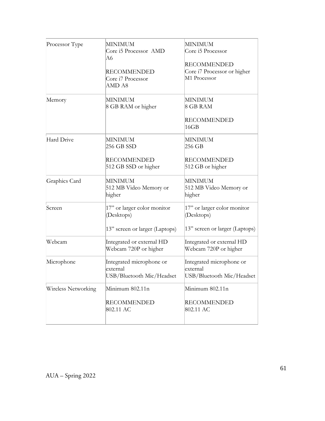| Processor Type      | MINIMUM<br>Core i5 Processor AMD<br>A6<br><b>RECOMMENDED</b><br>Core i7 Processor<br>AMD A8 | <b>MINIMUM</b><br>Core i5 Processor<br><b>RECOMMENDED</b><br>Core i7 Processor or higher<br>M1 Processor |
|---------------------|---------------------------------------------------------------------------------------------|----------------------------------------------------------------------------------------------------------|
| Memory              | MINIMUM<br>8 GB RAM or higher                                                               | <b>MINIMUM</b><br>8 GB RAM<br><b>RECOMMENDED</b><br>16GB                                                 |
| Hard Drive          | MINIMUM<br>256 GB SSD<br><b>RECOMMENDED</b><br>512 GB SSD or higher                         | MINIMUM<br>256 GB<br><b>RECOMMENDED</b><br>512 GB or higher                                              |
| Graphics Card       | MINIMUM<br>512 MB Video Memory or<br>higher                                                 | MINIMUM<br>512 MB Video Memory or<br>higher                                                              |
| Screen              | 17" or larger color monitor<br>(Desktops)<br>13" screen or larger (Laptops)                 | 17" or larger color monitor<br>(Desktops)<br>13" screen or larger (Laptops)                              |
| Webcam              | Integrated or external HD<br>Webcam 720P or higher                                          | Integrated or external HD<br>Webcam 720P or higher                                                       |
| Microphone          | Integrated microphone or<br>external<br>USB/Bluetooth Mic/Headset                           | Integrated microphone or<br>external<br>USB/Bluetooth Mic/Headset                                        |
| Wireless Networking | Minimum 802.11n<br><b>RECOMMENDED</b><br>802.11 AC                                          | Minimum 802.11n<br><b>RECOMMENDED</b><br>802.11 AC                                                       |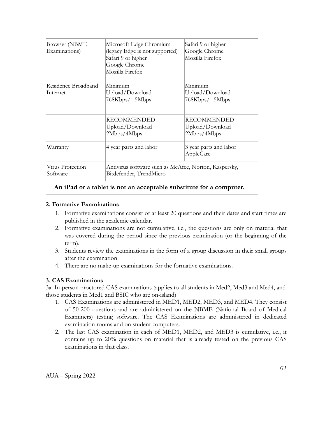| <b>Browser</b> (NBME<br>Examinations) | Microsoft Edge Chromium<br>(legacy Edge is not supported)<br>Safari 9 or higher<br>Google Chrome<br>Mozilla Firefox | Safari 9 or higher<br>Google Chrome<br>Mozilla Firefox |
|---------------------------------------|---------------------------------------------------------------------------------------------------------------------|--------------------------------------------------------|
| Residence Broadband<br>Internet       | Minimum<br>Upload/Download<br>768Kbps/1.5Mbps                                                                       | Minimum<br>Upload/Download<br>768Kbps/1.5Mbps          |
|                                       | RECOMMENDED<br>Upload/Download<br>2Mbps/4Mbps                                                                       | <b>RECOMMENDED</b><br>Upload/Download<br>2Mbps/4Mbps   |
| Warranty                              | 4 year parts and labor                                                                                              | 3 year parts and labor<br>AppleCare                    |
| Virus Protection<br>Software          | Antivirus software such as McAfee, Norton, Kaspersky,<br>Bitdefender, TrendMicro                                    |                                                        |

### **An iPad or a tablet is not an acceptable substitute for a computer.**

### **2. Formative Examinations**

- 1. Formative examinations consist of at least 20 questions and their dates and start times are published in the academic calendar.
- 2. Formative examinations are not cumulative, i.e., the questions are only on material that was covered during the period since the previous examination (or the beginning of the term).
- 3. Students review the examinations in the form of a group discussion in their small groups after the examination
- 4. There are no make-up examinations for the formative examinations.

### **3. CAS Examinations**

3a. In-person proctored CAS examinations (applies to all students in Med2, Med3 and Med4, and those students in Med1 and BSIC who are on-island)

- 1. CAS Examinations are administered in MED1, MED2, MED3, and MED4. They consist of 50-200 questions and are administered on the NBME (National Board of Medical Examiners) testing software. The CAS Examinations are administered in dedicated examination rooms and on student computers.
- 2. The last CAS examination in each of MED1, MED2, and MED3 is cumulative, i.e., it contains up to 20% questions on material that is already tested on the previous CAS examinations in that class.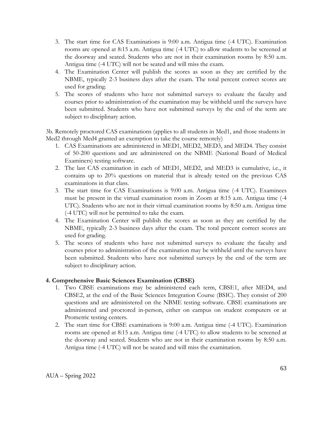- 3. The start time for CAS Examinations is 9:00 a.m. Antigua time (-4 UTC). Examination rooms are opened at 8:15 a.m. Antigua time (-4 UTC) to allow students to be screened at the doorway and seated. Students who are not in their examination rooms by 8:50 a.m. Antigua time (-4 UTC) will not be seated and will miss the exam.
- 4. The Examination Center will publish the scores as soon as they are certified by the NBME, typically 2-3 business days after the exam. The total percent correct scores are used for grading.
- 5. The scores of students who have not submitted surveys to evaluate the faculty and courses prior to administration of the examination may be withheld until the surveys have been submitted. Students who have not submitted surveys by the end of the term are subject to disciplinary action.

3b. Remotely proctored CAS examinations (applies to all students in Med1, and those students in Med2 through Med4 granted an exemption to take the course remotely)

- 1. CAS Examinations are administered in MED1, MED2, MED3, and MED4. They consist of 50-200 questions and are administered on the NBME (National Board of Medical Examiners) testing software.
- 2. The last CAS examination in each of MED1, MED2, and MED3 is cumulative, i.e., it contains up to 20% questions on material that is already tested on the previous CAS examinations in that class.
- 3. The start time for CAS Examinations is 9:00 a.m. Antigua time (-4 UTC). Examinees must be present in the virtual examination room in Zoom at 8:15 a.m. Antigua time (-4 UTC). Students who are not in their virtual examination rooms by 8:50 a.m. Antigua time (-4 UTC) will not be permitted to take the exam.
- 4. The Examination Center will publish the scores as soon as they are certified by the NBME, typically 2-3 business days after the exam. The total percent correct scores are used for grading.
- 5. The scores of students who have not submitted surveys to evaluate the faculty and courses prior to administration of the examination may be withheld until the surveys have been submitted. Students who have not submitted surveys by the end of the term are subject to disciplinary action.

## **4. Comprehensive Basic Sciences Examination (CBSE)**

- 1. Two CBSE examinations may be administered each term, CBSE1, after MED4, and CBSE2, at the end of the Basic Sciences Integration Course (BSIC). They consist of 200 questions and are administered on the NBME testing software. CBSE examinations are administered and proctored in-person, either on campus on student computers or at Prometric testing centers.
- 2. The start time for CBSE examinations is 9:00 a.m. Antigua time (-4 UTC). Examination rooms are opened at 8:15 a.m. Antigua time (-4 UTC) to allow students to be screened at the doorway and seated. Students who are not in their examination rooms by 8:50 a.m. Antigua time (-4 UTC) will not be seated and will miss the examination.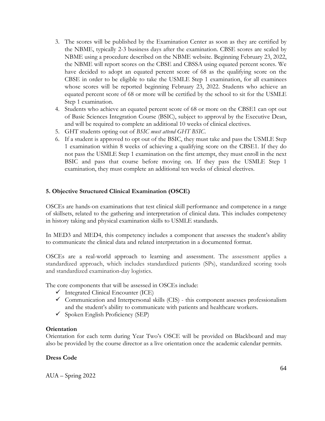- 3. The scores will be published by the Examination Center as soon as they are certified by the NBME, typically 2-3 business days after the examination. CBSE scores are scaled by NBME using a procedure described on the NBME website. Beginning February 23, 2022, the NBME will report scores on the CBSE and CBSSA using equated percent scores. We have decided to adopt an equated percent score of 68 as the qualifying score on the CBSE in order to be eligible to take the USMLE Step 1 examination, for all examinees whose scores will be reported beginning February 23, 2022. Students who achieve an equated percent score of 68 or more will be certified by the school to sit for the USMLE Step 1 examination.
- 4. Students who achieve an equated percent score of 68 or more on the CBSE1 can opt out of Basic Sciences Integration Course (BSIC), subject to approval by the Executive Dean, and will be required to complete an additional 10 weeks of clinical electives.
- 5. GHT students opting out of *BSIC must attend GHT BSIC*.
- 6. If a student is approved to opt out of the BSIC, they must take and pass the USMLE Step 1 examination within 8 weeks of achieving a qualifying score on the CBSE1. If they do not pass the USMLE Step 1 examination on the first attempt, they must enroll in the next BSIC and pass that course before moving on. If they pass the USMLE Step 1 examination, they must complete an additional ten weeks of clinical electives.

### **5. Objective Structured Clinical Examination (OSCE)**

OSCEs are hands-on examinations that test clinical skill performance and competence in a range of skillsets, related to the gathering and interpretation of clinical data. This includes competency in history taking and physical examination skills to USMLE standards.

In MED3 and MED4, this competency includes a component that assesses the student's ability to communicate the clinical data and related interpretation in a documented format.

OSCEs are a real-world approach to learning and assessment. The assessment applies a standardized approach, which includes standardized patients (SPs), standardized scoring tools and standardized examination-day logistics.

The core components that will be assessed in OSCEs include:

- $\checkmark$  Integrated Clinical Encounter (ICE)
- $\checkmark$  Communication and Interpersonal skills (CIS) this component assesses professionalism and the student's ability to communicate with patients and healthcare workers.
- $\checkmark$  Spoken English Proficiency (SEP)

#### **Orientation**

Orientation for each term during Year Two's OSCE will be provided on Blackboard and may also be provided by the course director as a live orientation once the academic calendar permits.

### **Dress Code**

AUA – Spring 2022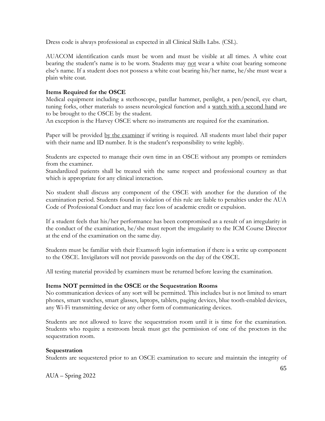Dress code is always professional as expected in all Clinical Skills Labs. (CSL).

AUACOM identification cards must be worn and must be visible at all times. A white coat bearing the student's name is to be worn. Students may not wear a white coat bearing someone else's name. If a student does not possess a white coat bearing his/her name, he/she must wear a plain white coat.

### **Items Required for the OSCE**

Medical equipment including a stethoscope, patellar hammer, penlight, a pen/pencil, eye chart, tuning forks, other materials to assess neurological function and a watch with a second hand are to be brought to the OSCE by the student.

An exception is the Harvey OSCE where no instruments are required for the examination.

Paper will be provided <u>by the examiner</u> if writing is required. All students must label their paper with their name and ID number. It is the student's responsibility to write legibly.

Students are expected to manage their own time in an OSCE without any prompts or reminders from the examiner.

Standardized patients shall be treated with the same respect and professional courtesy as that which is appropriate for any clinical interaction.

No student shall discuss any component of the OSCE with another for the duration of the examination period. Students found in violation of this rule are liable to penalties under the AUA Code of Professional Conduct and may face loss of academic credit or expulsion.

If a student feels that his/her performance has been compromised as a result of an irregularity in the conduct of the examination, he/she must report the irregularity to the ICM Course Director at the end of the examination on the same day.

Students must be familiar with their Examsoft login information if there is a write up component to the OSCE. Invigilators will not provide passwords on the day of the OSCE.

All testing material provided by examiners must be returned before leaving the examination.

#### **Items NOT permitted in the OSCE or the Sequestration Rooms**

No communication devices of any sort will be permitted. This includes but is not limited to smart phones, smart watches, smart glasses, laptops, tablets, paging devices, blue tooth-enabled devices, any Wi-Fi transmitting device or any other form of communicating devices.

Students are not allowed to leave the sequestration room until it is time for the examination. Students who require a restroom break must get the permission of one of the proctors in the sequestration room.

### **Sequestration**

Students are sequestered prior to an OSCE examination to secure and maintain the integrity of

AUA – Spring 2022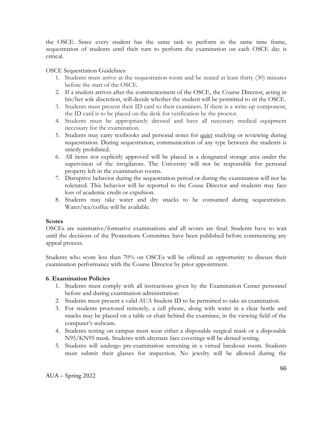the OSCE. Since every student has the same task to perform in the same time frame, sequestration of students until their turn to perform the examination on each OSCE day is critical.

OSCE Sequestration Guidelines:

- 1. Students must arrive at the sequestration room and be seated at least thirty (30) minutes before the start of the OSCE.
- 2. If a student arrives after the commencement of the OSCE, the Course Director, acting in his/her sole discretion, will decide whether the student will be permitted to sit the OSCE.
- 3. Students must present their ID card to their examiners. If there is a write-up component, the ID card is to be placed on the desk for verification by the proctor.
- 4. Students must be appropriately dressed and have all necessary medical equipment necessary for the examination.
- 5. Students may carry textbooks and personal notes for quiet studying or reviewing during sequestration. During sequestration, communication of any type between the students is strictly prohibited.
- 6. All items not explicitly approved will be placed in a designated storage area under the supervision of the invigilators. The University will not be responsible for personal property left in the examination rooms.
- 7. Disruptive behavior during the sequestration period or during the examination will not be tolerated. This behavior will be reported to the Couse Director and students may face loss of academic credit or expulsion.
- 8. Students may take water and dry snacks to be consumed during sequestration. Water/tea/coffee will be available.

#### **Scores**

OSCEs are summative/formative examinations and all scores are final. Students have to wait until the decisions of the Promotions Committee have been published before commencing any appeal process.

Students who score less than 70% on OSCEs will be offered an opportunity to discuss their examination performance with the Course Director by prior appointment.

#### **6. Examination Policies**

- 1. Students must comply with all instructions given by the Examination Center personnel before and during examination administration.
- 2. Students must present a valid AUA Student ID to be permitted to take an examination.
- 3. For students proctored remotely, a cell phone, along with water in a clear bottle and snacks may be placed on a table or chair behind the examinee, in the viewing field of the computer's webcam.
- 4. Students testing on campus must wear either a disposable surgical mask or a disposable N95/KN95 mask. Students with alternate face coverings will be denied testing.
- 5. Students will undergo pre-examination screening in a virtual breakout room. Students must submit their glasses for inspection. No jewelry will be allowed during the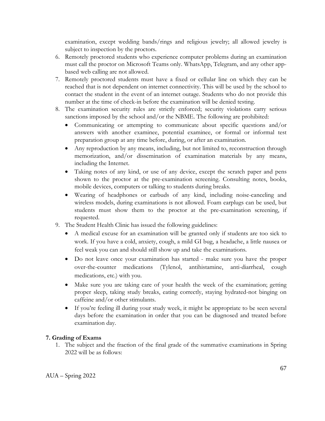examination, except wedding bands/rings and religious jewelry; all allowed jewelry is subject to inspection by the proctors.

- 6. Remotely proctored students who experience computer problems during an examination must call the proctor on Microsoft Teams only. WhatsApp, Telegram, and any other appbased web calling are not allowed.
- 7. Remotely proctored students must have a fixed or cellular line on which they can be reached that is not dependent on internet connectivity. This will be used by the school to contact the student in the event of an internet outage. Students who do not provide this number at the time of check-in before the examination will be denied testing.
- 8. The examination security rules are strictly enforced; security violations carry serious sanctions imposed by the school and/or the NBME. The following are prohibited:
	- Communicating or attempting to communicate about specific questions and/or answers with another examinee, potential examinee, or formal or informal test preparation group at any time before, during, or after an examination.
	- Any reproduction by any means, including, but not limited to, reconstruction through memorization, and/or dissemination of examination materials by any means, including the Internet.
	- Taking notes of any kind, or use of any device, except the scratch paper and pens shown to the proctor at the pre-examination screening. Consulting notes, books, mobile devices, computers or talking to students during breaks.
	- Wearing of headphones or earbuds of any kind, including noise-canceling and wireless models, during examinations is not allowed. Foam earplugs can be used, but students must show them to the proctor at the pre-examination screening, if requested.
- 9. The Student Health Clinic has issued the following guidelines:
	- A medical excuse for an examination will be granted only if students are too sick to work. If you have a cold, anxiety, cough, a mild GI bug, a headache, a little nausea or feel weak you can and should still show up and take the examinations.
	- Do not leave once your examination has started make sure you have the proper over-the-counter medications (Tylenol, antihistamine, anti-diarrheal, cough medications, etc.) with you.
	- Make sure you are taking care of your health the week of the examination; getting proper sleep, taking study breaks, eating correctly, staying hydrated-not binging on caffeine and/or other stimulants.
	- If you're feeling ill during your study week, it might be appropriate to be seen several days before the examination in order that you can be diagnosed and treated before examination day.

## **7. Grading of Exams**

1. The subject and the fraction of the final grade of the summative examinations in Spring 2022 will be as follows: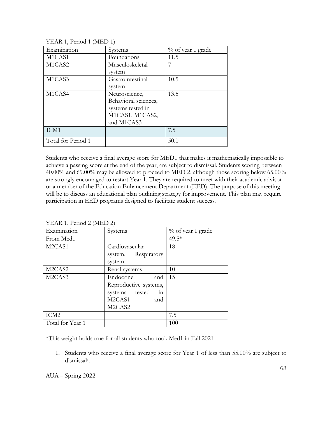| Examination        | Systems              | $\%$ of year 1 grade |
|--------------------|----------------------|----------------------|
| M1CAS1             | Foundations          | 11.5                 |
| M1CAS2             | Musculoskeletal      |                      |
|                    | system               |                      |
| M1CAS3             | Gastrointestinal     | 10.5                 |
|                    | system               |                      |
| M1CAS4             | Neuroscience,        | 13.5                 |
|                    | Behavioral sciences, |                      |
|                    | systems tested in    |                      |
|                    | M1CAS1, M1CAS2,      |                      |
|                    | and M1CAS3           |                      |
| ICM1               |                      | 7.5                  |
| Total for Period 1 |                      | 50.0                 |

YEAR 1, Period 1 (MED 1)

Students who receive a final average score for MED1 that makes it mathematically impossible to achieve a passing score at the end of the year, are subject to dismissal. Students scoring between 40.00% and 69.00% may be allowed to proceed to MED 2, although those scoring below 65.00% are strongly encouraged to restart Year 1. They are required to meet with their academic advisor or a member of the Education Enhancement Department (EED). The purpose of this meeting will be to discuss an educational plan outlining strategy for improvement. This plan may require participation in EED programs designed to facilitate student success.

| $1 + 1$                         |                       |                      |  |
|---------------------------------|-----------------------|----------------------|--|
| Examination                     | Systems               | $\%$ of year 1 grade |  |
| From Med1                       |                       | $49.5*$              |  |
| M2CAS1                          | Cardiovascular        | 18                   |  |
|                                 | system, Respiratory   |                      |  |
|                                 | system                |                      |  |
| M2CAS2                          | Renal systems         | 10                   |  |
| M <sub>2</sub> CAS <sub>3</sub> | Endocrine<br>and      | 15                   |  |
|                                 | Reproductive systems, |                      |  |
|                                 | systems tested<br>in  |                      |  |
|                                 | M2CAS1<br>and         |                      |  |
|                                 | M2CAS2                |                      |  |
| ICM <sub>2</sub>                |                       | 7.5                  |  |
| Total for Year 1                |                       | 100                  |  |

YEAR 1, Period 2 (MED 2)

\*This weight holds true for all students who took Med1 in Fall 2021

1. Students who receive a final average score for Year 1 of less than 55.00% are subject to dismissal1.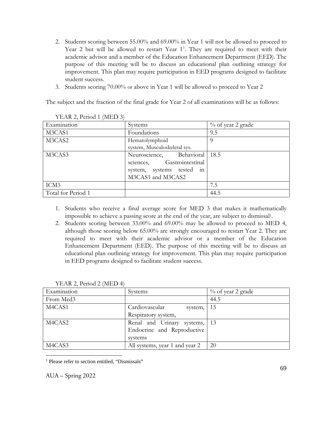- 2. Students scoring between 55.00% and 69.00% in Year 1 will not be allowed to proceed to Year 2 but will be allowed to restart Year [1](#page-68-0)<sup>1</sup>. They are required to meet with their academic advisor and a member of the Education Enhancement Department (EED). The purpose of this meeting will be to discuss an educational plan outlining strategy for improvement. This plan may require participation in EED programs designed to facilitate student success.
- 3. Students scoring 70.00% or above in Year 1 will be allowed to proceed to Year 2

The subject and the fraction of the final grade for Year 2 of all examinations will be as follows:

| $1 + 1$            |                               |                      |
|--------------------|-------------------------------|----------------------|
| Examination        | Systems                       | $\%$ of year 2 grade |
| M3CAS1             | Foundations                   | 9.5                  |
| M3CAS2             | Hematolymphoid                | O)                   |
|                    | system, Musculoskeletal sys.  |                      |
| M3CAS3             | Neuroscience, Behavioral 18.5 |                      |
|                    | sciences, Gastrointestinal    |                      |
|                    | system, systems tested in     |                      |
|                    | M3CAS1 and M3CAS2             |                      |
| ICM3               |                               | 7.5                  |
| Total for Period 1 |                               | 44.5                 |

YEAR 2, Period 1 (MED 3)

- 1. Students who receive a final average score for MED 3 that makes it mathematically impossible to achieve a passing score at the end of the year, are subject to dismissal1.
- 2. Students scoring between 33.00% and 69.00% may be allowed to proceed to MED 4, although those scoring below 65.00% are strongly encouraged to restart Year 2. They are required to meet with their academic advisor or a member of the Education Enhancement Department (EED). The purpose of this meeting will be to discuss an educational plan outlining strategy for improvement. This plan may require participation in EED programs designed to facilitate student success.

| $1 + 1$               |                                |                      |
|-----------------------|--------------------------------|----------------------|
| Examination           | Systems                        | $\%$ of year 2 grade |
| From Med <sub>3</sub> |                                | 44.5                 |
| M4CAS1                | Cardiovascular<br>system,      | 15                   |
|                       | Respiratory system,            |                      |
| M4CAS2                | Renal and Urinary systems,     | 13                   |
|                       | Endocrine and Reproductive     |                      |
|                       | systems                        |                      |
| M4CAS3                | All systems, year 1 and year 2 | 20                   |

| YEAR 2, Period 2 (MED 4) |  |
|--------------------------|--|
|                          |  |

<span id="page-68-0"></span><sup>1</sup> Please refer to section entitled, "Dismissals"

AUA – Spring 2022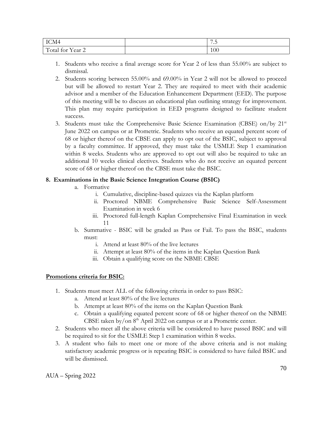| ICM <sup>2</sup>                                                | $\rightarrow$ $\rightarrow$<br>$\ddot{\phantom{0}}$ |
|-----------------------------------------------------------------|-----------------------------------------------------|
| $ -$<br>$\sqrt{1}$<br>-<br>ear 2<br>. ، tr<br>$+ \cap r$<br>TOT | 100                                                 |

- 1. Students who receive a final average score for Year 2 of less than 55.00% are subject to dismissal.
- 2. Students scoring between 55.00% and 69.00% in Year 2 will not be allowed to proceed but will be allowed to restart Year 2. They are required to meet with their academic advisor and a member of the Education Enhancement Department (EED). The purpose of this meeting will be to discuss an educational plan outlining strategy for improvement. This plan may require participation in EED programs designed to facilitate student success.
- 3. Students must take the Comprehensive Basic Science Examination (CBSE) on/by  $21<sup>st</sup>$ June 2022 on campus or at Prometric. Students who receive an equated percent score of 68 or higher thereof on the CBSE can apply to opt out of the BSIC, subject to approval by a faculty committee. If approved, they must take the USMLE Step 1 examination within 8 weeks. Students who are approved to opt out will also be required to take an additional 10 weeks clinical electives. Students who do not receive an equated percent score of 68 or higher thereof on the CBSE must take the BSIC.

## **8. Examinations in the Basic Science Integration Course (BSIC)**

- a. Formative
	- i. Cumulative, discipline-based quizzes via the Kaplan platform
	- ii. Proctored NBME Comprehensive Basic Science Self-Assessment Examination in week 6
	- iii. Proctored full-length Kaplan Comprehensive Final Examination in week 11
- b. Summative BSIC will be graded as Pass or Fail. To pass the BSIC, students must:
	- i. Attend at least 80% of the live lectures
	- ii. Attempt at least 80% of the items in the Kaplan Question Bank
	- iii. Obtain a qualifying score on the NBME CBSE

### **Promotions criteria for BSIC:**

- 1. Students must meet ALL of the following criteria in order to pass BSIC:
	- a. Attend at least 80% of the live lectures
	- b. Attempt at least 80% of the items on the Kaplan Question Bank
	- c. Obtain a qualifying equated percent score of 68 or higher thereof on the NBME CBSE taken by/on  $8<sup>th</sup>$  April 2022 on campus or at a Prometric center.
- 2. Students who meet all the above criteria will be considered to have passed BSIC and will be required to sit for the USMLE Step 1 examination within 8 weeks.
- 3. A student who fails to meet one or more of the above criteria and is not making satisfactory academic progress or is repeating BSIC is considered to have failed BSIC and will be dismissed.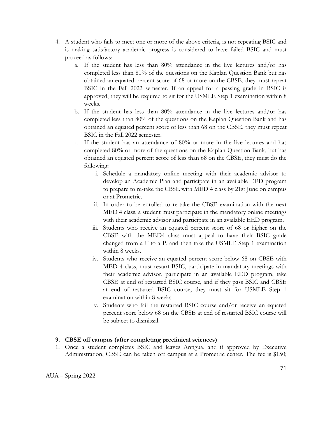- 4. A student who fails to meet one or more of the above criteria, is not repeating BSIC and is making satisfactory academic progress is considered to have failed BSIC and must proceed as follows:
	- a. If the student has less than 80% attendance in the live lectures and/or has completed less than 80% of the questions on the Kaplan Question Bank but has obtained an equated percent score of 68 or more on the CBSE, they must repeat BSIC in the Fall 2022 semester. If an appeal for a passing grade in BSIC is approved, they will be required to sit for the USMLE Step 1 examination within 8 weeks.
	- b. If the student has less than 80% attendance in the live lectures and/or has completed less than 80% of the questions on the Kaplan Question Bank and has obtained an equated percent score of less than 68 on the CBSE, they must repeat BSIC in the Fall 2022 semester.
	- c. If the student has an attendance of 80% or more in the live lectures and has completed 80% or more of the questions on the Kaplan Question Bank, but has obtained an equated percent score of less than 68 on the CBSE, they must do the following:
		- i. Schedule a mandatory online meeting with their academic advisor to develop an Academic Plan and participate in an available EED program to prepare to re-take the CBSE with MED 4 class by 21st June on campus or at Prometric.
		- ii. In order to be enrolled to re-take the CBSE examination with the next MED 4 class, a student must participate in the mandatory online meetings with their academic advisor and participate in an available EED program.
		- iii. Students who receive an equated percent score of 68 or higher on the CBSE with the MED4 class must appeal to have their BSIC grade changed from a F to a P, and then take the USMLE Step 1 examination within 8 weeks.
		- iv. Students who receive an equated percent score below 68 on CBSE with MED 4 class, must restart BSIC, participate in mandatory meetings with their academic advisor, participate in an available EED program, take CBSE at end of restarted BSIC course, and if they pass BSIC and CBSE at end of restarted BSIC course, they must sit for USMLE Step 1 examination within 8 weeks.
		- v. Students who fail the restarted BSIC course and/or receive an equated percent score below 68 on the CBSE at end of restarted BSIC course will be subject to dismissal.

## **9. CBSE off campus (after completing preclinical sciences)**

1. Once a student completes BSIC and leaves Antigua, and if approved by Executive Administration, CBSE can be taken off campus at a Prometric center. The fee is \$150;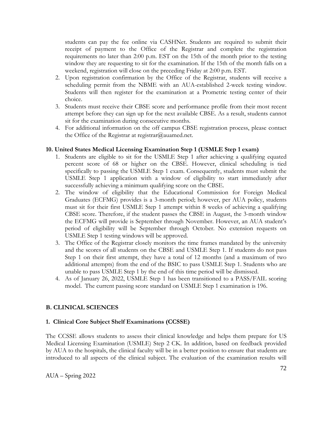students can pay the fee online via CASHNet. Students are required to submit their receipt of payment to the Office of the Registrar and complete the registration requirements no later than 2:00 p.m. EST on the 15th of the month prior to the testing window they are requesting to sit for the examination. If the 15th of the month falls on a weekend, registration will close on the preceding Friday at 2:00 p.m. EST.

- 2. Upon registration confirmation by the Office of the Registrar, students will receive a scheduling permit from the NBME with an AUA-established 2-week testing window. Students will then register for the examination at a Prometric testing center of their choice.
- 3. Students must receive their CBSE score and performance profile from their most recent attempt before they can sign up for the next available CBSE. As a result, students cannot sit for the examination during consecutive months.
- 4. For additional information on the off campus CBSE registration process, please contact the Office of the Registrar at [registrar@auamed.net.](mailto:registrar@auamed.org)

### **10. United States Medical Licensing Examination Step 1 (USMLE Step 1 exam)**

- 1. Students are eligible to sit for the USMLE Step 1 after achieving a qualifying equated percent score of 68 or higher on the CBSE. However, clinical scheduling is tied specifically to passing the USMLE Step 1 exam. Consequently, students must submit the USMLE Step 1 application with a window of eligibility to start immediately after successfully achieving a minimum qualifying score on the CBSE.
- 2. The window of eligibility that the Educational Commission for Foreign Medical Graduates (ECFMG) provides is a 3-month period; however, per AUA policy, students must sit for their first USMLE Step 1 attempt within 8 weeks of achieving a qualifying CBSE score. Therefore, if the student passes the CBSE in August, the 3-month window the ECFMG will provide is September through November. However, an AUA student's period of eligibility will be September through October. No extension requests on USMLE Step 1 testing windows will be approved.
- 3. The Office of the Registrar closely monitors the time frames mandated by the university and the scores of all students on the CBSE and USMLE Step 1. If students do not pass Step 1 on their first attempt, they have a total of 12 months (and a maximum of two additional attempts) from the end of the BSIC to pass USMLE Step 1. Students who are unable to pass USMLE Step 1 by the end of this time period will be dismissed.
- 4. As of January 26, 2022, USMLE Step 1 has been transitioned to a PASS/FAIL scoring model. The current passing score standard on USMLE Step 1 examination is 196.

## **B. CLINICAL SCIENCES**

### **1. Clinical Core Subject Shelf Examinations (CCSSE)**

The CCSSE allows students to assess their clinical knowledge and helps them prepare for US Medical Licensing Examination (USMLE) Step 2 CK. In addition, based on feedback provided by AUA to the hospitals, the clinical faculty will be in a better position to ensure that students are introduced to all aspects of the clinical subject. The evaluation of the examination results will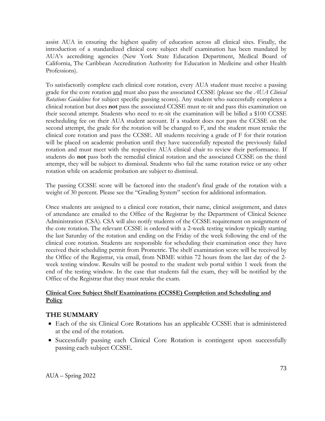assist AUA in ensuring the highest quality of education across all clinical sites. Finally, the introduction of a standardized clinical core subject shelf examination has been mandated by AUA's accrediting agencies (New York State Education Department, Medical Board of California, The Caribbean Accreditation Authority for Education in Medicine and other Health Professions).

To satisfactorily complete each clinical core rotation, every AUA student must receive a passing grade for the core rotation and must also pass the associated CCSSE (please see the *AUA Clinical Rotations Guidelines* for subject specific passing scores). Any student who successfully completes a clinical rotation but does **not** pass the associated CCSSE must re-sit and pass this examination on their second attempt. Students who need to re-sit the examination will be billed a \$100 CCSSE rescheduling fee on their AUA student account. If a student does not pass the CCSSE on the second attempt, the grade for the rotation will be changed to F, and the student must retake the clinical core rotation and pass the CCSSE. All students receiving a grade of F for their rotation will be placed on academic probation until they have successfully repeated the previously failed rotation and must meet with the respective AUA clinical chair to review their performance. If students do **not** pass both the remedial clinical rotation and the associated CCSSE on the third attempt, they will be subject to dismissal. Students who fail the same rotation twice or any other rotation while on academic probation are subject to dismissal.

The passing CCSSE score will be factored into the student's final grade of the rotation with a weight of 30 percent. Please see the "Grading System" section for additional information.

Once students are assigned to a clinical core rotation, their name, clinical assignment, and dates of attendance are emailed to the Office of the Registrar by the Department of Clinical Science Administration (CSA). CSA will also notify students of the CCSSE requirement on assignment of the core rotation. The relevant CCSSE is ordered with a 2-week testing window typically starting the last Saturday of the rotation and ending on the Friday of the week following the end of the clinical core rotation. Students are responsible for scheduling their examination once they have received their scheduling permit from Prometric. The shelf examination score will be received by the Office of the Registrar, via email, from NBME within 72 hours from the last day of the 2 week testing window. Results will be posted to the student web portal within 1 week from the end of the testing window. In the case that students fail the exam, they will be notified by the Office of the Registrar that they must retake the exam.

### **Clinical Core Subject Shelf Examinations (CCSSE) Completion and Scheduling and Policy**

# **THE SUMMARY**

- Each of the six Clinical Core Rotations has an applicable CCSSE that is administered at the end of the rotation.
- Successfully passing each Clinical Core Rotation is contingent upon successfully passing each subject CCSSE.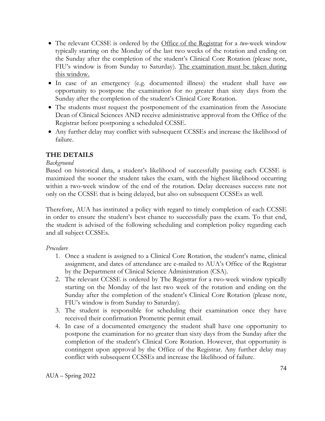- The relevant CCSSE is ordered by the Office of the Registrar for a *two*-week window typically starting on the Monday of the last two weeks of the rotation and ending on the Sunday after the completion of the student's Clinical Core Rotation (please note, FIU's window is from Sunday to Saturday). The examination must be taken during this window.
- In case of an emergency (e.g. documented illness) the student shall have *one* opportunity to postpone the examination for no greater than sixty days from the Sunday after the completion of the student's Clinical Core Rotation.
- The students must request the postponement of the examination from the Associate Dean of Clinical Sciences AND receive administrative approval from the Office of the Registrar before postponing a scheduled CCSSE.
- Any further delay may conflict with subsequent CCSSEs and increase the likelihood of failure.

# **THE DETAILS**

### *Background*

Based on historical data, a student's likelihood of successfully passing each CCSSE is maximized the sooner the student takes the exam, with the highest likelihood occurring within a two-week window of the end of the rotation. Delay decreases success rate not only on the CCSSE that is being delayed, but also on subsequent CCSSEs as well.

Therefore, AUA has instituted a policy with regard to timely completion of each CCSSE in order to ensure the student's best chance to successfully pass the exam. To that end, the student is advised of the following scheduling and completion policy regarding each and all subject CCSSEs.

### *Procedure*

- 1. Once a student is assigned to a Clinical Core Rotation, the student's name, clinical assignment, and dates of attendance are e-mailed to AUA's Office of the Registrar by the Department of Clinical Science Administration (CSA).
- 2. The relevant CCSSE is ordered by The Registrar for a two-week window typically starting on the Monday of the last two week of the rotation and ending on the Sunday after the completion of the student's Clinical Core Rotation (please note, FIU's window is from Sunday to Saturday).
- 3. The student is responsible for scheduling their examination once they have received their confirmation Prometric permit email.
- 4. In case of a documented emergency the student shall have one opportunity to postpone the examination for no greater than sixty days from the Sunday after the completion of the student's Clinical Core Rotation. However, that opportunity is contingent upon approval by the Office of the Registrar. Any further delay may conflict with subsequent CCSSEs and increase the likelihood of failure.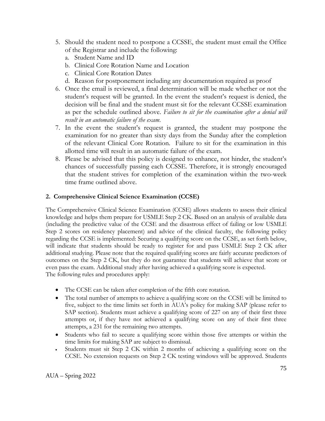- 5. Should the student need to postpone a CCSSE, the student must email the Office of the Registrar and include the following:
	- a. Student Name and ID
	- b. Clinical Core Rotation Name and Location
	- c. Clinical Core Rotation Dates
	- d. Reason for postponement including any documentation required as proof
- 6. Once the email is reviewed, a final determination will be made whether or not the student's request will be granted. In the event the student's request is denied, the decision will be final and the student must sit for the relevant CCSSE examination as per the schedule outlined above. *Failure to sit for the examination after a denial will result in an automatic failure of the exam*.
- 7. In the event the student's request is granted, the student may postpone the examination for no greater than sixty days from the Sunday after the completion of the relevant Clinical Core Rotation. Failure to sit for the examination in this allotted time will result in an automatic failure of the exam.
- 8. Please be advised that this policy is designed to enhance, not hinder, the student's chances of successfully passing each CCSSE. Therefore, it is strongly encouraged that the student strives for completion of the examination within the two-week time frame outlined above.

### **2. Comprehensive Clinical Science Examination (CCSE)**

The Comprehensive Clinical Science Examination (CCSE) allows students to assess their clinical knowledge and helps them prepare for USMLE Step 2 CK. Based on an analysis of available data (including the predictive value of the CCSE and the disastrous effect of failing or low USMLE Step 2 scores on residency placement) and advice of the clinical faculty, the following policy regarding the CCSE is implemented: Securing a qualifying score on the CCSE, as set forth below, will indicate that students should be ready to register for and pass USMLE Step 2 CK after additional studying. Please note that the required qualifying scores are fairly accurate predictors of outcomes on the Step 2 CK, but they do not guarantee that students will achieve that score or even pass the exam. Additional study after having achieved a qualifying score is expected. The following rules and procedures apply:

- The CCSE can be taken after completion of the fifth core rotation.
- The total number of attempts to achieve a qualifying score on the CCSE will be limited to five, subject to the time limits set forth in AUA's policy for making SAP (please refer to SAP section). Students must achieve a qualifying score of 227 on any of their first three attempts or, if they have not achieved a qualifying score on any of their first three attempts, a 231 for the remaining two attempts.
- Students who fail to secure a qualifying score within those five attempts or within the time limits for making SAP are subject to dismissal.
- Students must sit Step 2 CK within 2 months of achieving a qualifying score on the CCSE. No extension requests on Step 2 CK testing windows will be approved. Students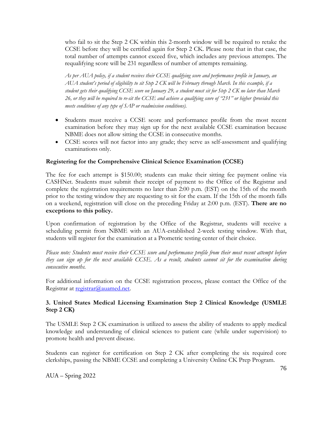who fail to sit the Step 2 CK within this 2-month window will be required to retake the CCSE before they will be certified again for Step 2 CK. Please note that in that case, the total number of attempts cannot exceed five, which includes any previous attempts. The requalifying score will be 231 regardless of number of attempts remaining.

*As per AUA policy, if a student receives their CCSE qualifying score and performance profile in January, an AUA student's period of eligibility to sit Step 2 CK will be February through March. In this example, if a student gets their qualifying CCSE score on January 29, a student must sit for Step 2 CK no later than March 26, or they will be required to re-sit the CCSE and achieve a qualifying score of "231" or higher (provided this meets conditions of any type of SAP or readmission conditions).*

- Students must receive a CCSE score and performance profile from the most recent examination before they may sign up for the next available CCSE examination because NBME does not allow sitting the CCSE in consecutive months.
- CCSE scores will not factor into any grade; they serve as self-assessment and qualifying examinations only.

#### **Registering for the Comprehensive Clinical Science Examination (CCSE)**

The fee for each attempt is \$150.00; students can make their sitting fee payment online via CASHNet. Students must submit their receipt of payment to the Office of the Registrar and complete the registration requirements no later than 2:00 p.m. (EST) on the 15th of the month prior to the testing window they are requesting to sit for the exam. If the 15th of the month falls on a weekend, registration will close on the preceding Friday at 2:00 p.m. (EST). **There are no exceptions to this policy.**

Upon confirmation of registration by the Office of the Registrar, students will receive a scheduling permit from NBME with an AUA-established 2-week testing window. With that, students will register for the examination at a Prometric testing center of their choice.

*Please note: Students must receive their CCSE score and performance profile from their most recent attempt before they can sign up for the next available CCSE. As a result, students cannot sit for the examination during consecutive months.*

For additional information on the CCSE registration process, please contact the Office of the Registrar at [registrar@auamed.net.](mailto:registrar@auamed.org)

#### **3. United States Medical Licensing Examination Step 2 Clinical Knowledge (USMLE Step 2 CK)**

The USMLE Step 2 CK examination is utilized to assess the ability of students to apply medical knowledge and understanding of clinical sciences to patient care (while under supervision) to promote health and prevent disease.

Students can register for certification on Step 2 CK after completing the six required core clerkships, passing the NBME CCSE and completing a University Online CK Prep Program.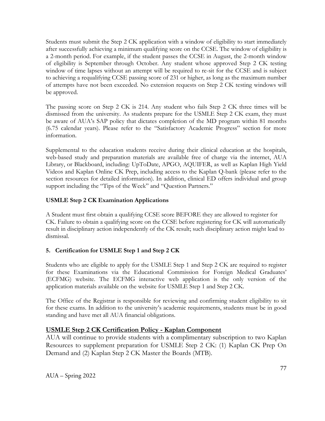Students must submit the Step 2 CK application with a window of eligibility to start immediately after successfully achieving a minimum qualifying score on the CCSE. The window of eligibility is a 2-month period. For example, if the student passes the CCSE in August, the 2-month window of eligibility is September through October. Any student whose approved Step 2 CK testing window of time lapses without an attempt will be required to re-sit for the CCSE and is subject to achieving a requalifying CCSE passing score of 231 or higher, as long as the maximum number of attempts have not been exceeded. No extension requests on Step 2 CK testing windows will be approved.

The passing score on Step 2 CK is 214. Any student who fails Step 2 CK three times will be dismissed from the university. As students prepare for the USMLE Step 2 CK exam, they must be aware of AUA's SAP policy that dictates completion of the MD program within 81 months (6.75 calendar years). Please refer to the "Satisfactory Academic Progress" section for more information.

Supplemental to the education students receive during their clinical education at the hospitals, web-based study and preparation materials are available free of charge via the internet, AUA Library, or Blackboard, including: UpToDate, APGO, AQUIFER, as well as Kaplan High Yield Videos and Kaplan Online CK Prep, including access to the Kaplan Q-bank (please refer to the section resources for detailed information). In addition, clinical ED offers individual and group support including the "Tips of the Week" and "Question Partners."

### **USMLE Step 2 CK Examination Applications**

A Student must first obtain a qualifying CCSE score BEFORE they are allowed to register for CK. Failure to obtain a qualifying score on the CCSE before registering for CK will automatically result in disciplinary action independently of the CK result; such disciplinary action might lead to dismissal.

# **5. Certification for USMLE Step 1 and Step 2 CK**

Students who are eligible to apply for the USMLE Step 1 and Step 2 CK are required to register for these Examinations via the Educational Commission for Foreign Medical Graduates' (ECFMG) website. The ECFMG interactive web application is the only version of the application materials available on the website for USMLE Step 1 and Step 2 CK.

The Office of the Registrar is responsible for reviewing and confirming student eligibility to sit for these exams. In addition to the university's academic requirements, students must be in good standing and have met all AUA financial obligations.

### **USMLE Step 2 CK Certification Policy - Kaplan Component**

AUA will continue to provide students with a complimentary subscription to two Kaplan Resources to supplement preparation for USMLE Step 2 CK: (1) Kaplan CK Prep On Demand and (2) Kaplan Step 2 CK Master the Boards (MTB).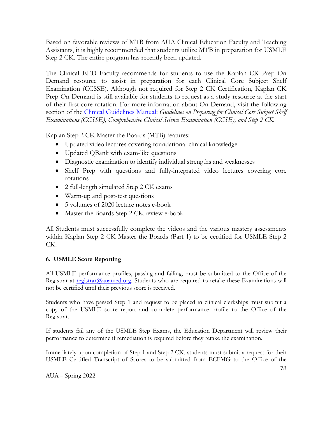Based on favorable reviews of MTB from AUA Clinical Education Faculty and Teaching Assistants, it is highly recommended that students utilize MTB in preparation for USMLE Step 2 CK. The entire program has recently been updated.

The Clinical EED Faculty recommends for students to use the Kaplan CK Prep On Demand resource to assist in preparation for each Clinical Core Subject Shelf Examination (CCSSE). Although not required for Step 2 CK Certification, Kaplan CK Prep On Demand is still available for students to request as a study resource at the start of their first core rotation. For more information about On Demand, visit the following section of the *Clinical Guidelines Manual: Guidelines on Preparing for Clinical Core Subject Shelf Examinations (CCSSE), Comprehensive Clinical Science Examination (CCSE), and Step 2 CK*.

Kaplan Step 2 CK Master the Boards (MTB) features:

- Updated video lectures covering foundational clinical knowledge
- Updated QBank with exam-like questions
- Diagnostic examination to identify individual strengths and weaknesses
- Shelf Prep with questions and fully-integrated video lectures covering core rotations
- 2 full-length simulated Step 2 CK exams
- Warm-up and post-test questions
- 5 volumes of 2020 lecture notes e-book
- Master the Boards Step 2 CK review e-book

All Students must successfully complete the videos and the various mastery assessments within Kaplan Step 2 CK Master the Boards (Part 1) to be certified for USMLE Step 2 CK.

# **6. USMLE Score Reporting**

All USMLE performance profiles, passing and failing, must be submitted to the Office of the Registrar at [registrar@auamed.org.](mailto:registrar@auamed.org) Students who are required to retake these Examinations will not be certified until their previous score is received.

Students who have passed Step 1 and request to be placed in clinical clerkships must submit a copy of the USMLE score report and complete performance profile to the Office of the Registrar.

If students fail any of the USMLE Step Exams, the Education Department will review their performance to determine if remediation is required before they retake the examination.

Immediately upon completion of Step 1 and Step 2 CK, students must submit a request for their USMLE Certified Transcript of Scores to be submitted from ECFMG to the Office of the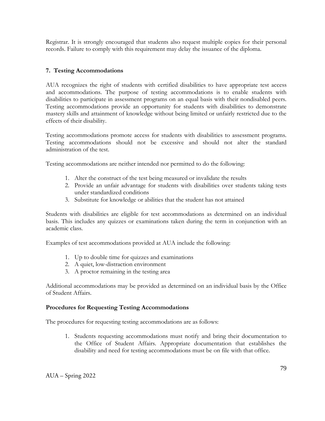Registrar. It is strongly encouraged that students also request multiple copies for their personal records. Failure to comply with this requirement may delay the issuance of the diploma.

### **7. Testing Accommodations**

AUA recognizes the right of students with certified disabilities to have appropriate test access and accommodations. The purpose of testing accommodations is to enable students with disabilities to participate in assessment programs on an equal basis with their nondisabled peers. Testing accommodations provide an opportunity for students with disabilities to demonstrate mastery skills and attainment of knowledge without being limited or unfairly restricted due to the effects of their disability.

Testing accommodations promote access for students with disabilities to assessment programs. Testing accommodations should not be excessive and should not alter the standard administration of the test.

Testing accommodations are neither intended nor permitted to do the following:

- 1. Alter the construct of the test being measured or invalidate the results
- 2. Provide an unfair advantage for students with disabilities over students taking tests under standardized conditions
- 3. Substitute for knowledge or abilities that the student has not attained

Students with disabilities are eligible for test accommodations as determined on an individual basis. This includes any quizzes or examinations taken during the term in conjunction with an academic class.

Examples of test accommodations provided at AUA include the following:

- 1. Up to double time for quizzes and examinations
- 2. A quiet, low-distraction environment
- 3. A proctor remaining in the testing area

Additional accommodations may be provided as determined on an individual basis by the Office of Student Affairs.

#### **Procedures for Requesting Testing Accommodations**

The procedures for requesting testing accommodations are as follows:

1. Students requesting accommodations must notify and bring their documentation to the Office of Student Affairs. Appropriate documentation that establishes the disability and need for testing accommodations must be on file with that office.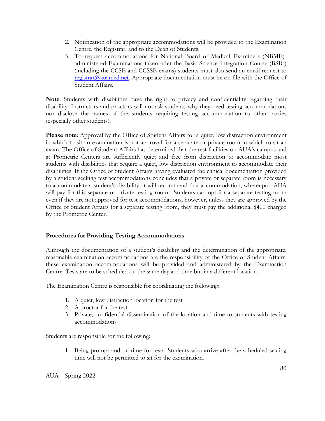- 2. Notification of the appropriate accommodations will be provided to the Examination Centre, the Registrar, and to the Dean of Students.
- 3. To request accommodations for National Board of Medical Examiners (NBME) administered Examinations taken after the Basic Science Integration Course (BSIC) (including the CCSE and CCSSE exams) students must also send an email request to [registrar@auamed.net.](mailto:registrar@auamed.org) Appropriate documentation must be on file with the Office of Student Affairs.

**Note**: Students with disabilities have the right to privacy and confidentiality regarding their disability. Instructors and proctors will not ask students why they need testing accommodations nor disclose the names of the students requiring testing accommodation to other parties (especially other students).

**Please note**: Approval by the Office of Student Affairs for a quiet, low distraction environment in which to sit an examination is not approval for a separate or private room in which to sit an exam. The Office of Student Affairs has determined that the test facilities on AUA's campus and at Prometric Centers are sufficiently quiet and free from distraction to accommodate most students with disabilities that require a quiet, low distraction environment to accommodate their disabilities. If the Office of Student Affairs having evaluated the clinical documentation provided by a student seeking test accommodations concludes that a private or separate room is necessary to accommodate a student's disability, it will recommend that accommodation, whereupon AUA will pay for this separate or private testing room. Students can opt for a separate testing room even if they are not approved for test accommodations, however, unless they are approved by the Office of Student Affairs for a separate testing room, they must pay the additional \$400 charged by the Prometric Center.

#### **Procedures for Providing Testing Accommodations**

Although the documentation of a student's disability and the determination of the appropriate, reasonable examination accommodations are the responsibility of the Office of Student Affairs, these examination accommodations will be provided and administered by the Examination Centre. Tests are to be scheduled on the same day and time but in a different location.

The Examination Centre is responsible for coordinating the following:

- 1. A quiet, low-distraction location for the test
- 2. A proctor for the test
- 3. Private, confidential dissemination of the location and time to students with testing accommodations

Students are responsible for the following:

1. Being prompt and on time for tests. Students who arrive after the scheduled seating time will not be permitted to sit for the examination.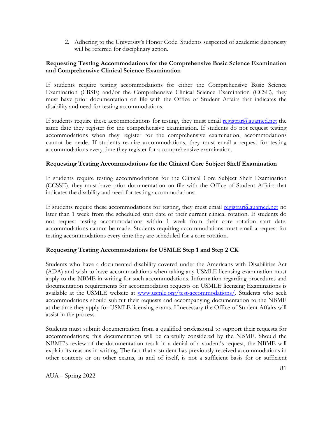2. Adhering to the University's Honor Code. Students suspected of academic dishonesty will be referred for disciplinary action.

#### **Requesting Testing Accommodations for the Comprehensive Basic Science Examination and Comprehensive Clinical Science Examination**

If students require testing accommodations for either the Comprehensive Basic Science Examination (CBSE) and/or the Comprehensive Clinical Science Examination (CCSE), they must have prior documentation on file with the Office of Student Affairs that indicates the disability and need for testing accommodations.

If students require these accommodations for testing, they must email  $\frac{res}{trans}$  [registrar@auamed.net](mailto:registrar@auamed.org) the same date they register for the comprehensive examination. If students do not request testing accommodations when they register for the comprehensive examination, accommodations cannot be made. If students require accommodations, they must email a request for testing accommodations every time they register for a comprehensive examination.

### **Requesting Testing Accommodations for the Clinical Core Subject Shelf Examination**

If students require testing accommodations for the Clinical Core Subject Shelf Examination (CCSSE), they must have prior documentation on file with the Office of Student Affairs that indicates the disability and need for testing accommodations.

If students require these accommodations for testing, they must email [registrar@auamed.net](mailto:registrar@auamed.org) no later than 1 week from the scheduled start date of their current clinical rotation. If students do not request testing accommodations within 1 week from their core rotation start date, accommodations cannot be made. Students requiring accommodations must email a request for testing accommodations every time they are scheduled for a core rotation.

### **Requesting Testing Accommodations for USMLE Step 1 and Step 2 CK**

Students who have a documented disability covered under the Americans with Disabilities Act (ADA) and wish to have accommodations when taking any USMLE licensing examination must apply to the NBME in writing for such accommodations. Information regarding procedures and documentation requirements for accommodation requests on USMLE licensing Examinations is available at the USMLE website at [www.usmle.org/test-accommodations/.](http://www.usmle.org/test-accommodations/) Students who seek accommodations should submit their requests and accompanying documentation to the NBME at the time they apply for USMLE licensing exams. If necessary the Office of Student Affairs will assist in the process.

Students must submit documentation from a qualified professional to support their requests for accommodations; this documentation will be carefully considered by the NBME. Should the NBME's review of the documentation result in a denial of a student's request, the NBME will explain its reasons in writing. The fact that a student has previously received accommodations in other contexts or on other exams, in and of itself, is not a sufficient basis for or sufficient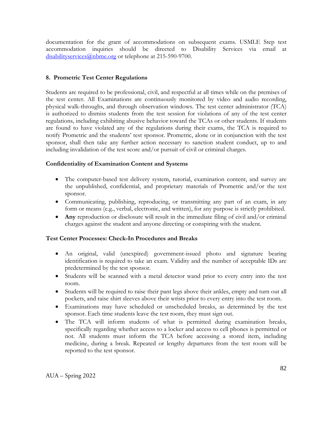documentation for the grant of accommodations on subsequent exams. USMLE Step test accommodation inquiries should be directed to Disability Services via email at [disabilityservices@nbme.org](mailto:disabilityservices@nbme.org) or telephone at 215-590-9700.

### **8. Prometric Test Center Regulations**

Students are required to be professional, civil, and respectful at all times while on the premises of the test center. All Examinations are continuously monitored by video and audio recording, physical walk-throughs, and through observation windows. The test center administrator (TCA) is authorized to dismiss students from the test session for violations of any of the test center regulations, including exhibiting abusive behavior toward the TCAs or other students. If students are found to have violated any of the regulations during their exams, the TCA is required to notify Prometric and the students' test sponsor. Prometric, alone or in conjunction with the test sponsor, shall then take any further action necessary to sanction student conduct, up to and including invalidation of the test score and/or pursuit of civil or criminal charges.

### **Confidentiality of Examination Content and Systems**

- The computer-based test delivery system, tutorial, examination content, and survey are the unpublished, confidential, and proprietary materials of Prometric and/or the test sponsor.
- Communicating, publishing, reproducing, or transmitting any part of an exam, in any form or means (e.g., verbal, electronic, and written), for any purpose is strictly prohibited.
- **Any** reproduction or disclosure will result in the immediate filing of civil and/or criminal charges against the student and anyone directing or conspiring with the student.

#### **Test Center Processes: Check-In Procedures and Breaks**

- An original, valid (unexpired) government-issued photo and signature bearing identification is required to take an exam. Validity and the number of acceptable IDs are predetermined by the test sponsor.
- Students will be scanned with a metal detector wand prior to every entry into the test room.
- Students will be required to raise their pant legs above their ankles, empty and turn out all pockets, and raise shirt sleeves above their wrists prior to every entry into the test room.
- Examinations may have scheduled or unscheduled breaks, as determined by the test sponsor. Each time students leave the test room, they must sign out.
- The TCA will inform students of what is permitted during examination breaks, specifically regarding whether access to a locker and access to cell phones is permitted or not. All students must inform the TCA before accessing a stored item, including medicine, during a break. Repeated or lengthy departures from the test room will be reported to the test sponsor.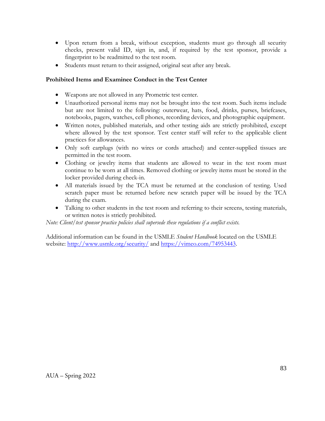- Upon return from a break, without exception, students must go through all security checks, present valid ID, sign in, and, if required by the test sponsor, provide a fingerprint to be readmitted to the test room.
- Students must return to their assigned, original seat after any break.

### **Prohibited Items and Examinee Conduct in the Test Center**

- Weapons are not allowed in any Prometric test center.
- Unauthorized personal items may not be brought into the test room. Such items include but are not limited to the following: outerwear, hats, food, drinks, purses, briefcases, notebooks, pagers, watches, cell phones, recording devices, and photographic equipment.
- Written notes, published materials, and other testing aids are strictly prohibited, except where allowed by the test sponsor. Test center staff will refer to the applicable client practices for allowances.
- Only soft earplugs (with no wires or cords attached) and center-supplied tissues are permitted in the test room.
- Clothing or jewelry items that students are allowed to wear in the test room must continue to be worn at all times. Removed clothing or jewelry items must be stored in the locker provided during check-in.
- All materials issued by the TCA must be returned at the conclusion of testing. Used scratch paper must be returned before new scratch paper will be issued by the TCA during the exam.
- Talking to other students in the test room and referring to their screens, testing materials, or written notes is strictly prohibited.

*Note: Client/test sponsor practice policies shall supersede these regulations if a conflict exists.*

Additional information can be found in the USMLE *Student Handbook* located on the USMLE website:<http://www.usmle.org/security/> and [https://vimeo.com/74953443.](https://vimeo.com/74953443)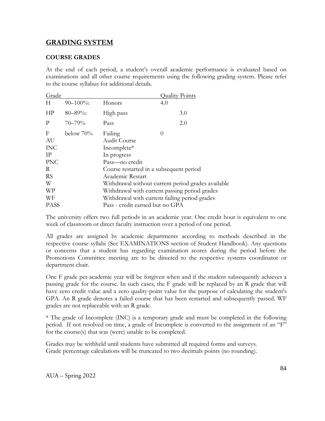# **GRADING SYSTEM**

### **COURSE GRADES**

At the end of each period, a student's overall academic performance is evaluated based on examinations and all other course requirements using the following grading system. Please refer to the course syllabus for additional details.

| Grade                                                                  |                |                                                                                                                                                                                                                                                    | <u> Ouality Points</u>                        |
|------------------------------------------------------------------------|----------------|----------------------------------------------------------------------------------------------------------------------------------------------------------------------------------------------------------------------------------------------------|-----------------------------------------------|
| H                                                                      | $90 - 100\%$ : | Honors                                                                                                                                                                                                                                             | 4.0                                           |
| HP                                                                     | $80 - 89\%$ :  | High pass                                                                                                                                                                                                                                          | 3.0                                           |
| P                                                                      | $70 - 79%$     | Pass                                                                                                                                                                                                                                               | 2.0                                           |
| F<br>AU<br><b>INC</b><br>IP<br><b>PNC</b><br>R<br><b>RS</b><br>W<br>WP | below $70\%$   | Failing<br>0<br>Audit Course<br>Incomplete*<br>In progress<br>Pass—no credit<br>Course restarted in a subsequent period<br>Academic Restart<br>Withdrawal without current period grades available<br>Withdrawal with current passing period grades |                                               |
| WF<br><b>PASS</b>                                                      |                | Pass - credit earned but no GPA                                                                                                                                                                                                                    | Withdrawal with current failing period grades |

The university offers two full periods in an academic year. One credit hour is equivalent to one week of classroom or direct faculty instruction over a period of one period.

All grades are assigned by academic departments according to methods described in the respective course syllabi (See EXAMINATIONS section of Student Handbook). Any questions or concerns that a student has regarding examination scores during the period before the Promotions Committee meeting are to be directed to the respective systems coordinator or department chair.

One F grade per academic year will be forgiven when and if the student subsequently achieves a passing grade for the course. In such cases, the F grade will be replaced by an R grade that will have zero credit value and a zero quality-point value for the purpose of calculating the student's GPA. An R grade denotes a failed course that has been restarted and subsequently passed. WF grades are not replaceable with an R grade.

\* The grade of Incomplete (INC) is a temporary grade and must be completed in the following period. If not resolved on time, a grade of Incomplete is converted to the assignment of an "F" for the course(s) that was (were) unable to be completed.

Grades may be withheld until students have submitted all required forms and surveys. Grade percentage calculations will be truncated to two decimals points (no rounding).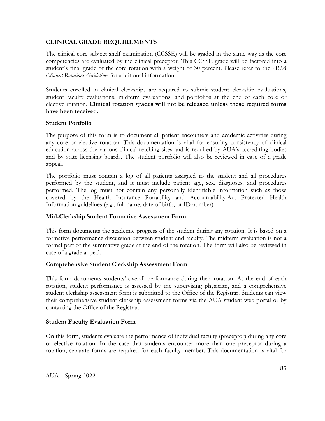#### **CLINICAL GRADE REQUIREMENTS**

The clinical core subject shelf examination (CCSSE) will be graded in the same way as the core competencies are evaluated by the clinical preceptor. This CCSSE grade will be factored into a student's final grade of the core rotation with a weight of 30 percent. Please refer to the *AUA Clinical Rotations Guidelines* for additional information.

Students enrolled in clinical clerkships are required to submit student clerkship evaluations, student faculty evaluations, midterm evaluations, and portfolios at the end of each core or elective rotation. **Clinical rotation grades will not be released unless these required forms have been received.**

#### **Student Portfolio**

The purpose of this form is to document all patient encounters and academic activities during any core or elective rotation. This documentation is vital for ensuring consistency of clinical education across the various clinical teaching sites and is required by AUA's accrediting bodies and by state licensing boards. The student portfolio will also be reviewed in case of a grade appeal.

The portfolio must contain a log of all patients assigned to the student and all procedures performed by the student, and it must include patient age, sex, diagnoses, and procedures performed. The log must not contain any personally identifiable information such as those covered by the Health Insurance Portability and Accountability Act Protected Health Information guidelines (e.g., full name, date of birth, or ID number).

#### **Mid-Clerkship Student Formative Assessment Form**

This form documents the academic progress of the student during any rotation. It is based on a formative performance discussion between student and faculty. The midterm evaluation is not a formal part of the summative grade at the end of the rotation. The form will also be reviewed in case of a grade appeal.

#### **Comprehensive Student Clerkship Assessment Form**

This form documents students' overall performance during their rotation. At the end of each rotation, student performance is assessed by the supervising physician, and a comprehensive student clerkship assessment form is submitted to the Office of the Registrar. Students can view their comprehensive student clerkship assessment forms via the AUA student web portal or by contacting the Office of the Registrar.

#### **Student Faculty Evaluation Form**

On this form, students evaluate the performance of individual faculty (preceptor) during any core or elective rotation. In the case that students encounter more than one preceptor during a rotation, separate forms are required for each faculty member. This documentation is vital for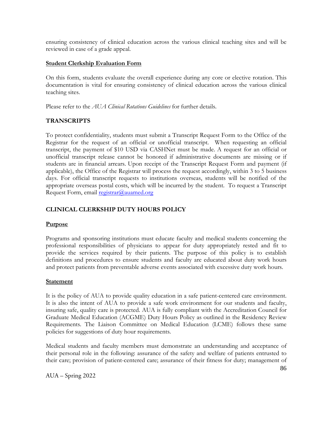ensuring consistency of clinical education across the various clinical teaching sites and will be reviewed in case of a grade appeal.

#### **Student Clerkship Evaluation Form**

On this form, students evaluate the overall experience during any core or elective rotation. This documentation is vital for ensuring consistency of clinical education across the various clinical teaching sites.

Please refer to the *AUA Clinical Rotations Guidelines* for further details.

### **TRANSCRIPTS**

To protect confidentiality, students must submit a Transcript Request Form to the Office of the Registrar for the request of an official or unofficial transcript. When requesting an official transcript, the payment of \$10 USD via CASHNet must be made. A request for an official or unofficial transcript release cannot be honored if administrative documents are missing or if students are in financial arrears. Upon receipt of the Transcript Request Form and payment (if applicable), the Office of the Registrar will process the request accordingly, within 3 to 5 business days. For official transcript requests to institutions overseas, students will be notified of the appropriate overseas postal costs, which will be incurred by the student. To request a Transcript Request Form, email [registrar@auamed.org](mailto:registrar@auamed.org)

### **CLINICAL CLERKSHIP DUTY HOURS POLICY**

#### **Purpose**

Programs and sponsoring institutions must educate faculty and medical students concerning the professional responsibilities of physicians to appear for duty appropriately rested and fit to provide the services required by their patients. The purpose of this policy is to establish definitions and procedures to ensure students and faculty are educated about duty work hours and protect patients from preventable adverse events associated with excessive duty work hours.

#### **Statement**

It is the policy of AUA to provide quality education in a safe patient-centered care environment. It is also the intent of AUA to provide a safe work environment for our students and faculty, insuring safe, quality care is protected. AUA is fully compliant with the Accreditation Council for Graduate Medical Education (ACGME) Duty Hours Policy as outlined in the Residency Review Requirements. The Liaison Committee on Medical Education (LCME) follows these same policies for suggestions of duty hour requirements.

Medical students and faculty members must demonstrate an understanding and acceptance of their personal role in the following: assurance of the safety and welfare of patients entrusted to their care; provision of patient-centered care; assurance of their fitness for duty; management of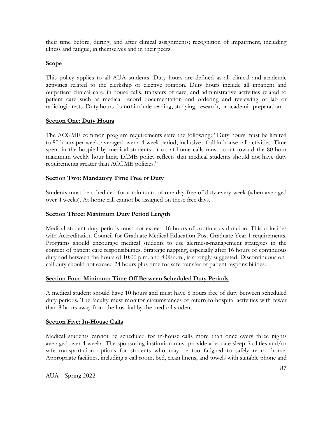their time before, during, and after clinical assignments; recognition of impairment, including illness and fatigue, in themselves and in their peers.

### **Scope**

This policy applies to all AUA students. Duty hours are defined as all clinical and academic activities related to the clerkship or elective rotation. Duty hours include all inpatient and outpatient clinical care, in-house calls, transfers of care, and administrative activities related to patient care such as medical record documentation and ordering and reviewing of lab or radiologic tests. Duty hours do **not** include reading, studying, research, or academic preparation.

### **Section One: Duty Hours**

The ACGME common program requirements state the following: "Duty hours must be limited to 80 hours per week, averaged over a 4-week period, inclusive of all in-house call activities. Time spent in the hospital by medical students or on at-home calls must count toward the 80-hour maximum weekly hour limit. LCME policy reflects that medical students should not have duty requirements greater than ACGME policies."

### **Section Two: Mandatory Time Free of Duty**

Students must be scheduled for a minimum of one day free of duty every week (when averaged over 4 weeks). At-home call cannot be assigned on these free days.

### **Section Three: Maximum Duty Period Length**

Medical student duty periods must not exceed 16 hours of continuous duration. This coincides with Accreditation Council for Graduate Medical Education Post Graduate Year 1 requirements. Programs should encourage medical students to use alertness-management strategies in the context of patient care responsibilities. Strategic napping, especially after 16 hours of continuous duty and between the hours of 10:00 p.m. and 8:00 a.m., is strongly suggested. Discontinuous oncall duty should not exceed 24 hours plus time for safe transfer of patient responsibilities.

### **Section Four: Minimum Time Off Between Scheduled Duty Periods**

A medical student should have 10 hours and must have 8 hours free of duty between scheduled duty periods. The faculty must monitor circumstances of return-to-hospital activities with fewer than 8 hours away from the hospital by the medical student.

#### **Section Five: In-House Calls**

Medical students cannot be scheduled for in-house calls more than once every three nights averaged over 4 weeks. The sponsoring institution must provide adequate sleep facilities and/or safe transportation options for students who may be too fatigued to safely return home. Appropriate facilities, including a call room, bed, clean linens, and towels with suitable phone and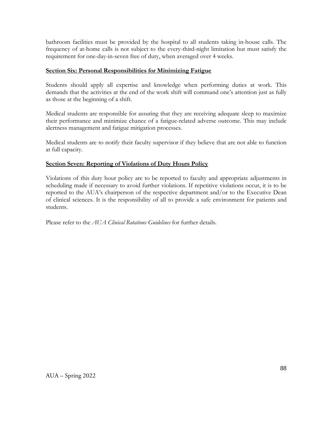bathroom facilities must be provided by the hospital to all students taking in-house calls. The frequency of at-home calls is not subject to the every-third-night limitation but must satisfy the requirement for one-day-in-seven free of duty, when averaged over 4 weeks.

#### **Section Six: Personal Responsibilities for Minimizing Fatigue**

Students should apply all expertise and knowledge when performing duties at work. This demands that the activities at the end of the work shift will command one's attention just as fully as those at the beginning of a shift.

Medical students are responsible for assuring that they are receiving adequate sleep to maximize their performance and minimize chance of a fatigue-related adverse outcome. This may include alertness management and fatigue mitigation processes.

Medical students are to notify their faculty supervisor if they believe that are not able to function at full capacity.

### **Section Seven: Reporting of Violations of Duty Hours Policy**

Violations of this duty hour policy are to be reported to faculty and appropriate adjustments in scheduling made if necessary to avoid further violations. If repetitive violations occur, it is to be reported to the AUA's chairperson of the respective department and/or to the Executive Dean of clinical sciences. It is the responsibility of all to provide a safe environment for patients and students.

Please refer to the *AUA Clinical Rotations Guidelines* for further details.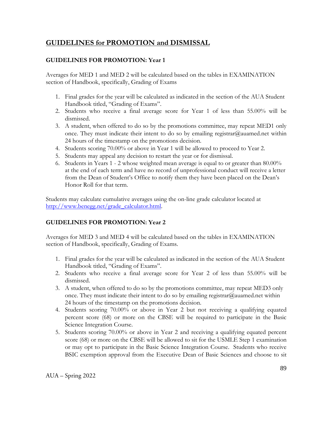# **GUIDELINES for PROMOTION and DISMISSAL**

### **GUIDELINES FOR PROMOTION: Year 1**

Averages for MED 1 and MED 2 will be calculated based on the tables in EXAMINATION section of Handbook, specifically, Grading of Exams

- 1. Final grades for the year will be calculated as indicated in the section of the AUA Student Handbook titled, "Grading of Exams".
- 2. Students who receive a final average score for Year 1 of less than 55.00% will be dismissed.
- 3. A student, when offered to do so by the promotions committee, may repeat MED1 only once. They must indicate their intent to do so by emailing registrar@auamed.net within 24 hours of the timestamp on the promotions decision.
- 4. Students scoring 70.00% or above in Year 1 will be allowed to proceed to Year 2.
- 5. Students may appeal any decision to restart the year or for dismissal.
- 6. Students in Years 1 2 whose weighted mean average is equal to or greater than 80.00% at the end of each term and have no record of unprofessional conduct will receive a letter from the Dean of Student's Office to notify them they have been placed on the Dean's Honor Roll for that term.

Students may calculate cumulative averages using the on-line grade calculator located at [http://www.benegg.net/grade\\_calculator.html.](http://www.benegg.net/grade_calculator.html)

# **GUIDELINES FOR PROMOTION: Year 2**

Averages for MED 3 and MED 4 will be calculated based on the tables in EXAMINATION section of Handbook, specifically, Grading of Exams.

- 1. Final grades for the year will be calculated as indicated in the section of the AUA Student Handbook titled, "Grading of Exams".
- 2. Students who receive a final average score for Year 2 of less than 55.00% will be dismissed.
- 3. A student, when offered to do so by the promotions committee, may repeat MED3 only once. They must indicate their intent to do so by emailing [registrar@auamed.net](mailto:registrar@auamed.net) within 24 hours of the timestamp on the promotions decision.
- 4. Students scoring 70.00% or above in Year 2 but not receiving a qualifying equated percent score (68) or more on the CBSE will be required to participate in the Basic Science Integration Course.
- 5. Students scoring 70.00% or above in Year 2 and receiving a qualifying equated percent score (68) or more on the CBSE will be allowed to sit for the USMLE Step 1 examination or may opt to participate in the Basic Science Integration Course. Students who receive BSIC exemption approval from the Executive Dean of Basic Sciences and choose to sit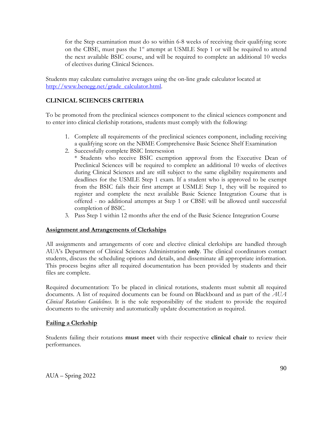for the Step examination must do so within 6-8 weeks of receiving their qualifying score on the CBSE, must pass the 1<sup>st</sup> attempt at USMLE Step 1 or will be required to attend the next available BSIC course, and will be required to complete an additional 10 weeks of electives during Clinical Sciences.

Students may calculate cumulative averages using the on-line grade calculator located at [http://www.benegg.net/grade\\_calculator.html.](http://www.benegg.net/grade_calculator.html)

### **CLINICAL SCIENCES CRITERIA**

To be promoted from the preclinical sciences component to the clinical sciences component and to enter into clinical clerkship rotations, students must comply with the following:

- 1. Complete all requirements of the preclinical sciences component, including receiving a qualifying score on the NBME Comprehensive Basic Science Shelf Examination
- 2. Successfully complete BSIC Intersession

\* Students who receive BSIC exemption approval from the Executive Dean of Preclinical Sciences will be required to complete an additional 10 weeks of electives during Clinical Sciences and are still subject to the same eligibility requirements and deadlines for the USMLE Step 1 exam. If a student who is approved to be exempt from the BSIC fails their first attempt at USMLE Step 1, they will be required to register and complete the next available Basic Science Integration Course that is offered - no additional attempts at Step 1 or CBSE will be allowed until successful completion of BSIC.

3. Pass Step 1 within 12 months after the end of the Basic Science Integration Course

#### **Assignment and Arrangements of Clerkships**

All assignments and arrangements of core and elective clinical clerkships are handled through AUA's Department of Clinical Sciences Administration **only**. The clinical coordinators contact students, discuss the scheduling options and details, and disseminate all appropriate information. This process begins after all required documentation has been provided by students and their files are complete.

Required documentation: To be placed in clinical rotations, students must submit all required documents. A list of required documents can be found on Blackboard and as part of the *AUA Clinical Rotations Guidelines*. It is the sole responsibility of the student to provide the required documents to the university and automatically update documentation as required.

#### **Failing a Clerkship**

Students failing their rotations **must meet** with their respective **clinical chair** to review their performances.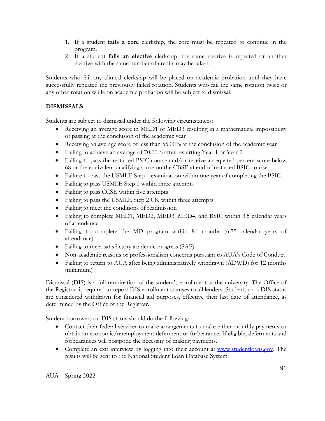- 1. If a student **fails a core** clerkship, the core must be repeated to continue in the program.
- 2. If a student **fails an elective** clerkship, the same elective is repeated or another elective with the same number of credits may be taken.

Students who fail any clinical clerkship will be placed on academic probation until they have successfully repeated the previously failed rotation. Students who fail the same rotation twice or any other rotation while on academic probation will be subject to dismissal.

## **DISMISSALS**

Students are subject to dismissal under the following circumstances:

- Receiving an average score in MED1 or MED3 resulting in a mathematical impossibility of passing at the conclusion of the academic year
- Receiving an average score of less than 55.00% at the conclusion of the academic year
- Failing to achieve an average of 70.00% after restarting Year 1 or Year 2
- Failing to pass the restarted BSIC course and/or receive an equated percent score below 68 or the equivalent qualifying score on the CBSE at end of restarted BSIC course
- Failure to pass the USMLE Step 1 examination within one year of completing the BSIC
- Failing to pass USMLE Step 1 within three attempts
- Failing to pass CCSE within five attempts
- Failing to pass the USMLE Step 2 CK within three attempts
- Failing to meet the conditions of readmission
- Failing to complete MED1, MED2, MED3, MED4, and BSIC within 3.5 calendar years of attendance
- Failing to complete the MD program within 81 months (6.75 calendar years of attendance)
- Failing to meet satisfactory academic progress (SAP)
- Non-academic reasons or professionalism concerns pursuant to AUA's Code of Conduct
- Failing to return to AUA after being administratively withdrawn (ADWD) for 12 months (minimum)

Dismissal (DIS) is a full termination of the student's enrollment at the university. The Office of the Registrar is required to report DIS enrollment statuses to all lenders. Students on a DIS status are considered withdrawn for financial aid purposes, effective their last date of attendance, as determined by the Office of the Registrar.

Student borrowers on DIS status should do the following:

- Contact their federal servicer to make arrangements to make either monthly payments or obtain an economic/unemployment deferment or forbearance. If eligible, deferments and forbearances will postpone the necessity of making payments.
- Complete an exit interview by logging into their account at [www.studentloans.gov.](http://www.studentloans.gov/) The results will be sent to the National Student Loan Database System.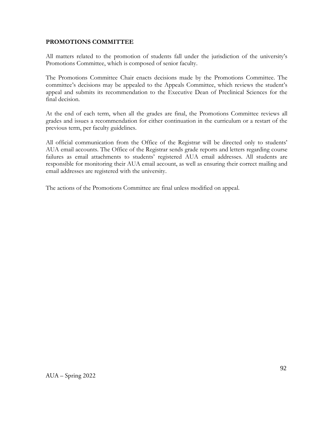#### **PROMOTIONS COMMITTEE**

All matters related to the promotion of students fall under the jurisdiction of the university's Promotions Committee, which is composed of senior faculty.

The Promotions Committee Chair enacts decisions made by the Promotions Committee. The committee's decisions may be appealed to the Appeals Committee, which reviews the student's appeal and submits its recommendation to the Executive Dean of Preclinical Sciences for the final decision.

At the end of each term, when all the grades are final, the Promotions Committee reviews all grades and issues a recommendation for either continuation in the curriculum or a restart of the previous term, per faculty guidelines.

All official communication from the Office of the Registrar will be directed only to students' AUA email accounts. The Office of the Registrar sends grade reports and letters regarding course failures as email attachments to students' registered AUA email addresses. All students are responsible for monitoring their AUA email account, as well as ensuring their correct mailing and email addresses are registered with the university.

The actions of the Promotions Committee are final unless modified on appeal.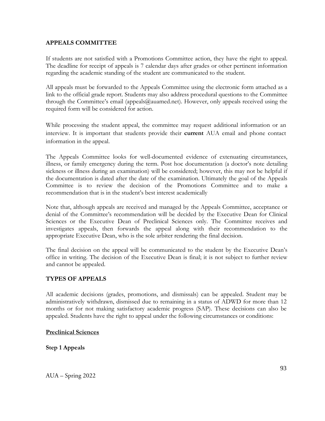#### **APPEALS COMMITTEE**

If students are not satisfied with a Promotions Committee action, they have the right to appeal. The deadline for receipt of appeals is 7 calendar days after grades or other pertinent information regarding the academic standing of the student are communicated to the student.

All appeals must be forwarded to the Appeals Committee using the electronic form attached as a link to the official grade report. Students may also address procedural questions to the Committee through the Committee's email [\(appeals@auamed.net\).](mailto:appeals@auamed.net.) However, only appeals received using the required form will be considered for action.

While processing the student appeal, the committee may request additional information or an interview. It is important that students provide their **current** AUA email and phone contact information in the appeal.

The Appeals Committee looks for well-documented evidence of extenuating circumstances, illness, or family emergency during the term. Post hoc documentation (a doctor's note detailing sickness or illness during an examination) will be considered; however, this may not be helpful if the documentation is dated after the date of the examination. Ultimately the goal of the Appeals Committee is to review the decision of the Promotions Committee and to make a recommendation that is in the student's best interest academically

Note that, although appeals are received and managed by the Appeals Committee, acceptance or denial of the Committee's recommendation will be decided by the Executive Dean for Clinical Sciences or the Executive Dean of Preclinical Sciences only. The Committee receives and investigates appeals, then forwards the appeal along with their recommendation to the appropriate Executive Dean, who is the sole arbiter rendering the final decision.

The final decision on the appeal will be communicated to the student by the Executive Dean's office in writing. The decision of the Executive Dean is final; it is not subject to further review and cannot be appealed.

#### **TYPES OF APPEALS**

All academic decisions (grades, promotions, and dismissals) can be appealed. Student may be administratively withdrawn, dismissed due to remaining in a status of ADWD for more than 12 months or for not making satisfactory academic progress (SAP). These decisions can also be appealed. Students have the right to appeal under the following circumstances or conditions:

#### **Preclinical Sciences**

**Step 1 Appeals**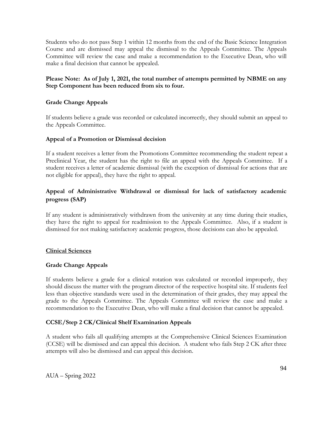Students who do not pass Step 1 within 12 months from the end of the Basic Science Integration Course and are dismissed may appeal the dismissal to the Appeals Committee. The Appeals Committee will review the case and make a recommendation to the Executive Dean, who will make a final decision that cannot be appealed.

### **Please Note: As of July 1, 2021, the total number of attempts permitted by NBME on any Step Component has been reduced from six to four.**

### **Grade Change Appeals**

If students believe a grade was recorded or calculated incorrectly, they should submit an appeal to the Appeals Committee.

#### **Appeal of a Promotion or Dismissal decision**

If a student receives a letter from the Promotions Committee recommending the student repeat a Preclinical Year, the student has the right to file an appeal with the Appeals Committee. If a student receives a letter of academic dismissal (with the exception of dismissal for actions that are not eligible for appeal), they have the right to appeal.

### **Appeal of Administrative Withdrawal or dismissal for lack of satisfactory academic progress (SAP)**

If any student is administratively withdrawn from the university at any time during their studies, they have the right to appeal for readmission to the Appeals Committee. Also, if a student is dismissed for not making satisfactory academic progress, those decisions can also be appealed.

#### **Clinical Sciences**

#### **Grade Change Appeals**

If students believe a grade for a clinical rotation was calculated or recorded improperly, they should discuss the matter with the program director of the respective hospital site. If students feel less than objective standards were used in the determination of their grades, they may appeal the grade to the Appeals Committee. The Appeals Committee will review the case and make a recommendation to the Executive Dean, who will make a final decision that cannot be appealed.

#### **CCSE/Step 2 CK/Clinical Shelf Examination Appeals**

A student who fails all qualifying attempts at the Comprehensive Clinical Sciences Examination (CCSE) will be dismissed and can appeal this decision. A student who fails Step 2 CK after three attempts will also be dismissed and can appeal this decision.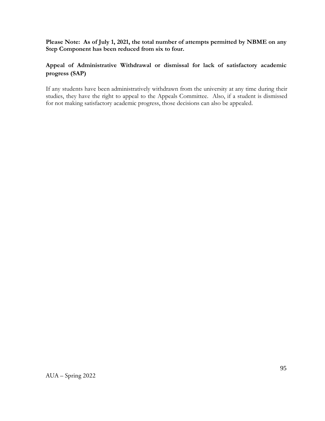**Please Note: As of July 1, 2021, the total number of attempts permitted by NBME on any Step Component has been reduced from six to four.**

# **Appeal of Administrative Withdrawal or dismissal for lack of satisfactory academic progress (SAP)**

If any students have been administratively withdrawn from the university at any time during their studies, they have the right to appeal to the Appeals Committee. Also, if a student is dismissed for not making satisfactory academic progress, those decisions can also be appealed.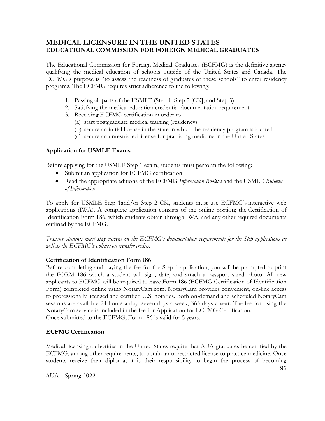# **MEDICAL LICENSURE IN THE UNITED STATES EDUCATIONAL COMMISSION FOR FOREIGN MEDICAL GRADUATES**

The Educational Commission for Foreign Medical Graduates (ECFMG) is the definitive agency qualifying the medical education of schools outside of the United States and Canada. The ECFMG's purpose is "to assess the readiness of graduates of these schools" to enter residency programs. The ECFMG requires strict adherence to the following:

- 1. Passing all parts of the USMLE (Step 1, Step 2 [CK], and Step 3)
- 2. Satisfying the medical education credential documentation requirement
- 3. Receiving ECFMG certification in order to
	- (a) start postgraduate medical training (residency)
	- (b) secure an initial license in the state in which the residency program is located
	- (c) secure an unrestricted license for practicing medicine in the United States

### **Application for USMLE Exams**

Before applying for the USMLE Step 1 exam, students must perform the following:

- Submit an application for ECFMG certification
- Read the appropriate editions of the ECFMG *[Information Booklet](http://www.ecfmg.org/resources/publications.html#ib)* and the [USMLE](http://www.ecfmg.org/resources/publications.html#boi) *Bulletin [of Information](http://www.ecfmg.org/resources/publications.html#boi)*

To apply for USMLE Step 1and/or Step 2 CK, students must use ECFMG's [interactive web](https://iwa2.ecfmg.org/)  [applications \(IWA\).](https://iwa2.ecfmg.org/) A complete application consists of the online portion; the Certification of Identification Form 186, which students obtain through IWA; and any other required documents outlined by the ECFMG.

*Transfer students must stay current on the ECFMG's documentation requirements for the Step applications as well as the ECFMG's policies on transfer credits*.

#### **Certification of Identification Form 186**

Before completing and paying the fee for the Step 1 application, you will be prompted to print the FORM 186 which a student will sign, date, and attach a passport sized photo. All new applicants to ECFMG will be required to have Form 186 (ECFMG Certification of Identification Form) completed online using NotaryCam.com. NotaryCam provides convenient, on-line access to professionally licensed and certified U.S. notaries. Both on-demand and scheduled NotaryCam sessions are available 24 hours a day, seven days a week, 365 days a year. The [fee for using the](https://www.ecfmg.org/news/2018/11/15/fee-for-using-notarycam-to-complete-certification-of-identification-form-form-186/)  [NotaryCam service](https://www.ecfmg.org/news/2018/11/15/fee-for-using-notarycam-to-complete-certification-of-identification-form-form-186/) is included in the fee for Application for ECFMG Certification. Once submitted to the ECFMG, Form 186 is valid for 5 years.

### **ECFMG Certification**

Medical licensing authorities in the United States require that AUA graduates be certified by the ECFMG, among other requirements, to obtain an unrestricted license to practice medicine. Once students receive their diploma, it is their responsibility to begin the process of becoming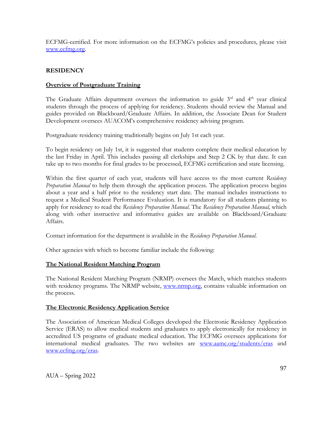ECFMG-certified. For more information on the ECFMG's policies and procedures, please visit [www.ecfmg.org.](http://www.ecfmg.org/)

### **RESIDENCY**

### **Overview of Postgraduate Training**

The Graduate Affairs department oversees the information to guide  $3<sup>rd</sup>$  and  $4<sup>th</sup>$  year clinical students through the process of applying for residency. Students should review the Manual and guides provided on Blackboard/Graduate Affairs. In addition, the Associate Dean for Student Development oversees AUACOM's comprehensive residency advising program.

Postgraduate residency training traditionally begins on July 1st each year.

To begin residency on July 1st, it is suggested that students complete their medical education by the last Friday in April. This includes passing all clerkships and Step 2 CK by that date. It can take up to two months for final grades to be processed, ECFMG certification and state licensing.

Within the first quarter of each year, students will have access to the most current *Residency Preparation Manual* to help them through the application process. The application process begins about a year and a half prior to the residency start date. The manual includes instructions to request a Medical Student Performance Evaluation. It is mandatory for all students planning to apply for residency to read the *Residency Preparation Manual*. The *Residency Preparation Manual,* which along with other instructive and informative guides are available on Blackboard/Graduate Affairs.

Contact information for the department is available in the *Residency Preparation Manual*.

Other agencies with which to become familiar include the following:

### **The National Resident Matching Program**

The National Resident Matching Program (NRMP) oversees the Match, which matches students with residency programs. The NRMP website, [www.nrmp.org,](http://www.nrmp.org/) contains valuable information on the process.

#### **The Electronic Residency Application Service**

The Association of American Medical Colleges developed the Electronic Residency Application Service (ERAS) to allow medical students and graduates to apply electronically for residency in accredited US programs of graduate medical education. The ECFMG oversees applications for international medical graduates. The two websites are [www.aamc.org/students/eras](http://www.aamc.org/students/eras) and [www.ecfmg.org/eras.](http://www.ecfmg.org/eras)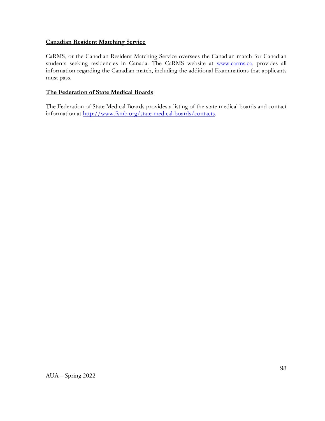#### **Canadian Resident Matching Service**

CaRMS, or the Canadian Resident Matching Service oversees the Canadian match for Canadian students seeking residencies in Canada. The CaRMS website at [www.carms.ca,](http://www.carms.ca/) provides all information regarding the Canadian match, including the additional Examinations that applicants must pass.

#### **The Federation of State Medical Boards**

The Federation of State Medical Boards provides a listing of the state medical boards and contact information at [http://www.fsmb.org/state-medical-boards/contacts.](http://www.fsmb.org/state-medical-boards/contacts)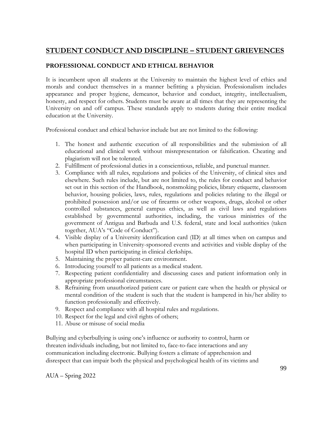# **STUDENT CONDUCT AND DISCIPLINE – STUDENT GRIEVENCES**

# **PROFESSIONAL CONDUCT AND ETHICAL BEHAVIOR**

It is incumbent upon all students at the University to maintain the highest level of ethics and morals and conduct themselves in a manner befitting a physician. Professionalism includes appearance and proper hygiene, demeanor, behavior and conduct, integrity, intellectualism, honesty, and respect for others. Students must be aware at all times that they are representing the University on and off campus. These standards apply to students during their entire medical education at the University.

Professional conduct and ethical behavior include but are not limited to the following:

- 1. The honest and authentic execution of all responsibilities and the submission of all educational and clinical work without misrepresentation or falsification. Cheating and plagiarism will not be tolerated.
- 2. Fulfillment of professional duties in a conscientious, reliable, and punctual manner.
- 3. Compliance with all rules, regulations and policies of the University, of clinical sites and elsewhere. Such rules include, but are not limited to, the rules for conduct and behavior set out in this section of the Handbook, nonsmoking policies, library etiquette, classroom behavior, housing policies, laws, rules, regulations and policies relating to the illegal or prohibited possession and/or use of firearms or other weapons, drugs, alcohol or other controlled substances, general campus ethics, as well as civil laws and regulations established by governmental authorities, including, the various ministries of the government of Antigua and Barbuda and U.S. federal, state and local authorities (taken together, AUA's "Code of Conduct").
- 4. Visible display of a University identification card (ID) at all times when on campus and when participating in University-sponsored events and activities and visible display of the hospital ID when participating in clinical clerkships.
- 5. Maintaining the proper patient-care environment.
- 6. Introducing yourself to all patients as a medical student.
- 7. Respecting patient confidentiality and discussing cases and patient information only in appropriate professional circumstances.
- 8. Refraining from unauthorized patient care or patient care when the health or physical or mental condition of the student is such that the student is hampered in his/her ability to function professionally and effectively.
- 9. Respect and compliance with all hospital rules and regulations.
- 10. Respect for the legal and civil rights of others;
- 11. Abuse or misuse of social media

Bullying and cyberbullying is using one's influence or authority to control, harm or threaten individuals including, but not limited to, face-to-face interactions and any communication including electronic. Bullying fosters a climate of apprehension and disrespect that can impair both the physical and psychological health of its victims and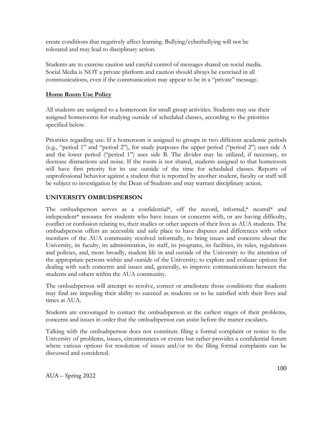create conditions that negatively affect learning. Bullying/cyberbullying will not be tolerated and may lead to disciplinary action.

Students are to exercise caution and careful control of messages shared on social media. Social Media is NOT a private platform and caution should always be exercised in all communications, even if the communication may appear to be in a "private" message.

### **Home Room Use Policy**

All students are assigned to a homeroom for small group activities. Students may use their assigned homerooms for studying outside of scheduled classes, according to the priorities specified below.

Priorities regarding use: If a homeroom is assigned to groups in two different academic periods (e.g., "period 1" and "period 2"), for study purposes the upper period ("period 2") uses side A and the lower period ("period 1") uses side B. The divider may be utilized, if necessary, to decrease distractions and noise. If the room is not shared, students assigned to that homeroom will have first priority for its use outside of the time for scheduled classes. Reports of unprofessional behavior against a student that is reported by another student, faculty or staff will be subject to investigation by the Dean of Students and may warrant disciplinary action.

### **UNIVERSITY OMBUDSPERSON**

The ombudsperson serves as a confidential\*, off the record, informal,\* neutral\* and independent\* resource for students who have issues or concerns with, or are having difficulty, conflict or confusion relating to, their studies or other aspects of their lives as AUA students. The ombudsperson offers an accessible and safe place to have disputes and differences with other members of the AUA community resolved informally, to bring issues and concerns about the University, its faculty, its administration, its staff, its programs, its facilities, its rules, regulations and policies, and, more broadly, student life in and outside of the University to the attention of the appropriate persons within and outside of the University; to explore and evaluate options for dealing with such concerns and issues and, generally, to improve communications between the students and others within the AUA community.

The ombudsperson will attempt to resolve, correct or ameliorate those conditions that students may find are impeding their ability to succeed as students or to be satisfied with their lives and times at AUA.

Students are encouraged to contact the ombudsperson at the earliest stages of their problems, concerns and issues in order that the ombudsperson can assist before the matter escalates.

Talking with the ombudsperson does not constitute filing a formal complaint or notice to the University of problems, issues, circumstances or events but rather provides a confidential forum where various options for resolution of issues and/or to the filing formal complaints can be discussed and considered.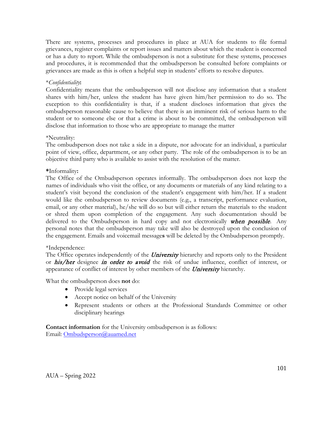There are systems, processes and procedures in place at AUA for students to file formal grievances, register complaints or report issues and matters about which the student is concerned or has a duty to report. While the ombudsperson is not a substitute for these systems, processes and procedures, it is recommended that the ombudsperson be consulted before complaints or grievances are made as this is often a helpful step in students' efforts to resolve disputes.

#### \**Confidentiality***:**

Confidentiality means that the ombudsperson will not disclose any information that a student shares with him/her, unless the student has have given him/her permission to do so. The exception to this confidentiality is that, if a student discloses information that gives the ombudsperson reasonable cause to believe that there is an imminent risk of serious harm to the student or to someone else or that a crime is about to be committed, the ombudsperson will disclose that information to those who are appropriate to manage the matter

### \*Neutrality:

The ombudsperson does not take a side in a dispute, nor advocate for an individual, a particular point of view, office, department, or any other party. The role of the ombudsperson is to be an objective third party who is available to assist with the resolution of the matter.

### **\***Informality**:**

The Office of the Ombudsperson operates informally. The ombudsperson does not keep the names of individuals who visit the office, or any documents or materials of any kind relating to a student's visit beyond the conclusion of the student's engagement with him/her. If a student would like the ombudsperson to review documents (e.g., a transcript, performance evaluation, email, or any other material), he/she will do so but will either return the materials to the student or shred them upon completion of the engagement. Any such documentation should be delivered to the Ombudsperson in hard copy and not electronically when possible. Any personal notes that the ombudsperson may take will also be destroyed upon the conclusion of the engagement. Emails and voicemail message**s** will be deleted by the Ombudsperson promptly.

#### \*Independence:

The Office operates independently of the *University* hierarchy and reports only to the President or his/her designee in order to avoid the risk of undue influence, conflict of interest, or appearance of conflict of interest by other members of the *University* hierarchy.

What the ombudsperson does **not** do:

- Provide legal services
- Accept notice on behalf of the University
- Represent students or others at the Professional Standards Committee or other disciplinary hearings

**Contact information** for the University ombudsperson is as follows: Email: [Ombudsperson@auamed.net](mailto:Ombudsperson@auamed.net)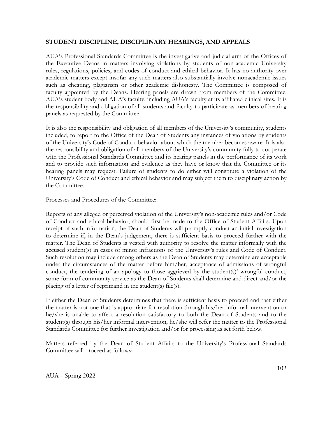#### **STUDENT DISCIPLINE, DISCIPLINARY HEARINGS, AND APPEALS**

AUA's Professional Standards Committee is the investigative and judicial arm of the Offices of the Executive Deans in matters involving violations by students of non-academic University rules, regulations, policies, and codes of conduct and ethical behavior. It has no authority over academic matters except insofar any such matters also substantially involve nonacademic issues such as cheating, plagiarism or other academic dishonesty. The Committee is composed of faculty appointed by the Deans. Hearing panels are drawn from members of the Committee, AUA's student body and AUA's faculty, including AUA's faculty at its affiliated clinical sites. It is the responsibility and obligation of all students and faculty to participate as members of hearing panels as requested by the Committee.

It is also the responsibility and obligation of all members of the University's community, students included, to report to the Office of the Dean of Students any instances of violations by students of the University's Code of Conduct behavior about which the member becomes aware. It is also the responsibility and obligation of all members of the University's community fully to cooperate with the Professional Standards Committee and its hearing panels in the performance of its work and to provide such information and evidence as they have or know that the Committee or its hearing panels may request. Failure of students to do either will constitute a violation of the University's Code of Conduct and ethical behavior and may subject them to disciplinary action by the Committee.

Processes and Procedures of the Committee:

Reports of any alleged or perceived violation of the University's non-academic rules and/or Code of Conduct and ethical behavior, should first be made to the Office of Student Affairs. Upon receipt of such information, the Dean of Students will promptly conduct an initial investigation to determine if, in the Dean's judgement, there is sufficient basis to proceed further with the matter. The Dean of Students is vested with authority to resolve the matter informally with the accused student(s) in cases of minor infractions of the University's rules and Code of Conduct. Such resolution may include among others as the Dean of Students may determine are acceptable under the circumstances of the matter before him/her, acceptance of admissions of wrongful conduct, the tendering of an apology to those aggrieved by the student(s)' wrongful conduct, some form of community service as the Dean of Students shall determine and direct and/or the placing of a letter of reprimand in the student(s) file(s).

If either the Dean of Students determines that there is sufficient basis to proceed and that either the matter is not one that is appropriate for resolution through his/her informal intervention or he/she is unable to affect a resolution satisfactory to both the Dean of Students and to the student(s) through his/her informal intervention, he/she will refer the matter to the Professional Standards Committee for further investigation and/or for processing as set forth below.

Matters referred by the Dean of Student Affairs to the University's Professional Standards Committee will proceed as follows: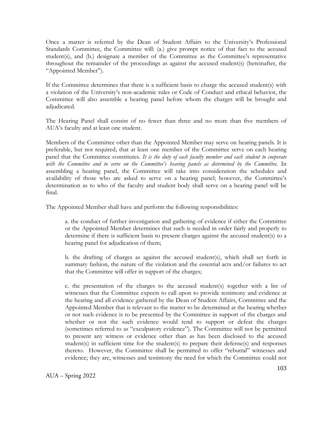Once a matter is referred by the Dean of Student Affairs to the University's Professional Standards Committee, the Committee will: (a.) give prompt notice of that fact to the accused student(s), and (b.) designate a member of the Committee as the Committee's representative throughout the remainder of the proceedings as against the accused student(s) (hereinafter, the "Appointed Member").

If the Committee determines that there is a sufficient basis to charge the accused student(s) with a violation of the University's non-academic rules or Code of Conduct and ethical behavior, the Committee will also assemble a hearing panel before whom the charges will be brought and adjudicated.

The Hearing Panel shall consist of no fewer than three and no more than five members of AUA's faculty and at least one student.

Members of the Committee other than the Appointed Member may serve on hearing panels. It is preferable, but not required, that at least one member of the Committee serve on each hearing panel that the Committee constitutes. *It is the duty of each faculty member and each student to cooperate with the Committee and to serve on the Committee's hearing panels as determined by the Committee.* In assembling a hearing panel, the Committee will take into consideration the schedules and availability of those who are asked to serve on a hearing panel; however, the Committee's determination as to who of the faculty and student body shall serve on a hearing panel will be final.

The Appointed Member shall have and perform the following responsibilities:

a. the conduct of further investigation and gathering of evidence if either the Committee or the Appointed Member determines that such is needed in order fairly and properly to determine if there is sufficient basis to present charges against the accused student(s) to a hearing panel for adjudication of them;

b. the drafting of charges as against the accused student(s), which shall set forth in summary fashion, the nature of the violation and the essential acts and/or failures to act that the Committee will offer in support of the charges;

c. the presentation of the charges to the accused student(s) together with a list of witnesses that the Committee expects to call upon to provide testimony and evidence at the hearing and all evidence gathered by the Dean of Student Affairs, Committee and the Appointed Member that is relevant to the matter to be determined at the hearing whether or not such evidence is to be presented by the Committee in support of the charges and whether or not the such evidence would tend to support or defeat the charges (sometimes referred to as "exculpatory evidence"). The Committee will not be permitted to present any witness or evidence other than as has been disclosed to the accused student(s) in sufficient time for the student(s) to prepare their defense(s) and responses thereto. However, the Committee shall be permitted to offer "rebuttal" witnesses and evidence; they are, witnesses and testimony the need for which the Committee could not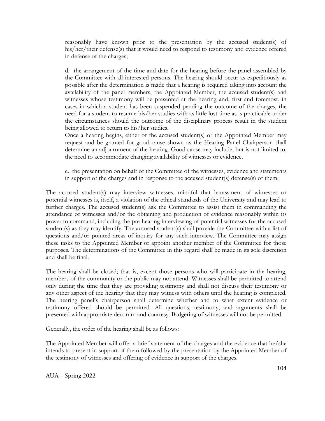reasonably have known prior to the presentation by the accused student(s) of his/her/their defense(s) that it would need to respond to testimony and evidence offered in defense of the charges;

d. the arrangement of the time and date for the hearing before the panel assembled by the Committee with all interested persons. The hearing should occur as expeditiously as possible after the determination is made that a hearing is required taking into account the availability of the panel members, the Appointed Member, the accused student(s) and witnesses whose testimony will be presented at the hearing and, first and foremost, in cases in which a student has been suspended pending the outcome of the charges, the need for a student to resume his/her studies with as little lost time as is practicable under the circumstances should the outcome of the disciplinary process result in the student being allowed to return to his/her studies.

Once a hearing begins, either of the accused student(s) or the Appointed Member may request and be granted for good cause shown as the Hearing Panel Chairperson shall determine an adjournment of the hearing. Good cause may include, but is not limited to, the need to accommodate changing availability of witnesses or evidence.

e. the presentation on behalf of the Committee of the witnesses, evidence and statements in support of the charges and in response to the accused student(s) defense(s) of them.

The accused student(s) may interview witnesses, mindful that harassment of witnesses or potential witnesses is, itself, a violation of the ethical standards of the University and may lead to further charges. The accused student(s) ask the Committee to assist them in commanding the attendance of witnesses and/or the obtaining and production of evidence reasonably within its power to command, including the pre-hearing interviewing of potential witnesses for the accused student(s) as they may identify. The accused student(s) shall provide the Committee with a list of questions and/or pointed areas of inquiry for any such interview. The Committee may assign these tasks to the Appointed Member or appoint another member of the Committee for those purposes. The determinations of the Committee in this regard shall be made in its sole discretion and shall be final.

The hearing shall be closed; that is, except those persons who will participate in the hearing, members of the community or the public may not attend. Witnesses shall be permitted to attend only during the time that they are providing testimony and shall not discuss their testimony or any other aspect of the hearing that they may witness with others until the hearing is completed. The hearing panel's chairperson shall determine whether and to what extent evidence or testimony offered should be permitted. All questions, testimony, and arguments shall be presented with appropriate decorum and courtesy. Badgering of witnesses will not be permitted.

Generally, the order of the hearing shall be as follows:

The Appointed Member will offer a brief statement of the charges and the evidence that he/she intends to present in support of them followed by the presentation by the Appointed Member of the testimony of witnesses and offering of evidence in support of the charges.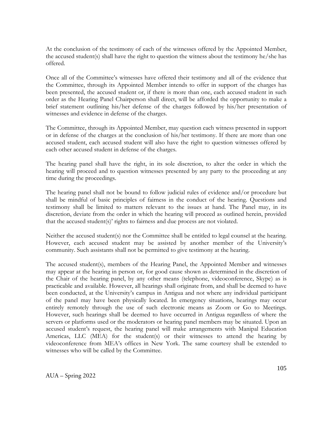At the conclusion of the testimony of each of the witnesses offered by the Appointed Member, the accused student(s) shall have the right to question the witness about the testimony he/she has offered.

Once all of the Committee's witnesses have offered their testimony and all of the evidence that the Committee, through its Appointed Member intends to offer in support of the charges has been presented, the accused student or, if there is more than one, each accused student in such order as the Hearing Panel Chairperson shall direct, will be afforded the opportunity to make a brief statement outlining his/her defense of the charges followed by his/her presentation of witnesses and evidence in defense of the charges.

The Committee, through its Appointed Member, may question each witness presented in support or in defense of the charges at the conclusion of his/her testimony. If there are more than one accused student, each accused student will also have the right to question witnesses offered by each other accused student in defense of the charges.

The hearing panel shall have the right, in its sole discretion, to alter the order in which the hearing will proceed and to question witnesses presented by any party to the proceeding at any time during the proceedings.

The hearing panel shall not be bound to follow judicial rules of evidence and/or procedure but shall be mindful of basic principles of fairness in the conduct of the hearing. Questions and testimony shall be limited to matters relevant to the issues at hand. The Panel may, in its discretion, deviate from the order in which the hearing will proceed as outlined herein, provided that the accused student(s)' rights to fairness and due process are not violated.

Neither the accused student(s) nor the Committee shall be entitled to legal counsel at the hearing. However, each accused student may be assisted by another member of the University's community. Such assistants shall not be permitted to give testimony at the hearing.

The accused student(s), members of the Hearing Panel, the Appointed Member and witnesses may appear at the hearing in person or, for good cause shown as determined in the discretion of the Chair of the hearing panel, by any other means (telephone, videoconference, Skype) as is practicable and available. However, all hearings shall originate from, and shall be deemed to have been conducted, at the University's campus in Antigua and not where any individual participant of the panel may have been physically located. In emergency situations, hearings may occur entirely remotely through the use of such electronic means as Zoom or Go to Meetings. However, such hearings shall be deemed to have occurred in Antigua regardless of where the servers or platforms used or the moderators or hearing panel members may be situated. Upon an accused student's request, the hearing panel will make arrangements with Manipal Education Americas, LLC (MEA) for the student(s) or their witnesses to attend the hearing by videoconference from MEA's offices in New York. The same courtesy shall be extended to witnesses who will be called by the Committee.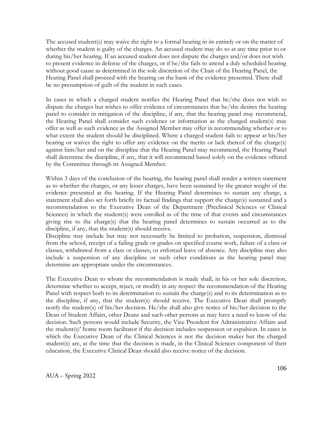The accused student(s) may waive the right to a formal hearing in its entirely or on the matter of whether the student is guilty of the charges. An accused student may do so at any time prior to or during his/her hearing. If an accused student does not dispute the charges and/or does not wish to present evidence in defense of the charges, or if he/she fails to attend a duly scheduled hearing without good cause as determined in the sole discretion of the Chair of the Hearing Panel, the Hearing Panel shall proceed with the hearing on the basis of the evidence presented. There shall be no presumption of guilt of the student in such cases.

In cases in which a charged student notifies the Hearing Panel that he/she does not wish to dispute the charges but wishes to offer evidence of circumstances that he/she desires the hearing panel to consider in mitigation of the discipline, if any, that the hearing panel may recommend, the Hearing Panel shall consider such evidence or information as the charged student(s) may offer as well as such evidence as the Assigned Member may offer in recommending whether or to what extent the student should be disciplined. Where a charged student fails to appear at his/her hearing or waives the right to offer any evidence on the merits or lack thereof of the charge(s) against him/her and on the discipline that the Hearing Panel may recommend, the Hearing Panel shall determine the discipline, if any, that it will recommend based solely on the evidence offered by the Committee through its Assigned Member.

Within 3 days of the conclusion of the hearing, the hearing panel shall render a written statement as to whether the charges, or any lesser charges, have been sustained by the greater weight of the evidence presented at the hearing. If the Hearing Panel determines to sustain any charge, a statement shall also set forth briefly its factual findings that support the charge(s) sustained and a recommendation to the Executive Dean of the Department (Preclinical Sciences or Clinical Sciences) in which the student(s) were enrolled as of the time of that events and circumstances giving rise to the charge(s) that the hearing panel determines to sustain occurred as to the discipline, if any, that the student(s) should receive.

Discipline may include but may not necessarily be limited to probation, suspension, dismissal from the school, receipt of a failing grade or grades on specified course work, failure of a class or classes, withdrawal from a class or classes, or enforced leave of absence. Any discipline may also include a suspension of any discipline or such other conditions as the hearing panel may determine are appropriate under the circumstances.

The Executive Dean to whom the recommendation is made shall, in his or her sole discretion, determine whether to accept, reject, or modify in any respect the recommendation of the Hearing Panel with respect both to its determination to sustain the charge(s) and to its determination as to the discipline, if any, that the student(s) should receive. The Executive Dean shall promptly notify the student(s) of his/her decision. He/she shall also give notice of his/her decision to the Dean of Student Affairs, other Deans and such other persons as may have a need to know of the decision. Such persons would include Security, the Vice President for Administrative Affairs and the student(s)' home room facilitator if the decision includes suspension or expulsion. In cases in which the Executive Dean of the Clinical Sciences is not the decision maker but the charged student(s) are, at the time that the decision is made, in the Clinical Sciences component of their education, the Executive Clinical Dean should also receive notice of the decision.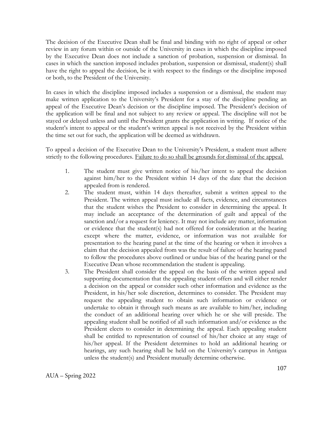The decision of the Executive Dean shall be final and binding with no right of appeal or other review in any forum within or outside of the University in cases in which the discipline imposed by the Executive Dean does not include a sanction of probation, suspension or dismissal. In cases in which the sanction imposed includes probation, suspension or dismissal, student(s) shall have the right to appeal the decision, be it with respect to the findings or the discipline imposed or both, to the President of the University.

In cases in which the discipline imposed includes a suspension or a dismissal, the student may make written application to the University's President for a stay of the discipline pending an appeal of the Executive Dean's decision or the discipline imposed. The President's decision of the application will be final and not subject to any review or appeal. The discipline will not be stayed or delayed unless and until the President grants the application in writing. If notice of the student's intent to appeal or the student's written appeal is not received by the President within the time set out for such, the application will be deemed as withdrawn.

To appeal a decision of the Executive Dean to the University's President, a student must adhere strictly to the following procedures. Failure to do so shall be grounds for dismissal of the appeal.

- 1. The student must give written notice of his/her intent to appeal the decision against him/her to the President within 14 days of the date that the decision appealed from is rendered.
- 2. The student must, within 14 days thereafter, submit a written appeal to the President. The written appeal must include all facts, evidence, and circumstances that the student wishes the President to consider in determining the appeal. It may include an acceptance of the determination of guilt and appeal of the sanction and/or a request for leniency. It may not include any matter, information or evidence that the student(s) had not offered for consideration at the hearing except where the matter, evidence, or information was not available for presentation to the hearing panel at the time of the hearing or when it involves a claim that the decision appealed from was the result of failure of the hearing panel to follow the procedures above outlined or undue bias of the hearing panel or the Executive Dean whose recommendation the student is appealing.
- 3. The President shall consider the appeal on the basis of the written appeal and supporting documentation that the appealing student offers and will either render a decision on the appeal or consider such other information and evidence as the President, in his/her sole discretion, determines to consider. The President may request the appealing student to obtain such information or evidence or undertake to obtain it through such means as are available to him/her, including the conduct of an additional hearing over which he or she will preside. The appealing student shall be notified of all such information and/or evidence as the President elects to consider in determining the appeal. Each appealing student shall be entitled to representation of counsel of his/her choice at any stage of his/her appeal. If the President determines to hold an additional hearing or hearings, any such hearing shall be held on the University's campus in Antigua unless the student(s) and President mutually determine otherwise.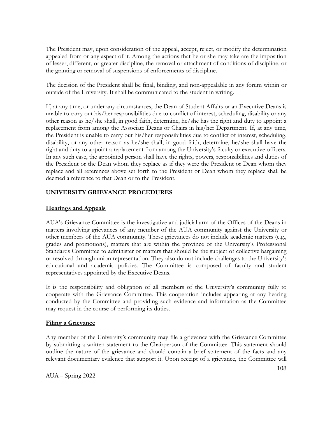The President may, upon consideration of the appeal, accept, reject, or modify the determination appealed from or any aspect of it. Among the actions that he or she may take are the imposition of lesser, different, or greater discipline, the removal or attachment of conditions of discipline, or the granting or removal of suspensions of enforcements of discipline.

The decision of the President shall be final, binding, and non-appealable in any forum within or outside of the University. It shall be communicated to the student in writing.

If, at any time, or under any circumstances, the Dean of Student Affairs or an Executive Deans is unable to carry out his/her responsibilities due to conflict of interest, scheduling, disability or any other reason as he/she shall, in good faith, determine, he/she has the right and duty to appoint a replacement from among the Associate Deans or Chairs in his/her Department. If, at any time, the President is unable to carry out his/her responsibilities due to conflict of interest, scheduling, disability, or any other reason as he/she shall, in good faith, determine, he/she shall have the right and duty to appoint a replacement from among the University's faculty or executive officers. In any such case, the appointed person shall have the rights, powers, responsibilities and duties of the President or the Dean whom they replace as if they were the President or Dean whom they replace and all references above set forth to the President or Dean whom they replace shall be deemed a reference to that Dean or to the President.

### **UNIVERSITY GRIEVANCE PROCEDURES**

### **Hearings and Appeals**

AUA's Grievance Committee is the investigative and judicial arm of the Offices of the Deans in matters involving grievances of any member of the AUA community against the University or other members of the AUA community. These grievances do not include academic matters (e.g., grades and promotions), matters that are within the province of the University's Professional Standards Committee to administer or matters that should be the subject of collective bargaining or resolved through union representation. They also do not include challenges to the University's educational and academic policies. The Committee is composed of faculty and student representatives appointed by the Executive Deans.

It is the responsibility and obligation of all members of the University's community fully to cooperate with the Grievance Committee. This cooperation includes appearing at any hearing conducted by the Committee and providing such evidence and information as the Committee may request in the course of performing its duties.

#### **Filing a Grievance**

Any member of the University's community may file a grievance with the Grievance Committee by submitting a written statement to the Chairperson of the Committee. This statement should outline the nature of the grievance and should contain a brief statement of the facts and any relevant documentary evidence that support it. Upon receipt of a grievance, the Committee will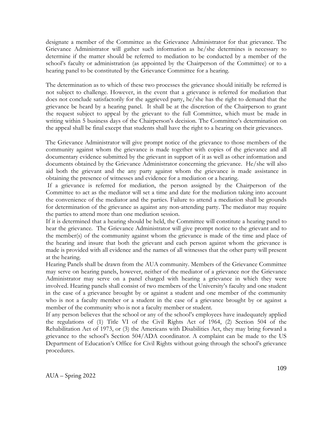designate a member of the Committee as the Grievance Administrator for that grievance. The Grievance Administrator will gather such information as he/she determines is necessary to determine if the matter should be referred to mediation to be conducted by a member of the school's faculty or administration (as appointed by the Chairperson of the Committee) or to a hearing panel to be constituted by the Grievance Committee for a hearing.

The determination as to which of these two processes the grievance should initially be referred is not subject to challenge. However, in the event that a grievance is referred for mediation that does not conclude satisfactorily for the aggrieved party, he/she has the right to demand that the grievance be heard by a hearing panel. It shall be at the discretion of the Chairperson to grant the request subject to appeal by the grievant to the full Committee, which must be made in writing within 5 business days of the Chairperson's decision. The Committee's determination on the appeal shall be final except that students shall have the right to a hearing on their grievances.

The Grievance Administrator will give prompt notice of the grievance to those members of the community against whom the grievance is made together with copies of the grievance and all documentary evidence submitted by the grievant in support of it as well as other information and documents obtained by the Grievance Administrator concerning the grievance. He/she will also aid both the grievant and the any party against whom the grievance is made assistance in obtaining the presence of witnesses and evidence for a mediation or a hearing.

If a grievance is referred for mediation, the person assigned by the Chairperson of the Committee to act as the mediator will set a time and date for the mediation taking into account the convenience of the mediator and the parties. Failure to attend a mediation shall be grounds for determination of the grievance as against any non-attending party. The mediator may require the parties to attend more than one mediation session.

If it is determined that a hearing should be held, the Committee will constitute a hearing panel to hear the grievance. The Grievance Administrator will give prompt notice to the grievant and to the member(s) of the community against whom the grievance is made of the time and place of the hearing and insure that both the grievant and each person against whom the grievance is made is provided with all evidence and the names of all witnesses that the other party will present at the hearing.

Hearing Panels shall be drawn from the AUA community. Members of the Grievance Committee may serve on hearing panels, however, neither of the mediator of a grievance nor the Grievance Administrator may serve on a panel charged with hearing a grievance in which they were involved. Hearing panels shall consist of two members of the University's faculty and one student in the case of a grievance brought by or against a student and one member of the community who is not a faculty member or a student in the case of a grievance brought by or against a member of the community who is not a faculty member or student.

If any person believes that the school or any of the school's employees have inadequately applied the regulations of (1) Title VI of the Civil Rights Act of 1964, (2) Section 504 of the Rehabilitation Act of 1973, or (3) the Americans with Disabilities Act, they may bring forward a grievance to the school's Section 504/ADA coordinator. A complaint can be made to the US Department of Education's Office for Civil Rights without going through the school's grievance procedures.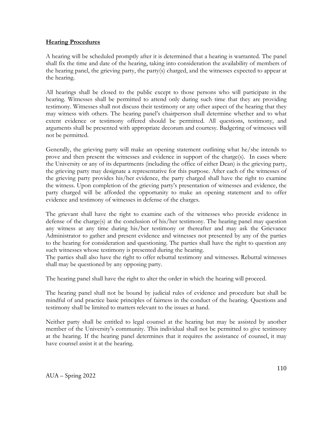#### **Hearing Procedures**

A hearing will be scheduled promptly after it is determined that a hearing is warranted. The panel shall fix the time and date of the hearing, taking into consideration the availability of members of the hearing panel, the grieving party, the party(s) charged, and the witnesses expected to appear at the hearing.

All hearings shall be closed to the public except to those persons who will participate in the hearing. Witnesses shall be permitted to attend only during such time that they are providing testimony. Witnesses shall not discuss their testimony or any other aspect of the hearing that they may witness with others. The hearing panel's chairperson shall determine whether and to what extent evidence or testimony offered should be permitted. All questions, testimony, and arguments shall be presented with appropriate decorum and courtesy. Badgering of witnesses will not be permitted.

Generally, the grieving party will make an opening statement outlining what he/she intends to prove and then present the witnesses and evidence in support of the charge(s). In cases where the University or any of its departments (including the office of either Dean) is the grieving party, the grieving party may designate a representative for this purpose. After each of the witnesses of the grieving party provides his/her evidence, the party charged shall have the right to examine the witness. Upon completion of the grieving party's presentation of witnesses and evidence, the party charged will be afforded the opportunity to make an opening statement and to offer evidence and testimony of witnesses in defense of the charges.

The grievant shall have the right to examine each of the witnesses who provide evidence in defense of the charge(s) at the conclusion of his/her testimony. The hearing panel may question any witness at any time during his/her testimony or thereafter and may ask the Grievance Administrator to gather and present evidence and witnesses not presented by any of the parties to the hearing for consideration and questioning. The parties shall have the right to question any such witnesses whose testimony is presented during the hearing.

The parties shall also have the right to offer rebuttal testimony and witnesses. Rebuttal witnesses shall may be questioned by any opposing party.

The hearing panel shall have the right to alter the order in which the hearing will proceed.

The hearing panel shall not be bound by judicial rules of evidence and procedure but shall be mindful of and practice basic principles of fairness in the conduct of the hearing. Questions and testimony shall be limited to matters relevant to the issues at hand.

Neither party shall be entitled to legal counsel at the hearing but may be assisted by another member of the University's community. This individual shall not be permitted to give testimony at the hearing. If the hearing panel determines that it requires the assistance of counsel, it may have counsel assist it at the hearing.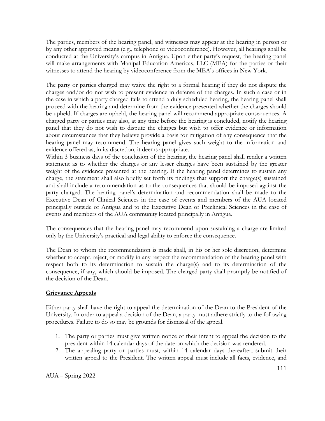The parties, members of the hearing panel, and witnesses may appear at the hearing in person or by any other approved means (e.g., telephone or videoconference). However, all hearings shall be conducted at the University's campus in Antigua. Upon either party's request, the hearing panel will make arrangements with Manipal Education Americas, LLC (MEA) for the parties or their witnesses to attend the hearing by videoconference from the MEA's offices in New York.

The party or parties charged may waive the right to a formal hearing if they do not dispute the charges and/or do not wish to present evidence in defense of the charges. In such a case or in the case in which a party charged fails to attend a duly scheduled hearing, the hearing panel shall proceed with the hearing and determine from the evidence presented whether the charges should be upheld. If charges are upheld, the hearing panel will recommend appropriate consequences. A charged party or parties may also, at any time before the hearing is concluded, notify the hearing panel that they do not wish to dispute the charges but wish to offer evidence or information about circumstances that they believe provide a basis for mitigation of any consequence that the hearing panel may recommend. The hearing panel gives such weight to the information and evidence offered as, in its discretion, it deems appropriate.

Within 3 business days of the conclusion of the hearing, the hearing panel shall render a written statement as to whether the charges or any lesser charges have been sustained by the greater weight of the evidence presented at the hearing. If the hearing panel determines to sustain any charge, the statement shall also briefly set forth its findings that support the charge(s) sustained and shall include a recommendation as to the consequences that should be imposed against the party charged. The hearing panel's determination and recommendation shall be made to the Executive Dean of Clinical Sciences in the case of events and members of the AUA located principally outside of Antigua and to the Executive Dean of Preclinical Sciences in the case of events and members of the AUA community located principally in Antigua.

The consequences that the hearing panel may recommend upon sustaining a charge are limited only by the University's practical and legal ability to enforce the consequence.

The Dean to whom the recommendation is made shall, in his or her sole discretion, determine whether to accept, reject, or modify in any respect the recommendation of the hearing panel with respect both to its determination to sustain the charge(s) and to its determination of the consequence, if any, which should be imposed. The charged party shall promptly be notified of the decision of the Dean.

# **Grievance Appeals**

Either party shall have the right to appeal the determination of the Dean to the President of the University. In order to appeal a decision of the Dean, a party must adhere strictly to the following procedures. Failure to do so may be grounds for dismissal of the appeal.

- 1. The party or parties must give written notice of their intent to appeal the decision to the president within 14 calendar days of the date on which the decision was rendered.
- 2. The appealing party or parties must, within 14 calendar days thereafter, submit their written appeal to the President. The written appeal must include all facts, evidence, and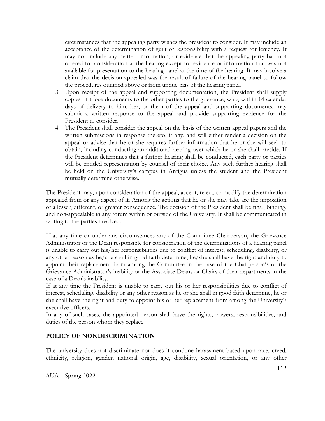circumstances that the appealing party wishes the president to consider. It may include an acceptance of the determination of guilt or responsibility with a request for leniency. It may not include any matter, information, or evidence that the appealing party had not offered for consideration at the hearing except for evidence or information that was not available for presentation to the hearing panel at the time of the hearing. It may involve a claim that the decision appealed was the result of failure of the hearing panel to follow the procedures outlined above or from undue bias of the hearing panel.

- 3. Upon receipt of the appeal and supporting documentation, the President shall supply copies of those documents to the other parties to the grievance, who, within 14 calendar days of delivery to him, her, or them of the appeal and supporting documents, may submit a written response to the appeal and provide supporting evidence for the President to consider.
- 4. The President shall consider the appeal on the basis of the written appeal papers and the written submissions in response thereto, if any, and will either render a decision on the appeal or advise that he or she requires further information that he or she will seek to obtain, including conducting an additional hearing over which he or she shall preside. If the President determines that a further hearing shall be conducted, each party or parties will be entitled representation by counsel of their choice. Any such further hearing shall be held on the University's campus in Antigua unless the student and the President mutually determine otherwise.

The President may, upon consideration of the appeal, accept, reject, or modify the determination appealed from or any aspect of it. Among the actions that he or she may take are the imposition of a lesser, different, or greater consequence. The decision of the President shall be final, binding, and non-appealable in any forum within or outside of the University. It shall be communicated in writing to the parties involved.

If at any time or under any circumstances any of the Committee Chairperson, the Grievance Administrator or the Dean responsible for consideration of the determinations of a hearing panel is unable to carry out his/her responsibilities due to conflict of interest, scheduling, disability, or any other reason as he/she shall in good faith determine, he/she shall have the right and duty to appoint their replacement from among the Committee in the case of the Chairperson's or the Grievance Administrator's inability or the Associate Deans or Chairs of their departments in the case of a Dean's inability.

If at any time the President is unable to carry out his or her responsibilities due to conflict of interest, scheduling, disability or any other reason as he or she shall in good faith determine, he or she shall have the right and duty to appoint his or her replacement from among the University's executive officers.

In any of such cases, the appointed person shall have the rights, powers, responsibilities, and duties of the person whom they replace

#### **POLICY OF NONDISCRIMINATION**

The university does not discriminate nor does it condone harassment based upon race, creed, ethnicity, religion, gender, national origin, age, disability, sexual orientation, or any other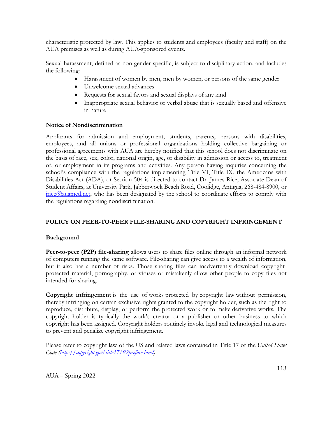characteristic protected by law. This applies to students and employees (faculty and staff) on the AUA premises as well as during AUA-sponsored events.

Sexual harassment, defined as non-gender specific, is subject to disciplinary action, and includes the following:

- Harassment of women by men, men by women, or persons of the same gender
- Unwelcome sexual advances
- Requests for sexual favors and sexual displays of any kind
- Inappropriate sexual behavior or verbal abuse that is sexually based and offensive in nature

## **Notice of Nondiscrimination**

Applicants for admission and employment, students, parents, persons with disabilities, employees, and all unions or professional organizations holding collective bargaining or professional agreements with AUA are hereby notified that this school does not discriminate on the basis of race, sex, color, national origin, age, or disability in admission or access to, treatment of, or employment in its programs and activities. Any person having inquiries concerning the school's compliance with the regulations implementing Title VI, Title IX, the Americans with Disabilities Act (ADA), or Section 504 is directed to contact Dr. James Rice, Associate Dean of Student Affairs, at University Park, Jabberwock Beach Road, Coolidge, Antigua, 268-484-8900, or  $\text{price}(\widehat{\omega}_\text{auamed.net},$  who has been designated by the school to coordinate efforts to comply with the regulations regarding nondiscrimination.

# **POLICY ON PEER-TO-PEER FILE-SHARING AND COPYRIGHT INFRINGEMENT**

# **Background**

**Peer-to-peer (P2P) file-sharing** allows users to share files online through an informal network of computers running the same software. File-sharing can give access to a wealth of information, but it also has a number of risks. Those sharing files can inadvertently download copyrightprotected material, pornography, or viruses or mistakenly allow other people to copy files not intended for sharing.

**Copyright infringement** is the use of [works](http://en.wikipedia.org/wiki/Copyright#Scope) protected by copyright law without permission, thereby infringing on certain [exclusive rights](http://en.wikipedia.org/wiki/Exclusive_right) granted to the copyright holder, such as the right to reproduce, distribute, display, or perform the protected work or to make derivative works. The copyright holder is typically the work's creator or a publisher or other business to which copyright has been assigned. Copyright holders routinely invoke legal and technological measures to prevent and penalize copyright infringement.

Please refer to copyright law of the US and related laws contained in Title 17 of the *United States Code [\(http://copyright.gov/title17/92preface.html\)](http://copyright.gov/title17/92preface.html)*.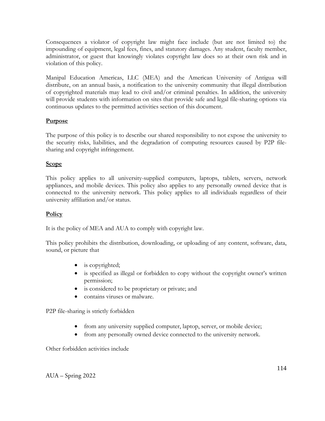Consequences a violator of copyright law might face include (but are not limited to) the impounding of equipment, legal fees, fines, and statutory damages. Any student, faculty member, administrator, or guest that knowingly violates copyright law does so at their own risk and in violation of this policy.

Manipal Education Americas, LLC (MEA) and the American University of Antigua will distribute, on an annual basis, a notification to the university community that illegal distribution of copyrighted materials may lead to civil and/or criminal penalties. In addition, the university will provide students with information on sites that provide safe and legal file-sharing options via continuous updates to the permitted activities section of this document.

## **Purpose**

The purpose of this policy is to describe our shared responsibility to not expose the university to the security risks, liabilities, and the degradation of computing resources caused by P2P filesharing and copyright infringement.

## **Scope**

This policy applies to all university-supplied computers, laptops, tablets, servers, network appliances, and mobile devices. This policy also applies to any personally owned device that is connected to the university network. This policy applies to all individuals regardless of their university affiliation and/or status.

#### **Policy**

It is the policy of MEA and AUA to comply with copyright law.

This policy prohibits the distribution, downloading, or uploading of any content, software, data, sound, or picture that

- is copyrighted;
- is specified as illegal or forbidden to copy without the copyright owner's written permission;
- is considered to be proprietary or private; and
- contains viruses or malware.

P2P file-sharing is strictly forbidden

- from any university supplied computer, laptop, server, or mobile device;
- from any personally owned device connected to the university network.

Other forbidden activities include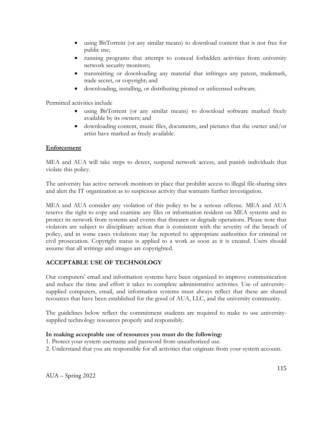- using BitTorrent (or any similar means) to download content that is not free for public use;
- running programs that attempt to conceal forbidden activities from university network security monitors;
- transmitting or downloading any material that infringes any patent, trademark, trade secret, or copyright; and
- downloading, installing, or distributing pirated or unlicensed software.

Permitted activities include

- using BitTorrent (or any similar means) to download software marked freely available by its owners; and
- downloading content, music files, documents, and pictures that the owner and/or artist have marked as freely available.

#### **Enforcement**

MEA and AUA will take steps to detect, suspend network access, and punish individuals that violate this policy.

The university has active network monitors in place that prohibit access to illegal file-sharing sites and alert the IT organization as to suspicious activity that warrants further investigation.

MEA and AUA consider any violation of this policy to be a serious offense. MEA and AUA reserve the right to copy and examine any files or information resident on MEA systems and to protect its network from systems and events that threaten or degrade operations. Please note that violators are subject to disciplinary action that is consistent with the severity of the breach of policy, and in some cases violations may be reported to appropriate authorities for criminal or civil prosecution. Copyright status is applied to a work as soon as it is created. Users should assume that all writings and images are copyrighted.

#### **ACCEPTABLE USE OF TECHNOLOGY**

Our computers' email and information systems have been organized to improve communication and reduce the time and effort it takes to complete administrative activities. Use of universitysupplied computers, email, and information systems must always reflect that these are shared resources that have been established for the good of AUA, LLC, and the university community.

The guidelines below reflect the commitment students are required to make to use universitysupplied technology resources properly and responsibly.

#### **In making acceptable use of resources you must do the following:**

- 1. Protect your system username and password from unauthorized use.
- 2. Understand that you are responsible for all activities that originate from your system account.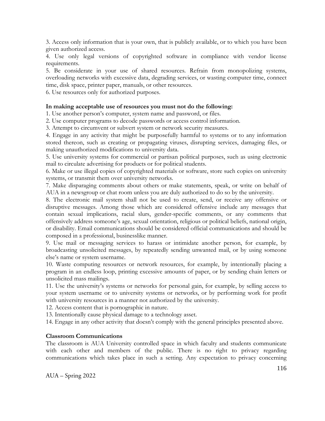3. Access only information that is your own, that is publicly available, or to which you have been given authorized access.

4. Use only legal versions of copyrighted software in compliance with vendor license requirements.

5. Be considerate in your use of shared resources. Refrain from monopolizing systems, overloading networks with excessive data, degrading services, or wasting computer time, connect time, disk space, printer paper, manuals, or other resources.

6. Use resources only for authorized purposes.

#### **In making acceptable use of resources you must not do the following:**

1. Use another person's computer, system name and password, or files.

2. Use computer programs to decode passwords or access control information.

3. Attempt to circumvent or subvert system or network security measures.

4. Engage in any activity that might be purposefully harmful to systems or to any information stored thereon, such as creating or propagating viruses, disrupting services, damaging files, or making unauthorized modifications to university data.

5. Use university systems for commercial or partisan political purposes, such as using electronic mail to circulate advertising for products or for political students.

6. Make or use illegal copies of copyrighted materials or software, store such copies on university systems, or transmit them over university networks.

7. Make disparaging comments about others or make statements, speak, or write on behalf of AUA in a newsgroup or chat room unless you are duly authorized to do so by the university.

8. The electronic mail system shall not be used to create, send, or receive any offensive or disruptive messages. Among those which are considered offensive include any messages that contain sexual implications, racial slurs, gender-specific comments, or any comments that offensively address someone's age, sexual orientation, religious or political beliefs, national origin, or disability. Email communications should be considered official communications and should be composed in a professional, businesslike manner.

9. Use mail or messaging services to harass or intimidate another person, for example, by broadcasting unsolicited messages, by repeatedly sending unwanted mail, or by using someone else's name or system username.

10. Waste computing resources or network resources, for example, by intentionally placing a program in an endless loop, printing excessive amounts of paper, or by sending chain letters or unsolicited mass mailings.

11. Use the university's systems or networks for personal gain, for example, by selling access to your system username or to university systems or networks, or by performing work for profit with university resources in a manner not authorized by the university.

12. Access content that is pornographic in nature.

13. Intentionally cause physical damage to a technology asset.

14. Engage in any other activity that doesn't comply with the general principles presented above.

#### **Classroom Communications**

The classroom is AUA University controlled space in which faculty and students communicate with each other and members of the public. There is no right to privacy regarding communications which takes place in such a setting. Any expectation to privacy concerning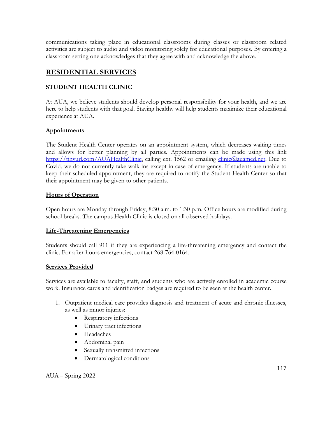communications taking place in educational classrooms during classes or classroom related activities are subject to audio and video monitoring solely for educational purposes. By entering a classroom setting one acknowledges that they agree with and acknowledge the above.

# **RESIDENTIAL SERVICES**

# **STUDENT HEALTH CLINIC**

At AUA, we believe students should develop personal responsibility for your health, and we are here to help students with that goal. Staying healthy will help students maximize their educational experience at AUA.

# **Appointments**

The Student Health Center operates on an appointment system, which decreases waiting times and allows for better planning by all parties. Appointments can be made using this link [https://tinyurl.com/AUAHealthClinic,](https://tinyurl.com/AUAHealthClinic) calling ext. 1562 or emailing [clinic@auamed.net.](mailto:clinic@auamed.net) Due to Covid, we do not currently take walk-ins except in case of emergency. If students are unable to keep their scheduled appointment, they are required to notify the Student Health Center so that their appointment may be given to other patients.

## **Hours of Operation**

Open hours are Monday through Friday, 8:30 a.m. to 1:30 p.m. Office hours are modified during school breaks. The campus Health Clinic is closed on all observed holidays.

# **Life-Threatening Emergencies**

Students should call 911 if they are experiencing a life-threatening emergency and contact the clinic. For after-hours emergencies, contact 268-764-0164.

#### **Services Provided**

Services are available to faculty, staff, and students who are actively enrolled in academic course work. Insurance cards and identification badges are required to be seen at the health center.

- 1. Outpatient medical care provides diagnosis and treatment of acute and chronic illnesses, as well as minor injuries:
	- Respiratory infections
	- Urinary tract infections
	- Headaches
	- Abdominal pain
	- Sexually transmitted infections
	- Dermatological conditions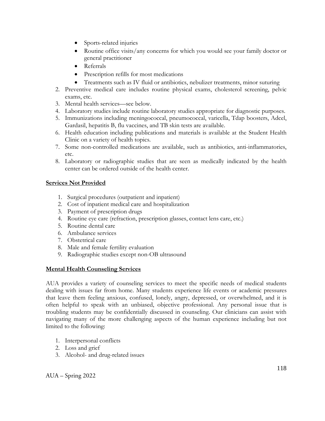- Sports-related injuries
- Routine office visits/any concerns for which you would see your family doctor or general practitioner
- Referrals
- Prescription refills for most medications
- Treatments such as IV fluid or antibiotics, nebulizer treatments, minor suturing
- 2. Preventive medical care includes routine physical exams, cholesterol screening, pelvic exams, etc.
- 3. Mental health services—see below.
- 4. Laboratory studies include routine laboratory studies appropriate for diagnostic purposes.
- 5. Immunizations including meningococcal, pneumococcal, varicella, Tdap boosters, Adcel, Gardasil, hepatitis B, flu vaccines, and TB skin tests are available.
- 6. Health education including publications and materials is available at the Student Health Clinic on a variety of health topics.
- 7. Some non-controlled medications are available, such as antibiotics, anti-inflammatories, etc.
- 8. Laboratory or radiographic studies that are seen as medically indicated by the health center can be ordered outside of the health center.

# **Services Not Provided**

- 1. Surgical procedures (outpatient and inpatient)
- 2. Cost of inpatient medical care and hospitalization
- 3. Payment of prescription drugs
- 4. Routine eye care (refraction, prescription glasses, contact lens care, etc.)
- 5. Routine dental care
- 6. Ambulance services
- 7. Obstetrical care
- 8. Male and female fertility evaluation
- 9. Radiographic studies except non-OB ultrasound

# **Mental Health Counseling Services**

AUA provides a variety of counseling services to meet the specific needs of medical students dealing with issues far from home. Many students experience life events or academic pressures that leave them feeling anxious, confused, lonely, angry, depressed, or overwhelmed, and it is often helpful to speak with an unbiased, objective professional. Any personal issue that is troubling students may be confidentially discussed in counseling. Our clinicians can assist with navigating many of the more challenging aspects of the human experience including but not limited to the following:

- 1. Interpersonal conflicts
- 2. Loss and grief
- 3. Alcohol- and drug-related issues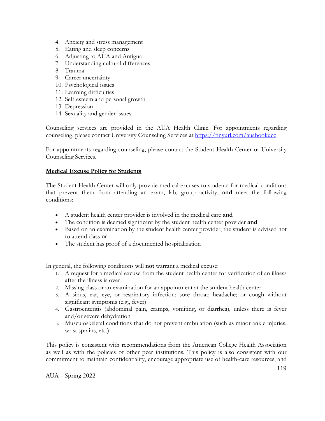- 4. Anxiety and stress management
- 5. Eating and sleep concerns
- 6. Adjusting to AUA and Antigua
- 7. Understanding cultural differences
- 8. Trauma
- 9. Career uncertainty
- 10. Psychological issues
- 11. Learning difficulties
- 12. Self-esteem and personal growth
- 13. Depression
- 14. Sexuality and gender issues

Counseling services are provided in the AUA Health Clinic. For appointments regarding counseling, please contact University Counseling Services at<https://tinyurl.com/auabookucc>

For appointments regarding counseling, please contact the Student Health Center or University Counseling Services.

#### **Medical Excuse Policy for Students**

The Student Health Center will only provide medical excuses to students for medical conditions that prevent them from attending an exam, lab, group activity, **and** meet the following conditions:

- A student health center provider is involved in the medical care **and**
- The condition is deemed significant by the student health center provider **and**
- Based on an examination by the student health center provider, the student is advised not to attend class **or**
- The student has proof of a documented hospitalization

In general, the following conditions will **not** warrant a medical excuse:

- 1. A request for a medical excuse from the student health center for verification of an illness after the illness is over
- 2. Missing class or an examination for an appointment at the student health center
- 3. A sinus, ear, eye, or respiratory infection; sore throat; headache; or cough without significant symptoms (e.g., fever)
- 4. Gastroenteritis (abdominal pain, cramps, vomiting, or diarrhea), unless there is fever and/or severe dehydration
- 5. Musculoskeletal conditions that do not prevent ambulation (such as minor ankle injuries, wrist sprains, etc.)

This policy is consistent with recommendations from the American College Health Association as well as with the policies of other peer institutions. This policy is also consistent with our commitment to maintain confidentiality, encourage appropriate use of health-care resources, and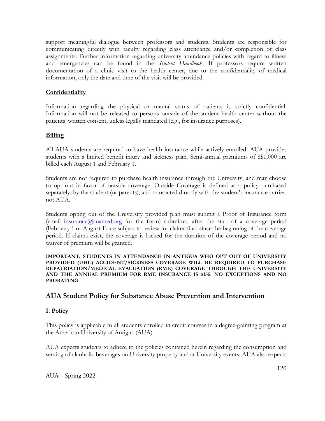support meaningful dialogue between professors and students. Students are responsible for communicating directly with faculty regarding class attendance and/or completion of class assignments. Further information regarding university attendance policies with regard to illness and emergencies can be found in the *Student Handbook*. If professors require written documentation of a clinic visit to the health center, due to the confidentiality of medical information, only the date and time of the visit will be provided.

#### **Confidentiality**

Information regarding the physical or mental status of patients is strictly confidential. Information will not be released to persons outside of the student health center without the patients' written consent, unless legally mandated (e.g., for insurance purposes).

#### **Billing**

All AUA students are required to have health insurance while actively enrolled. AUA provides students with a limited benefit injury and sickness plan. Semi-annual premiums of \$\$1,000 are billed each August 1 and February 1.

Students are not required to purchase health insurance through the University, and may choose to opt out in favor of outside coverage. Outside Coverage is defined as a policy purchased separately, by the student (or parents), and transacted directly with the student's insurance carrier, not AUA.

Students opting out of the University provided plan must submit a Proof of Insurance form (email insurance  $Q$ auamed.org for the form) submitted after the start of a coverage period (February 1 or August 1) are subject to review for claims filed since the beginning of the coverage period. If claims exist, the coverage is locked for the duration of the coverage period and no waiver of premium will be granted.

#### **IMPORTANT: STUDENTS IN ATTENDANCE IN ANTIGUA WHO OPT OUT OF UNIVERSITY PROVIDED (UHC) ACCIDENT/SICKNESS COVERAGE WILL BE REQUIRED TO PURCHASE REPATRIATION/MEDICAL EVACUATION (RME) COVERAGE THROUGH THE UNIVERSITY AND THE ANNUAL PREMIUM FOR RME INSURANCE IS \$155. NO EXCEPTIONS AND NO PRORATING**

# **AUA Student Policy for Substance Abuse Prevention and Intervention**

#### **I. Policy**

This policy is applicable to all students enrolled in credit courses in a degree-granting program at the American University of Antigua (AUA).

AUA expects students to adhere to the policies contained herein regarding the consumption and serving of alcoholic beverages on University property and at University events. AUA also expects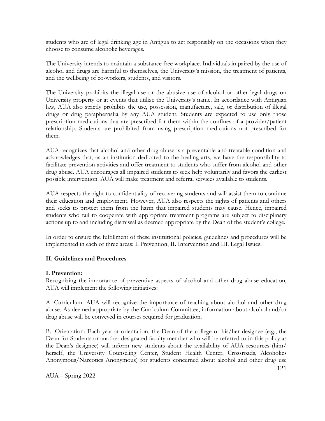students who are of legal drinking age in Antigua to act responsibly on the occasions when they choose to consume alcoholic beverages.

The University intends to maintain a substance free workplace. Individuals impaired by the use of alcohol and drugs are harmful to themselves, the University's mission, the treatment of patients, and the wellbeing of co-workers, students, and visitors.

The University prohibits the illegal use or the abusive use of alcohol or other legal drugs on University property or at events that utilize the University's name. In accordance with Antiguan law, AUA also strictly prohibits the use, possession, manufacture, sale, or distribution of illegal drugs or drug paraphernalia by any AUA student. Students are expected to use only those prescription medications that are prescribed for them within the confines of a provider/patient relationship. Students are prohibited from using prescription medications not prescribed for them.

AUA recognizes that alcohol and other drug abuse is a preventable and treatable condition and acknowledges that, as an institution dedicated to the healing arts, we have the responsibility to facilitate prevention activities and offer treatment to students who suffer from alcohol and other drug abuse. AUA encourages all impaired students to seek help voluntarily and favors the earliest possible intervention. AUA will make treatment and referral services available to students.

AUA respects the right to confidentiality of recovering students and will assist them to continue their education and employment. However, AUA also respects the rights of patients and others and seeks to protect them from the harm that impaired students may cause. Hence, impaired students who fail to cooperate with appropriate treatment programs are subject to disciplinary actions up to and including dismissal as deemed appropriate by the Dean of the student's college.

In order to ensure the fulfillment of these institutional policies, guidelines and procedures will be implemented in each of three areas: I. Prevention, II. Intervention and III. Legal Issues.

#### **II. Guidelines and Procedures**

#### **I. Prevention:**

Recognizing the importance of preventive aspects of alcohol and other drug abuse education, AUA will implement the following initiatives:

A. Curriculum: AUA will recognize the importance of teaching about alcohol and other drug abuse. As deemed appropriate by the Curriculum Committee, information about alcohol and/or drug abuse will be conveyed in courses required for graduation.

B. Orientation: Each year at orientation, the Dean of the college or his/her designee (e.g., the Dean for Students or another designated faculty member who will be referred to in this policy as the Dean's designee) will inform new students about the availability of AUA resources (him/ herself, the University Counseling Center, Student Health Center, Crossroads, Alcoholics Anonymous/Narcotics Anonymous) for students concerned about alcohol and other drug use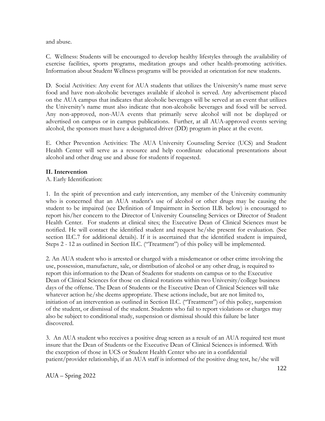and abuse.

C. Wellness: Students will be encouraged to develop healthy lifestyles through the availability of exercise facilities, sports programs, meditation groups and other health-promoting activities. Information about Student Wellness programs will be provided at orientation for new students.

D. Social Activities: Any event for AUA students that utilizes the University's name must serve food and have non-alcoholic beverages available if alcohol is served. Any advertisement placed on the AUA campus that indicates that alcoholic beverages will be served at an event that utilizes the University's name must also indicate that non-alcoholic beverages and food will be served. Any non-approved, non-AUA events that primarily serve alcohol will not be displayed or advertised on campus or in campus publications. Further, at all AUA-approved events serving alcohol, the sponsors must have a designated driver (DD) program in place at the event.

E. Other Prevention Activities: The AUA University Counseling Service (UCS) and Student Health Center will serve as a resource and help coordinate educational presentations about alcohol and other drug use and abuse for students if requested.

## **II. Intervention**

A. Early Identification:

1. In the spirit of prevention and early intervention, any member of the University community who is concerned that an AUA student's use of alcohol or other drugs may be causing the student to be impaired (see Definition of Impairment in Section II.B. below) is encouraged to report his/her concern to the Director of University Counseling Services or Director of Student Health Center. For students at clinical sites; the Executive Dean of Clinical Sciences must be notified. He will contact the identified student and request he/she present for evaluation. (See section II.C.7 for additional details). If it is ascertained that the identified student is impaired, Steps 2 - 12 as outlined in Section II.C. ("Treatment") of this policy will be implemented.

2. An AUA student who is arrested or charged with a misdemeanor or other crime involving the use, possession, manufacture, sale, or distribution of alcohol or any other drug, is required to report this information to the Dean of Students for students on campus or to the Executive Dean of Clinical Sciences for those on clinical rotations within two University/college business days of the offense. The Dean of Students or the Executive Dean of Clinical Sciences will take whatever action he/she deems appropriate. These actions include, but are not limited to, initiation of an intervention as outlined in Section II.C. ("Treatment") of this policy, suspension of the student, or dismissal of the student. Students who fail to report violations or charges may also be subject to conditional study, suspension or dismissal should this failure be later discovered.

3. An AUA student who receives a positive drug screen as a result of an AUA required test must insure that the Dean of Students or the Executive Dean of Clinical Sciences is informed. With the exception of those in UCS or Student Health Center who are in a confidential patient/provider relationship, if an AUA staff is informed of the positive drug test, he/she will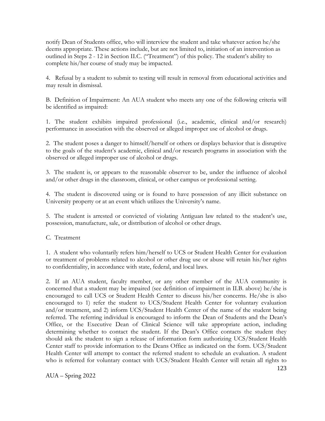notify Dean of Students office, who will interview the student and take whatever action he/she deems appropriate. These actions include, but are not limited to, initiation of an intervention as outlined in Steps 2 - 12 in Section II.C. ("Treatment") of this policy. The student's ability to complete his/her course of study may be impacted.

4. Refusal by a student to submit to testing will result in removal from educational activities and may result in dismissal.

B. Definition of Impairment: An AUA student who meets any one of the following criteria will be identified as impaired:

1. The student exhibits impaired professional (i.e., academic, clinical and/or research) performance in association with the observed or alleged improper use of alcohol or drugs.

2. The student poses a danger to himself/herself or others or displays behavior that is disruptive to the goals of the student's academic, clinical and/or research programs in association with the observed or alleged improper use of alcohol or drugs.

3. The student is, or appears to the reasonable observer to be, under the influence of alcohol and/or other drugs in the classroom, clinical, or other campus or professional setting.

4. The student is discovered using or is found to have possession of any illicit substance on University property or at an event which utilizes the University's name.

5. The student is arrested or convicted of violating Antiguan law related to the student's use, possession, manufacture, sale, or distribution of alcohol or other drugs.

C. Treatment

1. A student who voluntarily refers him/herself to UCS or Student Health Center for evaluation or treatment of problems related to alcohol or other drug use or abuse will retain his/her rights to confidentiality, in accordance with state, federal, and local laws.

2. If an AUA student, faculty member, or any other member of the AUA community is concerned that a student may be impaired (see definition of impairment in II.B. above) he/she is encouraged to call UCS or Student Health Center to discuss his/her concerns. He/she is also encouraged to 1) refer the student to UCS/Student Health Center for voluntary evaluation and/or treatment, and 2) inform UCS/Student Health Center of the name of the student being referred. The referring individual is encouraged to inform the Dean of Students and the Dean's Office, or the Executive Dean of Clinical Science will take appropriate action, including determining whether to contact the student. If the Dean's Office contacts the student they should ask the student to sign a release of information form authorizing UCS/Student Health Center staff to provide information to the Deans Office as indicated on the form. UCS/Student Health Center will attempt to contact the referred student to schedule an evaluation. A student who is referred for voluntary contact with UCS/Student Health Center will retain all rights to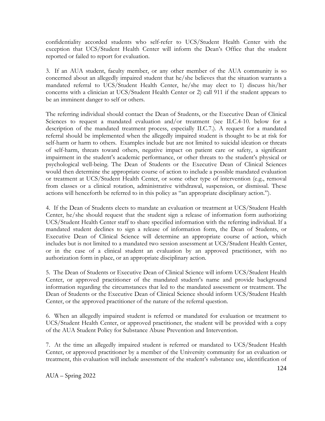confidentiality accorded students who self-refer to UCS/Student Health Center with the exception that UCS/Student Health Center will inform the Dean's Office that the student reported or failed to report for evaluation.

3. If an AUA student, faculty member, or any other member of the AUA community is so concerned about an allegedly impaired student that he/she believes that the situation warrants a mandated referral to UCS/Student Health Center, he/she may elect to 1) discuss his/her concerns with a clinician at UCS/Student Health Center or 2) call 911 if the student appears to be an imminent danger to self or others.

The referring individual should contact the Dean of Students, or the Executive Dean of Clinical Sciences to request a mandated evaluation and/or treatment (see II.C.4-10. below for a description of the mandated treatment process, especially II.C.7.). A request for a mandated referral should be implemented when the allegedly impaired student is thought to be at risk for self-harm or harm to others. Examples include but are not limited to suicidal ideation or threats of self-harm, threats toward others, negative impact on patient care or safety, a significant impairment in the student's academic performance, or other threats to the student's physical or psychological well-being. The Dean of Students or the Executive Dean of Clinical Sciences would then determine the appropriate course of action to include a possible mandated evaluation or treatment at UCS/Student Health Center, or some other type of intervention (e.g., removal from classes or a clinical rotation, administrative withdrawal, suspension, or dismissal. These actions will henceforth be referred to in this policy as "an appropriate disciplinary action.").

4. If the Dean of Students elects to mandate an evaluation or treatment at UCS/Student Health Center, he/she should request that the student sign a release of information form authorizing UCS/Student Health Center staff to share specified information with the referring individual. If a mandated student declines to sign a release of information form, the Dean of Students, or Executive Dean of Clinical Science will determine an appropriate course of action, which includes but is not limited to a mandated two session assessment at UCS/Student Health Center, or in the case of a clinical student an evaluation by an approved practitioner, with no authorization form in place, or an appropriate disciplinary action.

5. The Dean of Students or Executive Dean of Clinical Science will inform UCS/Student Health Center, or approved practitioner of the mandated student's name and provide background information regarding the circumstances that led to the mandated assessment or treatment. The Dean of Students or the Executive Dean of Clinical Science should inform UCS/Student Health Center, or the approved practitioner of the nature of the referral question.

6. When an allegedly impaired student is referred or mandated for evaluation or treatment to UCS/Student Health Center, or approved practitioner, the student will be provided with a copy of the AUA Student Policy for Substance Abuse Prevention and Intervention.

7. At the time an allegedly impaired student is referred or mandated to UCS/Student Health Center, or approved practitioner by a member of the University community for an evaluation or treatment, this evaluation will include assessment of the student's substance use, identification of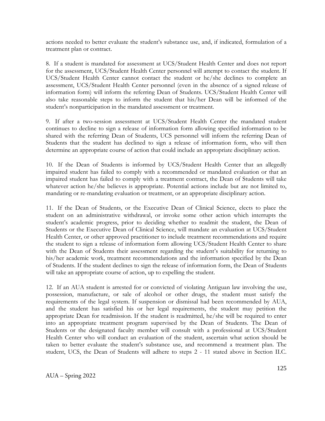actions needed to better evaluate the student's substance use, and, if indicated, formulation of a treatment plan or contract.

8. If a student is mandated for assessment at UCS/Student Health Center and does not report for the assessment, UCS/Student Health Center personnel will attempt to contact the student. If UCS/Student Health Center cannot contact the student or he/she declines to complete an assessment, UCS/Student Health Center personnel (even in the absence of a signed release of information form) will inform the referring Dean of Students. UCS/Student Health Center will also take reasonable steps to inform the student that his/her Dean will be informed of the student's nonparticipation in the mandated assessment or treatment.

9. If after a two-session assessment at UCS/Student Health Center the mandated student continues to decline to sign a release of information form allowing specified information to be shared with the referring Dean of Students, UCS personnel will inform the referring Dean of Students that the student has declined to sign a release of information form, who will then determine an appropriate course of action that could include an appropriate disciplinary action.

10. If the Dean of Students is informed by UCS/Student Health Center that an allegedly impaired student has failed to comply with a recommended or mandated evaluation or that an impaired student has failed to comply with a treatment contract, the Dean of Students will take whatever action he/she believes is appropriate. Potential actions include but are not limited to, mandating or re-mandating evaluation or treatment, or an appropriate disciplinary action.

11. If the Dean of Students, or the Executive Dean of Clinical Science, elects to place the student on an administrative withdrawal, or invoke some other action which interrupts the student's academic progress, prior to deciding whether to readmit the student, the Dean of Students or the Executive Dean of Clinical Science, will mandate an evaluation at UCS/Student Health Center, or other approved practitioner to include treatment recommendations and require the student to sign a release of information form allowing UCS/Student Health Center to share with the Dean of Students their assessment regarding the student's suitability for returning to his/her academic work, treatment recommendations and the information specified by the Dean of Students. If the student declines to sign the release of information form, the Dean of Students will take an appropriate course of action, up to expelling the student.

12. If an AUA student is arrested for or convicted of violating Antiguan law involving the use, possession, manufacture, or sale of alcohol or other drugs, the student must satisfy the requirements of the legal system. If suspension or dismissal had been recommended by AUA, and the student has satisfied his or her legal requirements, the student may petition the appropriate Dean for readmission. If the student is readmitted, he/she will be required to enter into an appropriate treatment program supervised by the Dean of Students. The Dean of Students or the designated faculty member will consult with a professional at UCS/Student Health Center who will conduct an evaluation of the student, ascertain what action should be taken to better evaluate the student's substance use, and recommend a treatment plan. The student, UCS, the Dean of Students will adhere to steps 2 - 11 stated above in Section II.C.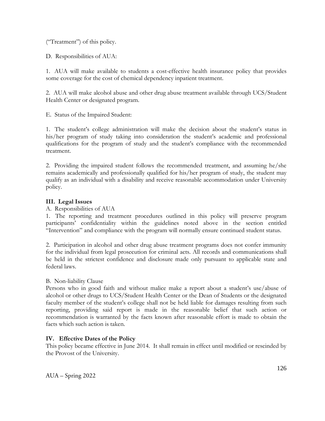("Treatment") of this policy.

D. Responsibilities of AUA:

1. AUA will make available to students a cost-effective health insurance policy that provides some coverage for the cost of chemical dependency inpatient treatment.

2. AUA will make alcohol abuse and other drug abuse treatment available through UCS/Student Health Center or designated program.

E. Status of the Impaired Student:

1. The student's college administration will make the decision about the student's status in his/her program of study taking into consideration the student's academic and professional qualifications for the program of study and the student's compliance with the recommended treatment.

2. Providing the impaired student follows the recommended treatment, and assuming he/she remains academically and professionally qualified for his/her program of study, the student may qualify as an individual with a disability and receive reasonable accommodation under University policy.

## **III. Legal Issues**

A. Responsibilities of AUA

1. The reporting and treatment procedures outlined in this policy will preserve program participants' confidentiality within the guidelines noted above in the section entitled "Intervention" and compliance with the program will normally ensure continued student status.

2. Participation in alcohol and other drug abuse treatment programs does not confer immunity for the individual from legal prosecution for criminal acts. All records and communications shall be held in the strictest confidence and disclosure made only pursuant to applicable state and federal laws.

B. Non-liability Clause

Persons who in good faith and without malice make a report about a student's use/abuse of alcohol or other drugs to UCS/Student Health Center or the Dean of Students or the designated faculty member of the student's college shall not be held liable for damages resulting from such reporting, providing said report is made in the reasonable belief that such action or recommendation is warranted by the facts known after reasonable effort is made to obtain the facts which such action is taken.

# **IV. Effective Dates of the Policy**

This policy became effective in June 2014. It shall remain in effect until modified or rescinded by the Provost of the University.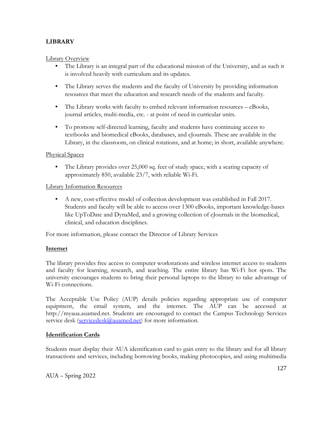# **LIBRARY**

Library Overview

- The Library is an integral part of the educational mission of the University, and as such it is involved heavily with curriculum and its updates.
- The Library serves the students and the faculty of University by providing information resources that meet the education and research needs of the students and faculty.
- The Library works with faculty to embed relevant information resources eBooks, journal articles, multi-media, etc. - at point of need in curricular units.
- To promote self-directed learning, faculty and students have continuing access to textbooks and biomedical eBooks, databases, and eJournals. These are available in the Library, in the classroom, on clinical rotations, and at home; in short, available anywhere.

## Physical Spaces

• The Library provides over 25,000 sq. feet of study space, with a seating capacity of approximately 850, available 23/7, with reliable Wi-Fi.

## Library Information Resources

• A new, cost-effective model of collection development was established in Fall 2017. Students and faculty will be able to access over 1300 eBooks, important knowledge-bases like UpToDate and DynaMed, and a growing collection of eJournals in the biomedical, clinical, and education disciplines.

For more information, please contact the Director of Library Services

# **Internet**

The library provides free access to computer workstations and wireless internet access to students and faculty for learning, research, and teaching. The entire library has Wi-Fi hot spots. The university encourages students to bring their personal laptops to the library to take advantage of Wi-Fi connections.

The Acceptable Use Policy (AUP) details policies regarding appropriate use of computer equipment, the email system, and the internet. The AUP can be accessed at http://myaua.auamed.net. Students are encouraged to contact the Campus Technology Services service desk [\(servicedesk@auamed.net\)](mailto:servicedesk@auamed.net) for more information.

# **Identification Cards**

Students must display their AUA identification card to gain entry to the library and for all library transactions and services, including borrowing books, making photocopies, and using multimedia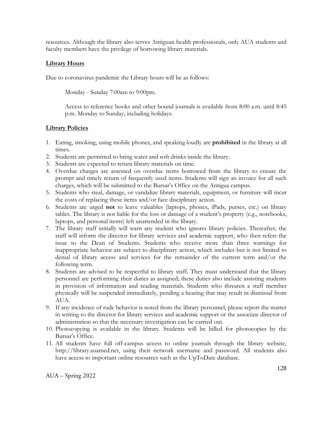resources. Although the library also serves Antiguan health professionals, only AUA students and faculty members have the privilege of borrowing library materials.

## **Library Hours**

Due to coronavirus pandemic the Library hours will be as follows:

Monday - Sunday 7:00am to 9:00pm.

Access to reference books and other bound journals is available from 8:00 a.m. until 8:45 p.m. Monday to Sunday, including holidays.

## **Library Policies**

- 1. Eating, smoking, using mobile phones, and speaking loudly are **prohibited** in the library at all times.
- 2. Students are permitted to bring water and soft drinks inside the library.
- 3. Students are expected to return library materials on time.
- 4. Overdue charges are assessed on overdue items borrowed from the library to ensure the prompt and timely return of frequently used items. Students will sign an invoice for all such charges, which will be submitted to the Bursar's Office on the Antigua campus.
- 5. Students who steal, damage, or vandalize library materials, equipment, or furniture will incur the costs of replacing these items and/or face disciplinary action.
- 6. Students are urged **not** to leave valuables (laptops, phones, iPads, purses, etc.) on library tables. The library is not liable for the loss or damage of a student's property (e.g., notebooks, laptops, and personal items) left unattended in the library.
- 7. The library staff initially will warn any student who ignores library policies. Thereafter, the staff will inform the director for library services and academic support, who then refers the issue to the Dean of Students. Students who receive more than three warnings for inappropriate behavior are subject to disciplinary action, which includes but is not limited to denial of library access and services for the remainder of the current term and/or the following term.
- 8. Students are advised to be respectful to library staff. They must understand that the library personnel are performing their duties as assigned; these duties also include assisting students in provision of information and reading materials. Students who threaten a staff member physically will be suspended immediately, pending a hearing that may result in dismissal from AUA.
- 9. If any incidence of rude behavior is noted from the library personnel, please report the matter in writing to the director for library services and academic support or the associate director of administration so that the necessary investigation can be carried out.
- 10. Photocopying is available in the library. Students will be billed for photocopies by the Bursar's Office.
- 11. All students have full off-campus access to online journals through the library website, http://library.auamed.net, using their network username and password. All students also have access to important online resources such as the UpToDate database.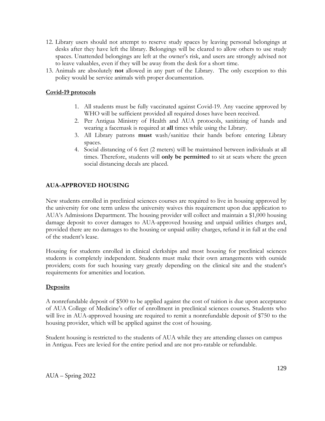- 12. Library users should not attempt to reserve study spaces by leaving personal belongings at desks after they have left the library. Belongings will be cleared to allow others to use study spaces. Unattended belongings are left at the owner's risk, and users are strongly advised not to leave valuables, even if they will be away from the desk for a short time.
- 13. Animals are absolutely **not** allowed in any part of the Library. The only exception to this policy would be service animals with proper documentation.

## **Covid-19 protocols**

- 1. All students must be fully vaccinated against Covid-19. Any vaccine approved by WHO will be sufficient provided all required doses have been received.
- 2. Per Antigua Ministry of Health and AUA protocols, sanitizing of hands and wearing a facemask is required at **all** times while using the Library.
- 3. All Library patrons **must** wash/sanitize their hands before entering Library spaces.
- 4. Social distancing of 6 feet (2 meters) will be maintained between individuals at all times. Therefore, students will **only be permitted** to sit at seats where the green social distancing decals are placed.

# **AUA-APPROVED HOUSING**

New students enrolled in preclinical sciences courses are required to live in housing approved by the university for one term unless the university waives this requirement upon due application to AUA's Admissions Department. The housing provider will collect and maintain a \$1,000 housing damage deposit to cover damages to AUA-approved housing and unpaid utilities charges and, provided there are no damages to the housing or unpaid utility charges, refund it in full at the end of the student's lease.

Housing for students enrolled in clinical clerkships and most housing for preclinical sciences students is completely independent. Students must make their own arrangements with outside providers; costs for such housing vary greatly depending on the clinical site and the student's requirements for amenities and location.

# **Deposits**

A nonrefundable deposit of \$500 to be applied against the cost of tuition is due upon acceptance of AUA College of Medicine's offer of enrollment in preclinical sciences courses. Students who will live in AUA-approved housing are required to remit a nonrefundable deposit of \$750 to the housing provider, which will be applied against the cost of housing.

Student housing is restricted to the students of AUA while they are attending classes on campus in Antigua. Fees are levied for the entire period and are not pro-ratable or refundable.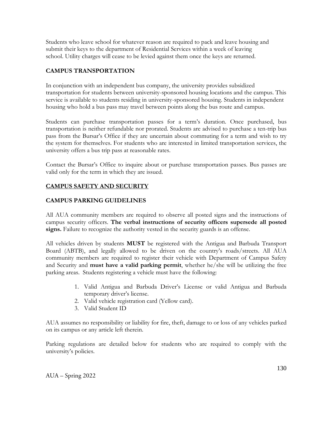Students who leave school for whatever reason are required to pack and leave housing and submit their keys to the department of Residential Services within a week of leaving school. Utility charges will cease to be levied against them once the keys are returned.

# **CAMPUS TRANSPORTATION**

In conjunction with an independent bus company, the university provides subsidized transportation for students between university-sponsored housing locations and the campus. This service is available to students residing in university-sponsored housing. Students in independent housing who hold a bus pass may travel between points along the bus route and campus.

Students can purchase transportation passes for a term's duration. Once purchased, bus transportation is neither refundable nor prorated. Students are advised to purchase a ten-trip bus pass from the Bursar's Office if they are uncertain about commuting for a term and wish to try the system for themselves. For students who are interested in limited transportation services, the university offers a bus trip pass at reasonable rates.

Contact the Bursar's Office to inquire about or purchase transportation passes. Bus passes are valid only for the term in which they are issued.

# **CAMPUS SAFETY AND SECURITY**

# **CAMPUS PARKING GUIDELINES**

All AUA community members are required to observe all posted signs and the instructions of campus security officers. **The verbal instructions of security officers supersede all posted signs.** Failure to recognize the authority vested in the security guards is an offense.

All vehicles driven by students **MUST** be registered with the Antigua and Barbuda Transport Board (ABTB), and legally allowed to be driven on the country's roads/streets. All AUA community members are required to register their vehicle with Department of Campus Safety and Security and **must have a valid parking permit**, whether he/she will be utilizing the free parking areas. Students registering a vehicle must have the following:

- 1. Valid Antigua and Barbuda Driver's License or valid Antigua and Barbuda temporary driver's license.
- 2. Valid vehicle registration card (Yellow card).
- 3. Valid Student ID

AUA assumes no responsibility or liability for fire, theft, damage to or loss of any vehicles parked on its campus or any article left therein.

Parking regulations are detailed below for students who are required to comply with the university's policies.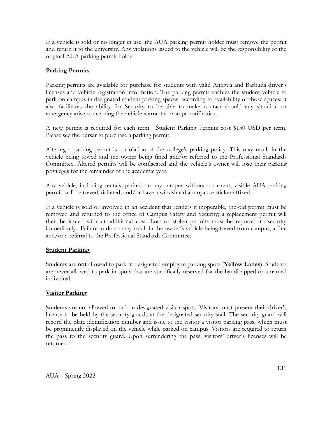If a vehicle is sold or no longer in use, the AUA parking permit holder must remove the permit and return it to the university. Any violations issued to the vehicle will be the responsibility of the original AUA parking permit holder.

## **Parking Permits**

Parking permits are available for purchase for students with valid Antigua and Barbuda driver's licenses and vehicle registration information. The parking permit enables the student vehicle to park on campus in designated student parking spaces, according to availability of those spaces; it also facilitates the ability for Security to be able to make contact should any situation or emergency arise concerning the vehicle warrant a prompt notification.

A new permit is required for each term. Student Parking Permits cost \$150 USD per term. Please see the bursar to purchase a parking permit.

Altering a parking permit is a violation of the college's parking policy. This may result in the vehicle being towed and the owner being fined and/or referred to the Professional Standards Committee. Altered permits will be confiscated and the vehicle's owner will lose their parking privileges for the remainder of the academic year.

Any vehicle, including rentals, parked on any campus without a current, visible AUA parking permit, will be towed, ticketed, and/or have a windshield annoyance sticker affixed.

If a vehicle is sold or involved in an accident that renders it inoperable, the old permit must be removed and returned to the office of Campus Safety and Security; a replacement permit will then be issued without additional cost. Lost or stolen permits must be reported to security immediately. Failure to do so may result in the owner's vehicle being towed from campus, a fine and/or a referral to the Professional Standards Committee.

#### **Student Parking**

Students are **not** allowed to park in designated employee parking spots (**Yellow Lanes**). Students are never allowed to park in spots that are specifically reserved for the handicapped or a named individual.

# **Visitor Parking**

Students are not allowed to park in designated visitor spots. Visitors must present their driver's license to be held by the security guards at the designated security stall. The security guard will record the plate identification number and issue to the visitor a visitor parking pass, which must be prominently displayed on the vehicle while parked on campus. Visitors are required to return the pass to the security guard. Upon surrendering the pass, visitors' driver's licenses will be returned.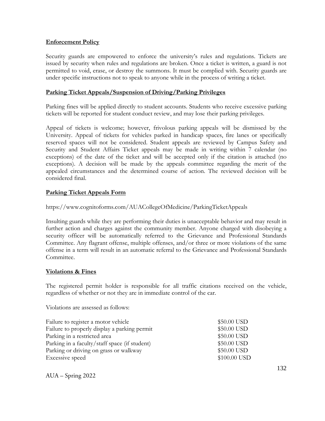#### **Enforcement Policy**

Security guards are empowered to enforce the university's rules and regulations. Tickets are issued by security when rules and regulations are broken. Once a ticket is written, a guard is not permitted to void, erase, or destroy the summons. It must be complied with. Security guards are under specific instructions not to speak to anyone while in the process of writing a ticket.

#### **Parking Ticket Appeals/Suspension of Driving/Parking Privileges**

Parking fines will be applied directly to student accounts. Students who receive excessive parking tickets will be reported for student conduct review, and may lose their parking privileges.

Appeal of tickets is welcome; however, frivolous parking appeals will be dismissed by the University. Appeal of tickets for vehicles parked in handicap spaces, fire lanes or specifically reserved spaces will not be considered. Student appeals are reviewed by Campus Safety and Security and Student Affairs Ticket appeals may be made in writing within 7 calendar (no exceptions) of the date of the ticket and will be accepted only if the citation is attached (no exceptions). A decision will be made by the appeals committee regarding the merit of the appealed circumstances and the determined course of action. The reviewed decision will be considered final.

## **Parking Ticket Appeals Form**

https://www.cognitoforms.com/AUACollegeOfMedicine/ParkingTicketAppeals

Insulting guards while they are performing their duties is unacceptable behavior and may result in further action and charges against the community member. Anyone charged with disobeying a security officer will be automatically referred to the Grievance and Professional Standards Committee. Any flagrant offense, multiple offenses, and/or three or more violations of the same offense in a term will result in an automatic referral to the Grievance and Professional Standards Committee.

#### **Violations & Fines**

The registered permit holder is responsible for all traffic citations received on the vehicle, regardless of whether or not they are in immediate control of the car.

Violations are assessed as follows:

| Failure to register a motor vehicle           | \$50.00 USD  |
|-----------------------------------------------|--------------|
| Failure to properly display a parking permit  | \$50.00 USD  |
| Parking in a restricted area                  | \$50.00 USD  |
| Parking in a faculty/staff space (if student) | \$50.00 USD  |
| Parking or driving on grass or walkway        | \$50.00 USD  |
| Excessive speed                               | \$100.00 USD |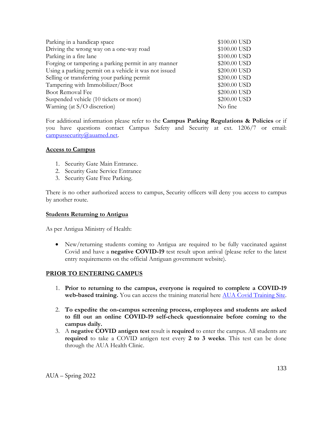| Parking in a handicap space                           | \$100.00 USD |
|-------------------------------------------------------|--------------|
| Driving the wrong way on a one-way road               | \$100.00 USD |
| Parking in a fire lane                                | \$100.00 USD |
| Forging or tampering a parking permit in any manner   | \$200.00 USD |
| Using a parking permit on a vehicle it was not issued | \$200.00 USD |
| Selling or transferring your parking permit           | \$200.00 USD |
| Tampering with Immobilizer/Boot                       | \$200.00 USD |
| Boot Removal Fee                                      | \$200.00 USD |
| Suspended vehicle (10 tickets or more)                | \$200.00 USD |
| Warning (at S/O discretion)                           | No fine      |

For additional information please refer to the **Campus Parking Regulations & Policies** or if you have questions contact Campus Safety and Security at ext. 1206/7 or email: [campussecurity@auamed.net.](mailto:campussecurity@auamed.net)

#### **Access to Campus**

- 1. Security Gate Main Entrance.
- 2. Security Gate Service Entrance
- 3. Security Gate Free Parking.

There is no other authorized access to campus, Security officers will deny you access to campus by another route.

#### **Students Returning to Antigua**

As per Antigua Ministry of Health:

• New/returning students coming to Antigua are required to be fully vaccinated against Covid and have a **negative COVID-19** test result upon arrival (please refer to the latest entry requirements on the official Antiguan government website).

#### **PRIOR TO ENTERING CAMPUS**

- 1. **Prior to returning to the campus, everyone is required to complete a COVID-19**  web-based training. You can access the training material here **AUA Covid Training Site**.
- 2. **To expedite the on-campus screening process, employees and students are asked to fill out an online COVID-19 self-check questionnaire before coming to the campus daily.**
- 3. A **negative COVID antigen test** result is **required** to enter the campus. All students are **required** to take a COVID antigen test every **2 to 3 weeks**. This test can be done through the AUA Health Clinic.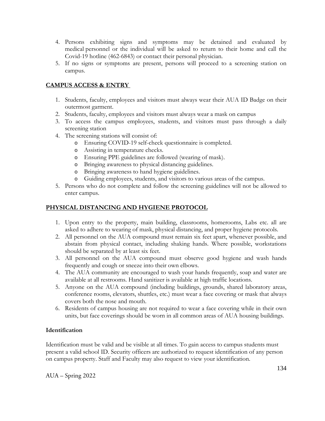- 4. Persons exhibiting signs and symptoms may be detained and evaluated by medical personnel or the individual will be asked to return to their home and call the Covid-19 hotline (462-6843) or contact their personal physician.
- 5. If no signs or symptoms are present, persons will proceed to a screening station on campus.

# **CAMPUS ACCESS & ENTRY**

- 1. Students, faculty, employees and visitors must always wear their AUA ID Badge on their outermost garment.
- 2. Students, faculty, employees and visitors must always wear a mask on campus
- 3. To access the campus employees, students, and visitors must pass through a daily screening station
- 4. The screening stations will consist of:
	- o Ensuring COVID-19 self-check questionnaire is completed.
	- o Assisting in temperature checks.
	- o Ensuring PPE guidelines are followed (wearing of mask).
	- o Bringing awareness to physical distancing guidelines.
	- o Bringing awareness to hand hygiene guidelines.
	- o Guiding employees, students, and visitors to various areas of the campus.
- 5. Persons who do not complete and follow the screening guidelines will not be allowed to enter campus.

# **PHYSICAL DISTANCING AND HYGIENE PROTOCOL**

- 1. Upon entry to the property, main building, classrooms, homerooms, Labs etc. all are asked to adhere to wearing of mask, physical distancing, and proper hygiene protocols.
- 2. All personnel on the AUA compound must remain six feet apart, whenever possible, and abstain from physical contact, including shaking hands. Where possible, workstations should be separated by at least six feet.
- 3. All personnel on the AUA compound must observe good hygiene and wash hands frequently and cough or sneeze into their own elbows.
- 4. The AUA community are encouraged to wash your hands frequently, soap and water are available at all restrooms. Hand sanitizer is available at high traffic locations.
- 5. Anyone on the AUA compound (including buildings, grounds, shared laboratory areas, conference rooms, elevators, shuttles, etc.) must wear a face covering or mask that always covers both the nose and mouth.
- 6. Residents of campus housing are not required to wear a face covering while in their own units, but face coverings should be worn in all common areas of AUA housing buildings.

# **Identification**

Identification must be valid and be visible at all times. To gain access to campus students must present a valid school ID. Security officers are authorized to request identification of any person on campus property. Staff and Faculty may also request to view your identification.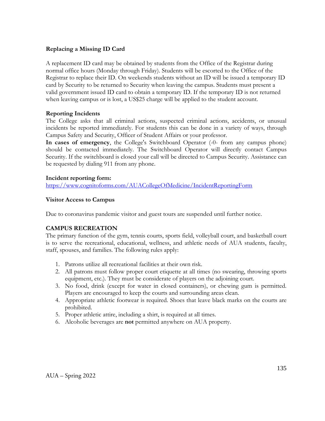## **Replacing a Missing ID Card**

A replacement ID card may be obtained by students from the Office of the Registrar during normal office hours (Monday through Friday). Students will be escorted to the Office of the Registrar to replace their ID. On weekends students without an ID will be issued a temporary ID card by Security to be returned to Security when leaving the campus. Students must present a valid government issued ID card to obtain a temporary ID. If the temporary ID is not returned when leaving campus or is lost, a US\$25 charge will be applied to the student account.

## **Reporting Incidents**

The College asks that all criminal actions, suspected criminal actions, accidents, or unusual incidents be reported immediately. For students this can be done in a variety of ways, through Campus Safety and Security, Officer of Student Affairs or your professor.

**In cases of emergency**, the College's Switchboard Operator (-0- from any campus phone) should be contacted immediately. The Switchboard Operator will directly contact Campus Security. If the switchboard is closed your call will be directed to Campus Security. Assistance can be requested by dialing 911 from any phone.

## **Incident reporting form:**

<https://www.cognitoforms.com/AUACollegeOfMedicine/IncidentReportingForm>

#### **Visitor Access to Campus**

Due to coronavirus pandemic visitor and guest tours are suspended until further notice.

# **CAMPUS RECREATION**

The primary function of the gym, tennis courts, sports field, volleyball court, and basketball court is to serve the recreational, educational, wellness, and athletic needs of AUA students, faculty, staff, spouses, and families. The following rules apply:

- 1. Patrons utilize all recreational facilities at their own risk.
- 2. All patrons must follow proper court etiquette at all times (no swearing, throwing sports equipment, etc.). They must be considerate of players on the adjoining court.
- 3. No food, drink (except for water in closed containers), or chewing gum is permitted. Players are encouraged to keep the courts and surrounding areas clean.
- 4. Appropriate athletic footwear is required. Shoes that leave black marks on the courts are prohibited.
- 5. Proper athletic attire, including a shirt, is required at all times.
- 6. Alcoholic beverages are **not** permitted anywhere on AUA property.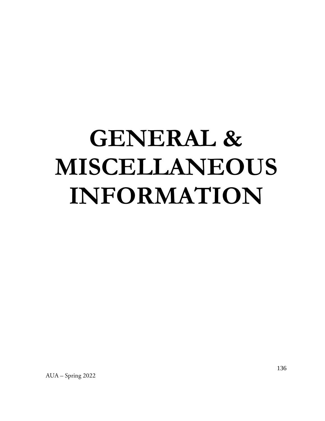# **GENERAL & MISCELLANEOUS INFORMATION**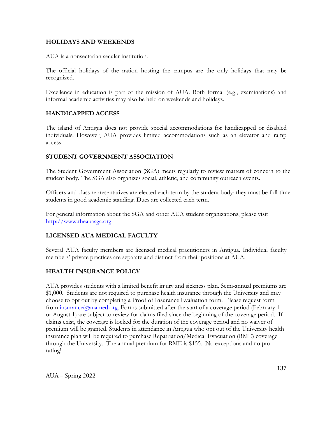#### **HOLIDAYS AND WEEKENDS**

AUA is a nonsectarian secular institution.

The official holidays of the nation hosting the campus are the only holidays that may be recognized.

Excellence in education is part of the mission of AUA. Both formal (e.g., examinations) and informal academic activities may also be held on weekends and holidays.

#### **HANDICAPPED ACCESS**

The island of Antigua does not provide special accommodations for handicapped or disabled individuals. However, AUA provides limited accommodations such as an elevator and ramp access.

#### **STUDENT GOVERNMENT ASSOCIATION**

The Student Government Association (SGA) meets regularly to review matters of concern to the student body. The SGA also organizes social, athletic, and community outreach events.

Officers and class representatives are elected each term by the student body; they must be full-time students in good academic standing. Dues are collected each term.

For general information about the SGA and other AUA student organizations, please visit [http://www.theauasga.org.](http://www.theauasga.org/)

# **LICENSED AUA MEDICAL FACULTY**

Several AUA faculty members are licensed medical practitioners in Antigua. Individual faculty members' private practices are separate and distinct from their positions at AUA.

# **HEALTH INSURANCE POLICY**

AUA provides students with a limited benefit injury and sickness plan. Semi-annual premiums are \$1,000. Students are not required to purchase health insurance through the University and may choose to opt out by completing a Proof of Insurance Evaluation form. Please request form from  $\frac{\text{insurface}(a)$  auamed.org. Forms submitted after the start of a coverage period (February 1 or August 1) are subject to review for claims filed since the beginning of the coverage period. If claims exist, the coverage is locked for the duration of the coverage period and no waiver of premium will be granted. Students in attendance in Antigua who opt out of the University health insurance plan will be required to purchase Repatriation/Medical Evacuation (RME) coverage through the University. The annual premium for RME is \$155. No exceptions and no prorating!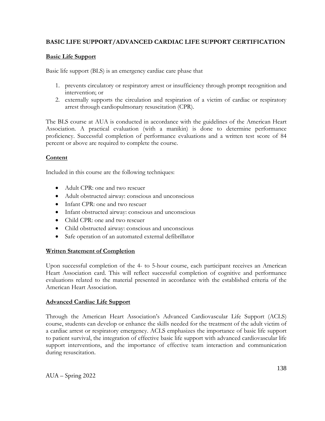# **BASIC LIFE SUPPORT/ADVANCED CARDIAC LIFE SUPPORT CERTIFICATION**

# **Basic Life Support**

Basic life support (BLS) is an emergency cardiac care phase that

- 1. prevents circulatory or respiratory arrest or insufficiency through prompt recognition and intervention; or
- 2. externally supports the circulation and respiration of a victim of cardiac or respiratory arrest through cardiopulmonary resuscitation (CPR).

The BLS course at AUA is conducted in accordance with the guidelines of the American Heart Association. A practical evaluation (with a manikin) is done to determine performance proficiency. Successful completion of performance evaluations and a written test score of 84 percent or above are required to complete the course.

## **Content**

Included in this course are the following techniques:

- Adult CPR: one and two rescuer
- Adult obstructed airway: conscious and unconscious
- Infant CPR: one and two rescuer
- Infant obstructed airway: conscious and unconscious
- Child CPR: one and two rescuer
- Child obstructed airway: conscious and unconscious
- Safe operation of an automated external defibrillator

# **Written Statement of Completion**

Upon successful completion of the 4- to 5-hour course, each participant receives an American Heart Association card. This will reflect successful completion of cognitive and performance evaluations related to the material presented in accordance with the established criteria of the American Heart Association.

#### **Advanced Cardiac Life Support**

Through the American Heart Association's Advanced Cardiovascular Life Support (ACLS) course, students can develop or enhance the skills needed for the treatment of the adult victim of a cardiac arrest or respiratory emergency. ACLS emphasizes the importance of basic life support to patient survival, the integration of effective basic life support with advanced cardiovascular life support interventions, and the importance of effective team interaction and communication during resuscitation.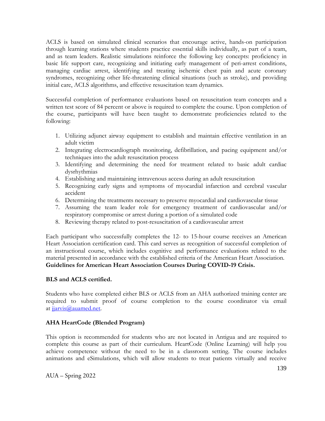ACLS is based on simulated clinical scenarios that encourage active, hands-on participation through learning stations where students practice essential skills individually, as part of a team, and as team leaders. Realistic simulations reinforce the following key concepts: proficiency in basic life support care, recognizing and initiating early management of peri-arrest conditions, managing cardiac arrest, identifying and treating ischemic chest pain and acute coronary syndromes, recognizing other life-threatening clinical situations (such as stroke), and providing initial care, ACLS algorithms, and effective resuscitation team dynamics.

Successful completion of performance evaluations based on resuscitation team concepts and a written test score of 84 percent or above is required to complete the course. Upon completion of the course, participants will have been taught to demonstrate proficiencies related to the following:

- 1. Utilizing adjunct airway equipment to establish and maintain effective ventilation in an adult victim
- 2. Integrating electrocardiograph monitoring, defibrillation, and pacing equipment and/or techniques into the adult resuscitation process
- 3. Identifying and determining the need for treatment related to basic adult cardiac dysrhythmias
- 4. Establishing and maintaining intravenous access during an adult resuscitation
- 5. Recognizing early signs and symptoms of myocardial infarction and cerebral vascular accident
- 6. Determining the treatments necessary to preserve myocardial and cardiovascular tissue
- 7. Assuming the team leader role for emergency treatment of cardiovascular and/or respiratory compromise or arrest during a portion of a simulated code
- 8. Reviewing therapy related to post-resuscitation of a cardiovascular arrest

Each participant who successfully completes the 12- to 15-hour course receives an American Heart Association certification card. This card serves as recognition of successful completion of an instructional course, which includes cognitive and performance evaluations related to the material presented in accordance with the established criteria of the American Heart Association. **Guidelines for American Heart Association Courses During COVID-19 Crisis.**

#### **BLS and ACLS certified.**

Students who have completed either BLS or ACLS from an AHA authorized training center are required to submit proof of course completion to the course coordinator via email at [jjarvis@auamed.net.](mailto:jjarvis@auamed.net)

#### **AHA HeartCode (Blended Program)**

This option is recommended for students who are not located in Antigua and are required to complete this course as part of their curriculum. HeartCode (Online Learning) will help you achieve competence without the need to be in a classroom setting. The course includes animations and eSimulations, which will allow students to treat patients virtually and receive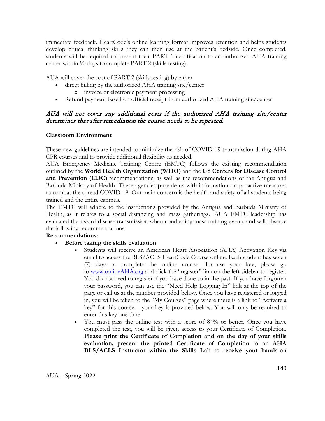immediate feedback. HeartCode's online learning format improves retention and helps students develop critical thinking skills they can then use at the patient's bedside. Once completed, students will be required to present their PART 1 certification to an authorized AHA training center within 90 days to complete PART 2 (skills testing).

AUA will cover the cost of PART 2 (skills testing) by either

- direct billing by the authorized AHA training site/center o invoice or electronic payment processing
- Refund payment based on official receipt from authorized AHA training site/center

# AUA will not cover any additional costs if the authorized AHA training site/center determines that after remediation the course needs to be repeated.

## **Classroom Environment**

These new guidelines are intended to minimize the risk of COVID-19 transmission during AHA CPR courses and to provide additional flexibility as needed.

AUA Emergency Medicine Training Centre (EMTC) follows the existing recommendation outlined by the **World Health Organization (WHO)** and the **US Centers for Disease Control and Prevention (CDC)** recommendations, as well as the recommendations of the Antigua and Barbuda Ministry of Health. These agencies provide us with information on proactive measures to combat the spread COVID-19. Our main concern is the health and safety of all students being trained and the entire campus.

The EMTC will adhere to the instructions provided by the Antigua and Barbuda Ministry of Health, as it relates to a social distancing and mass gatherings. AUA EMTC leadership has evaluated the risk of disease transmission when conducting mass training events and will observe the following recommendations:

# **Recommendations:**

# • **Before taking the skills evaluation**

- Students will receive an American Heart Association (AHA) Activation Key via email to access the BLS/ACLS HeartCode Course online. Each student has seven (7) days to complete the online course. To use your key, please go to [www.onlineAHA.org](http://www.onlineaha.org/) and click the "register" link on the left sidebar to register. You do not need to register if you have done so in the past. If you have forgotten your password, you can use the "Need Help Logging In" link at the top of the page or call us at the number provided below. Once you have registered or logged in, you will be taken to the "My Courses" page where there is a link to "Activate a key" for this course – your key is provided below. You will only be required to enter this key one time.
- You must pass the online test with a score of 84% or better. Once you have completed the test, you will be given access to your Certificate of Completion**. Please print the Certificate of Completion and on the day of your skills evaluation, present the printed Certificate of Completion to an AHA BLS/ACLS Instructor within the Skills Lab to receive your hands-on**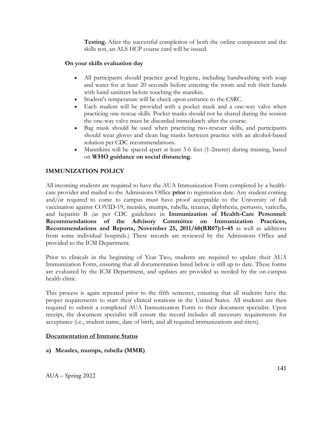**Testing.** After the successful completion of both the online component and the skills test, an ALS HCP course card will be issued.

## **On your skills evaluation day**

- All participants should practice good hygiene, including handwashing with soap and water for at least 20 seconds before entering the room and rub their hands with hand sanitizer before touching the manikin.
- Student's temperature will be check upon entrance to the CSRC.
- Each student will be provided with a pocket mask and a one-way valve when practicing one-rescue skills. Pocket masks should not be shared during the session the one-way valve must be discarded immediately after the course.
- Bag mask should be used when practicing two-rescuer skills, and participants should wear gloves and clean bag masks between practice with an alcohol-based solution per CDC recommendations.
- Mannikins will be spaced apart at least 3-6 feet (1-2meter) during training, based on **WHO guidance on social distancing.**

# **IMMUNIZATION POLICY**

All incoming students are required to have the AUA Immunization Form completed by a healthcare provider and mailed to the Admissions Office **prior** to registration date. Any student coming and/or required to come to campus must have proof acceptable to the University of full vaccination against COVID-19, measles, mumps, rubella, tetanus, diphtheria, pertussis, varicella, and hepatitis B (as per CDC guidelines in **Immunization of Health-Care Personnel: Recommendations of the Advisory Committee on Immunization Practices, Recommendations and Reports, November 25, 2011/60(RR07):1–45** as well as additions from some individual hospitals.) These records are reviewed by the Admissions Office and provided to the ICM Department.

Prior to clinicals in the beginning of Year Two, students are required to update their AUA Immunization Form, ensuring that all documentation listed below is still up to date. These forms are evaluated by the ICM Department, and updates are provided as needed by the on-campus health clinic.

This process is again repeated prior to the fifth semester, ensuring that all students have the proper requirements to start their clinical rotations in the United States. All students are then required to submit a completed AUA Immunization Form to their document specialist. Upon receipt, the document specialist will ensure the record includes all necessary requirements for acceptance (i.e., student name, date of birth, and all required immunizations and titers).

#### **Documentation of Immune Status**

# **a) Measles, mumps, rubella (MMR)**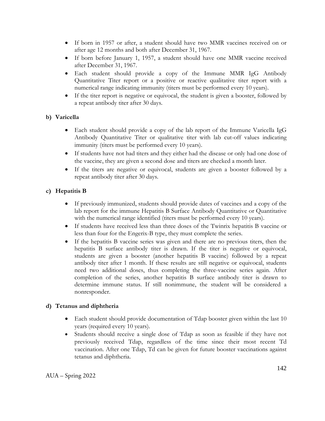- If born in 1957 or after, a student should have two MMR vaccines received on or after age 12 months and both after December 31, 1967.
- If born before January 1, 1957, a student should have one MMR vaccine received after December 31, 1967.
- Each student should provide a copy of the Immune MMR IgG Antibody Quantitative Titer report or a positive or reactive qualitative titer report with a numerical range indicating immunity (titers must be performed every 10 years).
- If the titer report is negative or equivocal, the student is given a booster, followed by a repeat antibody titer after 30 days.

# **b) Varicella**

- Each student should provide a copy of the lab report of the Immune Varicella IgG Antibody Quantitative Titer or qualitative titer with lab cut-off values indicating immunity (titers must be performed every 10 years).
- If students have not had titers and they either had the disease or only had one dose of the vaccine, they are given a second dose and titers are checked a month later.
- If the titers are negative or equivocal, students are given a booster followed by a repeat antibody titer after 30 days.

# **c) Hepatitis B**

- If previously immunized, students should provide dates of vaccines and a copy of the lab report for the immune Hepatitis B Surface Antibody Quantitative or Quantitative with the numerical range identified (titers must be performed every 10 years).
- If students have received less than three doses of the Twinrix hepatitis B vaccine or less than four for the Engerix-B type, they must complete the series.
- If the hepatitis B vaccine series was given and there are no previous titers, then the hepatitis B surface antibody titer is drawn. If the titer is negative or equivocal, students are given a booster (another hepatitis B vaccine) followed by a repeat antibody titer after 1 month. If these results are still negative or equivocal, students need two additional doses, thus completing the three-vaccine series again. After completion of the series, another hepatitis B surface antibody titer is drawn to determine immune status. If still nonimmune, the student will be considered a nonresponder.

# **d) Tetanus and diphtheria**

- Each student should provide documentation of Tdap booster given within the last 10 years (required every 10 years).
- Students should receive a single dose of Tdap as soon as feasible if they have not previously received Tdap, regardless of the time since their most recent Td vaccination. After one Tdap, Td can be given for future booster vaccinations against tetanus and diphtheria.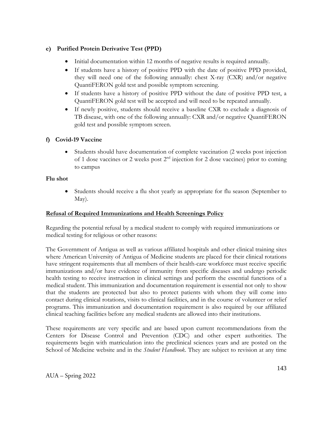# **e) Purified Protein Derivative Test (PPD)**

- Initial documentation within 12 months of negative results is required annually.
- If students have a history of positive PPD with the date of positive PPD provided, they will need one of the following annually: chest X-ray (CXR) and/or negative QuantiFERON gold test and possible symptom screening.
- If students have a history of positive PPD without the date of positive PPD test, a QuantiFERON gold test will be accepted and will need to be repeated annually.
- If newly positive, students should receive a baseline CXR to exclude a diagnosis of TB disease, with one of the following annually: CXR and/or negative QuantiFERON gold test and possible symptom screen.

# **f) Covid-19 Vaccine**

• Students should have documentation of complete vaccination (2 weeks post injection of 1 dose vaccines or 2 weeks post  $2<sup>nd</sup>$  injection for 2 dose vaccines) prior to coming to campus

# **Flu shot**

• Students should receive a flu shot yearly as appropriate for flu season (September to May).

# **Refusal of Required Immunizations and Health Screenings Policy**

Regarding the potential refusal by a medical student to comply with required immunizations or medical testing for religious or other reasons:

The Government of Antigua as well as various affiliated hospitals and other clinical training sites where American University of Antigua of Medicine students are placed for their clinical rotations have stringent requirements that all members of their health-care workforce must receive specific immunizations and/or have evidence of immunity from specific diseases and undergo periodic health testing to receive instruction in clinical settings and perform the essential functions of a medical student. This immunization and documentation requirement is essential not only to show that the students are protected but also to protect patients with whom they will come into contact during clinical rotations, visits to clinical facilities, and in the course of volunteer or relief programs. This immunization and documentation requirement is also required by our affiliated clinical teaching facilities before any medical students are allowed into their institutions.

These requirements are very specific and are based upon current recommendations from the Centers for Disease Control and Prevention (CDC) and other expert authorities. The requirements begin with matriculation into the preclinical sciences years and are posted on the School of Medicine website and in the *Student Handbook*. They are subject to revision at any time